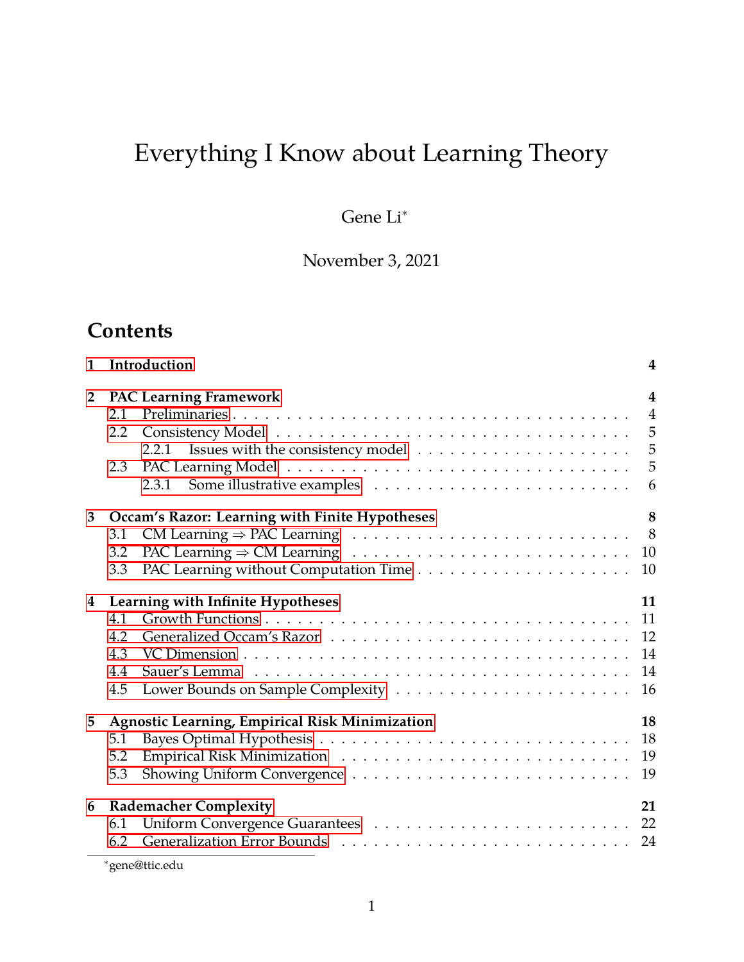# Everything I Know about Learning Theory

Gene Li<sup>∗</sup>

November 3, 2021

### **Contents**

| Introduction<br>1       |                                                             |                                                     | $\overline{4}$ |  |  |  |  |
|-------------------------|-------------------------------------------------------------|-----------------------------------------------------|----------------|--|--|--|--|
| $\overline{2}$          | <b>PAC Learning Framework</b><br>$\overline{\mathbf{4}}$    |                                                     |                |  |  |  |  |
|                         | 2.1                                                         |                                                     | $\overline{4}$ |  |  |  |  |
|                         | 2.2                                                         |                                                     |                |  |  |  |  |
|                         |                                                             |                                                     | $\overline{5}$ |  |  |  |  |
|                         | 2.3                                                         |                                                     | 5              |  |  |  |  |
|                         |                                                             |                                                     | 6              |  |  |  |  |
| 3                       |                                                             | 8<br>Occam's Razor: Learning with Finite Hypotheses |                |  |  |  |  |
|                         | 3.1                                                         |                                                     |                |  |  |  |  |
|                         | 3.2                                                         |                                                     |                |  |  |  |  |
|                         | 3.3                                                         |                                                     | 10             |  |  |  |  |
| $\overline{\mathbf{4}}$ | 11<br>Learning with Infinite Hypotheses                     |                                                     |                |  |  |  |  |
|                         | 4.1                                                         |                                                     | 11             |  |  |  |  |
|                         | 4.2                                                         |                                                     |                |  |  |  |  |
|                         | 4.3                                                         |                                                     | 14             |  |  |  |  |
|                         | 4.4                                                         |                                                     | 14             |  |  |  |  |
|                         | 4.5                                                         |                                                     | 16             |  |  |  |  |
| 5                       | 18<br><b>Agnostic Learning, Empirical Risk Minimization</b> |                                                     |                |  |  |  |  |
|                         | 5.1                                                         |                                                     | 18             |  |  |  |  |
|                         | 5.2                                                         |                                                     | 19             |  |  |  |  |
|                         | 5.3                                                         |                                                     | 19             |  |  |  |  |
| 6                       | <b>Rademacher Complexity</b><br>21                          |                                                     |                |  |  |  |  |
|                         | 6.1                                                         |                                                     |                |  |  |  |  |
|                         | 6.2                                                         |                                                     |                |  |  |  |  |

<sup>∗</sup>gene@ttic.edu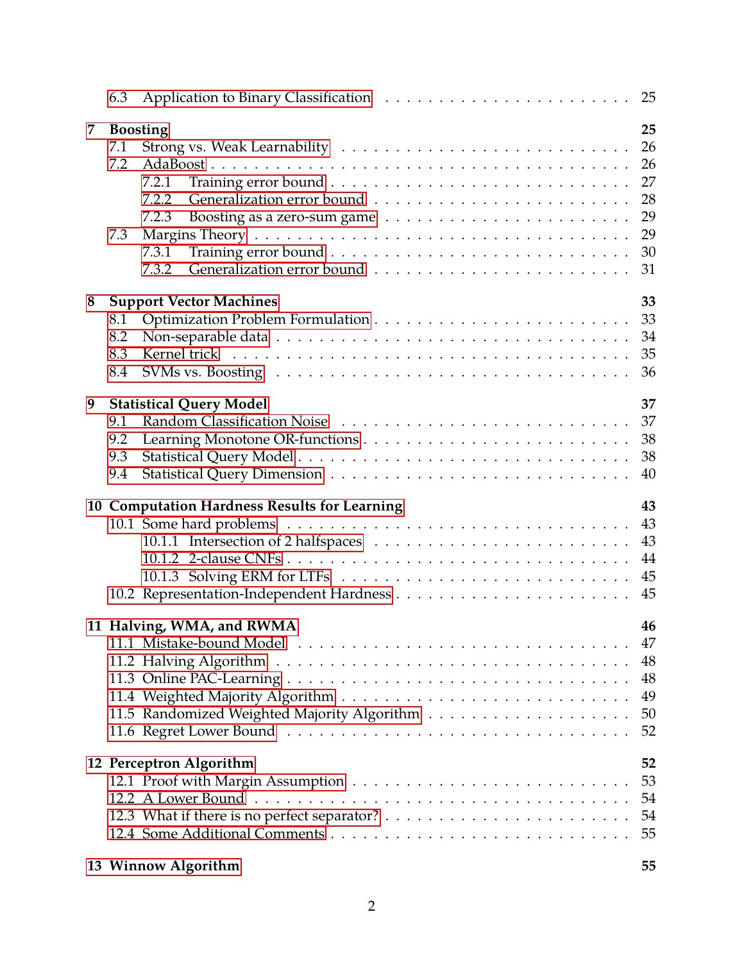|   | 6.3                      |                                                                                                                                    | 25                                     |
|---|--------------------------|------------------------------------------------------------------------------------------------------------------------------------|----------------------------------------|
| 7 | 7.1<br>7.2<br>7.3        | <b>Boosting</b><br>7.2.1<br>7.2.2<br>7.2.3                                                                                         | 25<br>26<br>26<br>27<br>28<br>29<br>29 |
|   |                          | 7.3.1<br>7.3.2                                                                                                                     | 30<br>31                               |
| 8 | 8.1<br>8.2<br>8.3<br>8.4 | <b>Support Vector Machines</b><br>SVMs vs. Boosting $\ldots \ldots \ldots \ldots \ldots \ldots \ldots \ldots \ldots \ldots \ldots$ | 33<br>33<br>34<br>35<br>36             |
| 9 | 9.1<br>9.2<br>9.3<br>9.4 | <b>Statistical Query Model</b>                                                                                                     | 37<br>37<br>38<br>38<br>40             |
|   |                          | 10 Computation Hardness Results for Learning                                                                                       | 43<br>43<br>43<br>44<br>45<br>45       |
|   |                          | 11 Halving, WMA, and RWMA                                                                                                          | 46<br>47<br>48<br>48<br>49<br>50<br>52 |
|   |                          | 12 Perceptron Algorithm                                                                                                            | 52<br>53<br>54<br>54<br>55             |
|   |                          | 13 Winnow Algorithm                                                                                                                | 55                                     |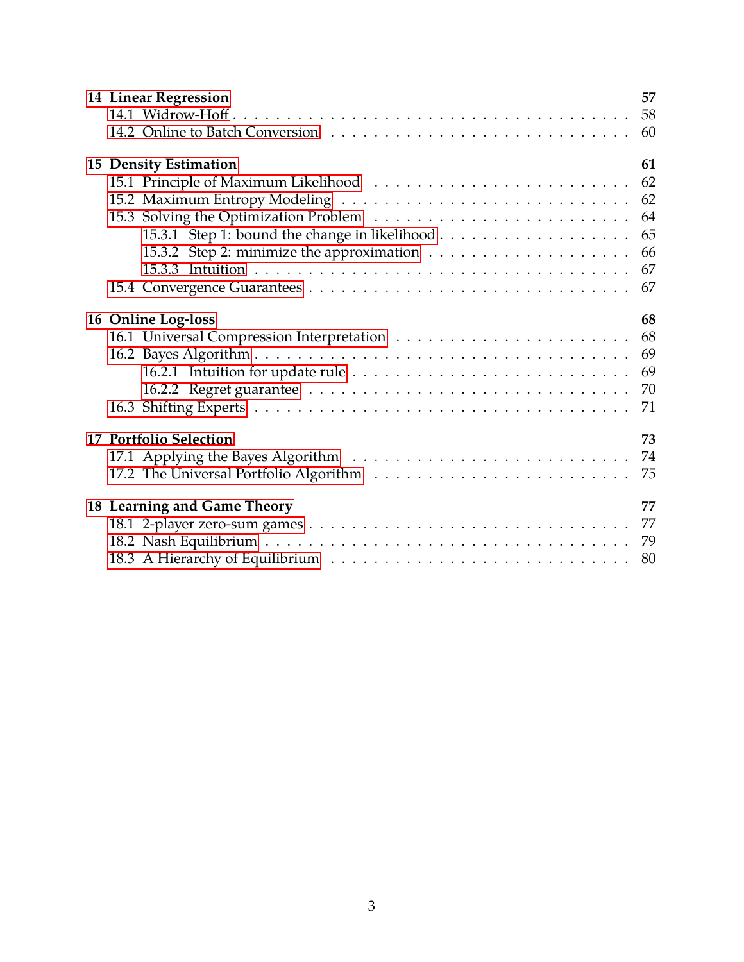|                    | <b>14 Linear Regression</b> | 57 |
|--------------------|-----------------------------|----|
|                    |                             | 58 |
|                    |                             | 60 |
|                    | 15 Density Estimation       | 61 |
|                    |                             | 62 |
|                    |                             | 62 |
|                    |                             | 64 |
|                    |                             | 65 |
|                    |                             | 66 |
|                    |                             | 67 |
|                    |                             | 67 |
| 16 Online Log-loss |                             | 68 |
|                    |                             | 68 |
|                    |                             | 69 |
|                    |                             | 69 |
|                    |                             | 70 |
|                    |                             | 71 |
|                    | 17 Portfolio Selection      | 73 |
|                    |                             | 74 |
|                    |                             | 75 |
|                    | 18 Learning and Game Theory | 77 |
|                    |                             |    |
|                    |                             | 79 |
|                    |                             | 80 |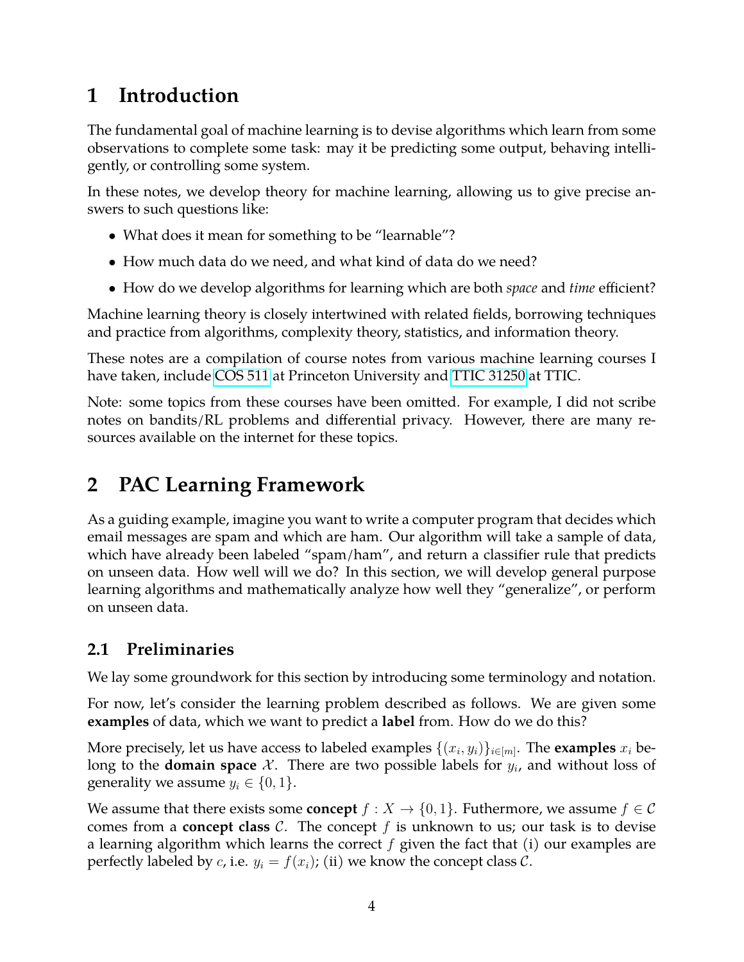## <span id="page-3-0"></span>**1 Introduction**

The fundamental goal of machine learning is to devise algorithms which learn from some observations to complete some task: may it be predicting some output, behaving intelligently, or controlling some system.

In these notes, we develop theory for machine learning, allowing us to give precise answers to such questions like:

- What does it mean for something to be "learnable"?
- How much data do we need, and what kind of data do we need?
- How do we develop algorithms for learning which are both *space* and *time* efficient?

Machine learning theory is closely intertwined with related fields, borrowing techniques and practice from algorithms, complexity theory, statistics, and information theory.

These notes are a compilation of course notes from various machine learning courses I have taken, include [COS 511](https://www.cs.princeton.edu/courses/archive/spring19/cos511/) at Princeton University and [TTIC 31250](https://ttic.uchicago.edu/~avrim/MLT20/) at TTIC.

Note: some topics from these courses have been omitted. For example, I did not scribe notes on bandits/RL problems and differential privacy. However, there are many resources available on the internet for these topics.

# <span id="page-3-1"></span>**2 PAC Learning Framework**

As a guiding example, imagine you want to write a computer program that decides which email messages are spam and which are ham. Our algorithm will take a sample of data, which have already been labeled "spam/ham", and return a classifier rule that predicts on unseen data. How well will we do? In this section, we will develop general purpose learning algorithms and mathematically analyze how well they "generalize", or perform on unseen data.

### <span id="page-3-2"></span>**2.1 Preliminaries**

We lay some groundwork for this section by introducing some terminology and notation.

For now, let's consider the learning problem described as follows. We are given some **examples** of data, which we want to predict a **label** from. How do we do this?

More precisely, let us have access to labeled examples  $\{(x_i, y_i)\}_{i \in [m]}.$  The **examples**  $x_i$  belong to the **domain space**  $\mathcal{X}$ . There are two possible labels for  $y_i$ , and without loss of generality we assume  $y_i \in \{0, 1\}$ .

We assume that there exists some **concept**  $f : X \to \{0, 1\}$ . Futhermore, we assume  $f \in \mathcal{C}$ comes from a **concept class**  $\mathcal{C}$ . The concept  $f$  is unknown to us; our task is to devise a learning algorithm which learns the correct  $f$  given the fact that (i) our examples are perfectly labeled by *c*, i.e.  $y_i = f(x_i)$ ; (ii) we know the concept class *C*.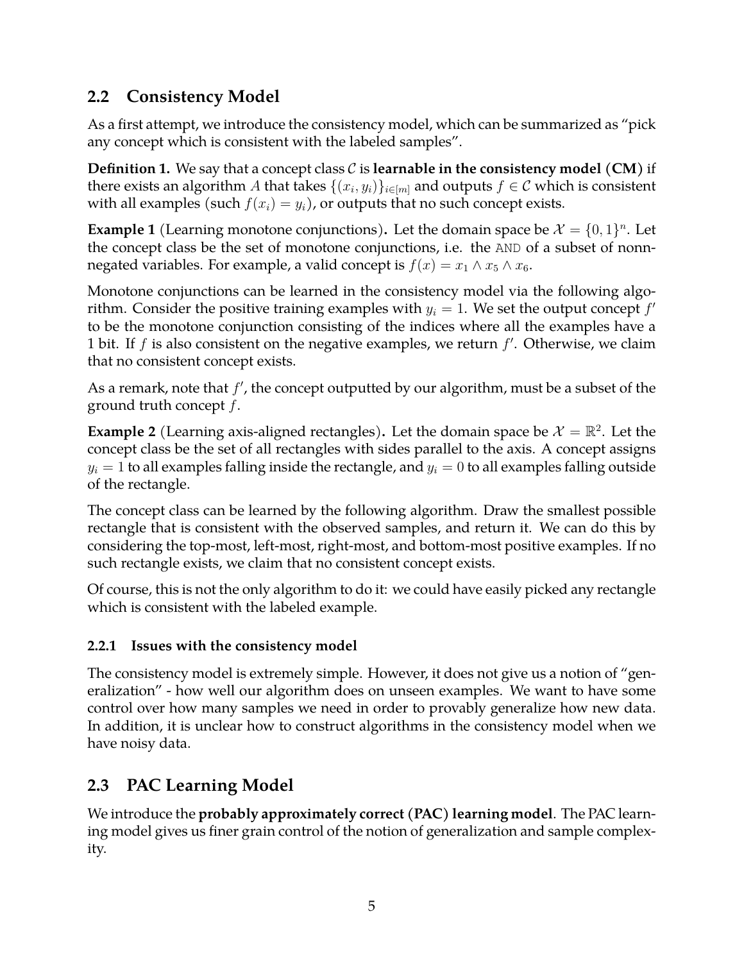### <span id="page-4-0"></span>**2.2 Consistency Model**

As a first attempt, we introduce the consistency model, which can be summarized as "pick any concept which is consistent with the labeled samples".

**Definition 1.** We say that a concept class C is **learnable in the consistency model (CM)** if there exists an algorithm  $A$  that takes  $\{(x_i,y_i)\}_{i\in[m]}$  and outputs  $f\in\mathcal C$  which is consistent with all examples (such  $f(x_i) = y_i$ ), or outputs that no such concept exists.

**Example 1** (Learning monotone conjunctions). Let the domain space be  $\mathcal{X} = \{0, 1\}^n$ . Let the concept class be the set of monotone conjunctions, i.e. the AND of a subset of nonnnegated variables. For example, a valid concept is  $f(x) = x_1 \wedge x_5 \wedge x_6$ .

Monotone conjunctions can be learned in the consistency model via the following algorithm. Consider the positive training examples with  $y_i = 1$ . We set the output concept  $f'$ to be the monotone conjunction consisting of the indices where all the examples have a 1 bit. If  $f$  is also consistent on the negative examples, we return  $f'$ . Otherwise, we claim that no consistent concept exists.

As a remark, note that  $f'$ , the concept outputted by our algorithm, must be a subset of the ground truth concept  $f$ .

**Example 2** (Learning axis-aligned rectangles). Let the domain space be  $\mathcal{X} = \mathbb{R}^2$ . Let the concept class be the set of all rectangles with sides parallel to the axis. A concept assigns  $y_i = 1$  to all examples falling inside the rectangle, and  $y_i = 0$  to all examples falling outside of the rectangle.

The concept class can be learned by the following algorithm. Draw the smallest possible rectangle that is consistent with the observed samples, and return it. We can do this by considering the top-most, left-most, right-most, and bottom-most positive examples. If no such rectangle exists, we claim that no consistent concept exists.

Of course, this is not the only algorithm to do it: we could have easily picked any rectangle which is consistent with the labeled example.

#### <span id="page-4-1"></span>**2.2.1 Issues with the consistency model**

The consistency model is extremely simple. However, it does not give us a notion of "generalization" - how well our algorithm does on unseen examples. We want to have some control over how many samples we need in order to provably generalize how new data. In addition, it is unclear how to construct algorithms in the consistency model when we have noisy data.

### <span id="page-4-2"></span>**2.3 PAC Learning Model**

We introduce the **probably approximately correct (PAC) learning model**. The PAC learning model gives us finer grain control of the notion of generalization and sample complexity.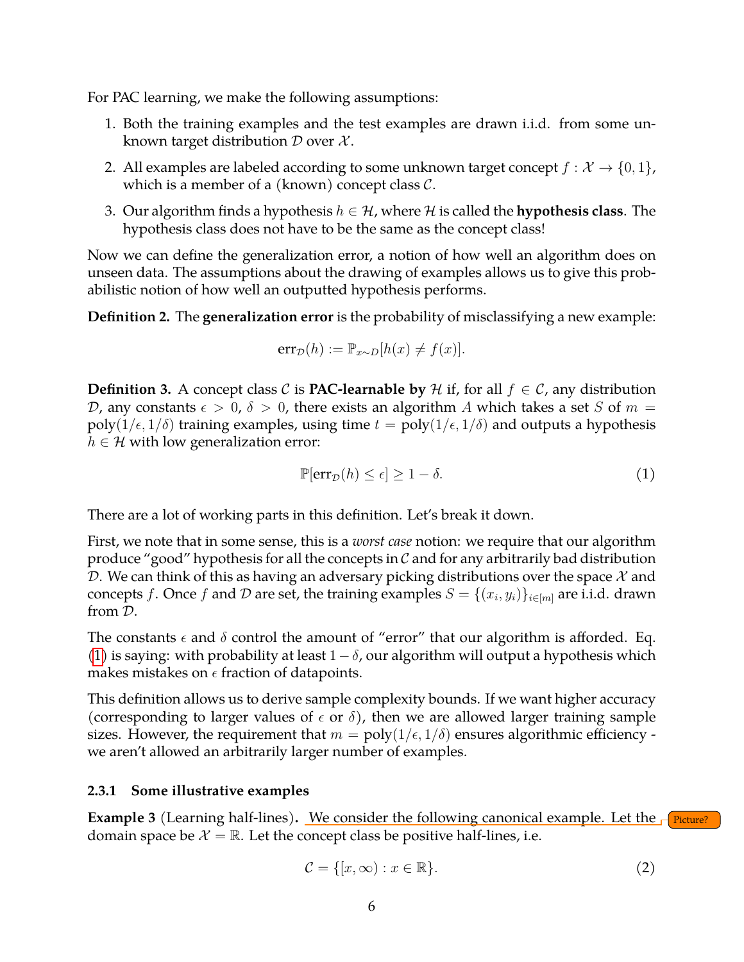For PAC learning, we make the following assumptions:

- 1. Both the training examples and the test examples are drawn i.i.d. from some unknown target distribution  $D$  over  $\mathcal{X}$ .
- 2. All examples are labeled according to some unknown target concept  $f : \mathcal{X} \to \{0, 1\}$ , which is a member of a (known) concept class  $C$ .
- 3. Our algorithm finds a hypothesis  $h \in \mathcal{H}$ , where H is called the **hypothesis class**. The hypothesis class does not have to be the same as the concept class!

Now we can define the generalization error, a notion of how well an algorithm does on unseen data. The assumptions about the drawing of examples allows us to give this probabilistic notion of how well an outputted hypothesis performs.

**Definition 2.** The **generalization error** is the probability of misclassifying a new example:

$$
err_{\mathcal{D}}(h) := \mathbb{P}_{x \sim D}[h(x) \neq f(x)].
$$

**Definition 3.** A concept class C is **PAC-learnable by** H if, for all  $f \in C$ , any distribution D, any constants  $\epsilon > 0$ ,  $\delta > 0$ , there exists an algorithm A which takes a set S of  $m =$ poly( $1/\epsilon$ ,  $1/\delta$ ) training examples, using time  $t = \text{poly}(1/\epsilon, 1/\delta)$  and outputs a hypothesis  $h \in \mathcal{H}$  with low generalization error:

<span id="page-5-1"></span>
$$
\mathbb{P}[\text{err}_{\mathcal{D}}(h) \le \epsilon] \ge 1 - \delta. \tag{1}
$$

There are a lot of working parts in this definition. Let's break it down.

First, we note that in some sense, this is a *worst case* notion: we require that our algorithm produce "good" hypothesis for all the concepts in  $\mathcal C$  and for any arbitrarily bad distribution D. We can think of this as having an adversary picking distributions over the space  $\mathcal X$  and concepts f. Once f and  $\mathcal D$  are set, the training examples  $S = \{(x_i, y_i)\}_{i \in [m]}$  are i.i.d. drawn from D.

The constants  $\epsilon$  and  $\delta$  control the amount of "error" that our algorithm is afforded. Eq. [\(1\)](#page-5-1) is saying: with probability at least  $1-\delta$ , our algorithm will output a hypothesis which makes mistakes on  $\epsilon$  fraction of datapoints.

This definition allows us to derive sample complexity bounds. If we want higher accuracy (corresponding to larger values of  $\epsilon$  or  $\delta$ ), then we are allowed larger training sample sizes. However, the requirement that  $m = \text{poly}(1/\epsilon, 1/\delta)$  ensures algorithmic efficiency we aren't allowed an arbitrarily larger number of examples.

#### <span id="page-5-0"></span>**2.3.1 Some illustrative examples**

**Example 3** (Learning half-lines). We consider the following canonical example. Let the  $\Gamma$  Picture? domain space be  $\mathcal{X} = \mathbb{R}$ . Let the concept class be positive half-lines, i.e.

<span id="page-5-2"></span>
$$
\mathcal{C} = \{ [x, \infty) : x \in \mathbb{R} \}.
$$
 (2)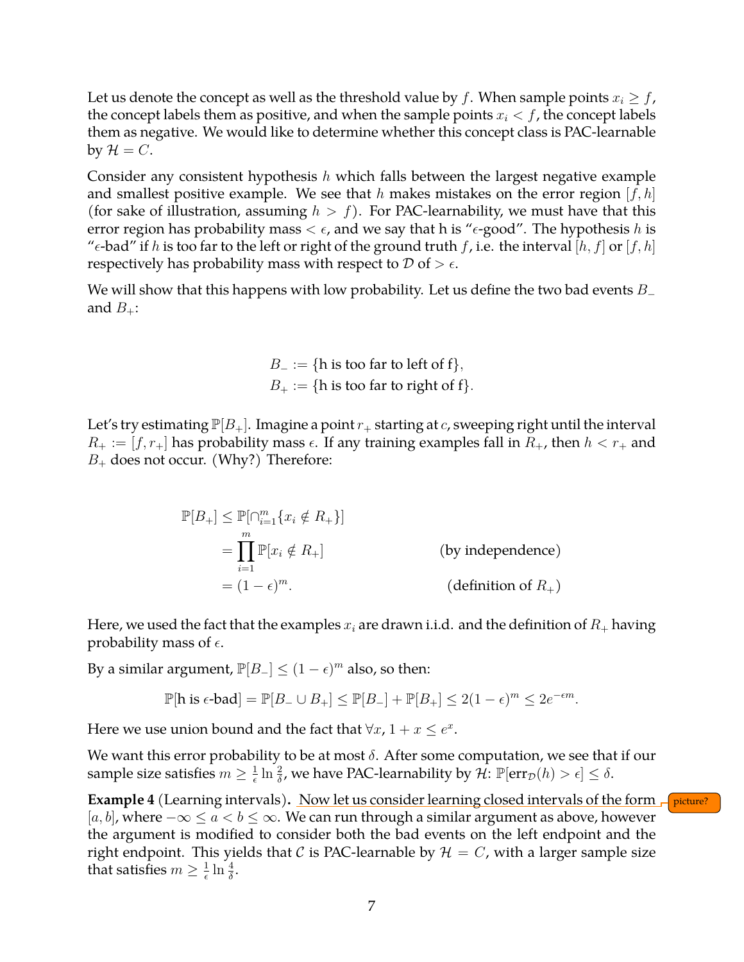Let us denote the concept as well as the threshold value by f. When sample points  $x_i \geq f$ , the concept labels them as positive, and when the sample points  $x_i < f$ , the concept labels them as negative. We would like to determine whether this concept class is PAC-learnable by  $\mathcal{H} = C$ .

Consider any consistent hypothesis  $h$  which falls between the largest negative example and smallest positive example. We see that h makes mistakes on the error region  $[f, h]$ (for sake of illustration, assuming  $h > f$ ). For PAC-learnability, we must have that this error region has probability mass  $\lt \epsilon$ , and we say that h is " $\epsilon$ -good". The hypothesis h is " $\epsilon$ -bad" if h is too far to the left or right of the ground truth f, i.e. the interval [h, f] or [f, h] respectively has probability mass with respect to  $\mathcal D$  of  $> \epsilon$ .

We will show that this happens with low probability. Let us define the two bad events  $B_$  – and  $B_{+}$ :

> $B_$  := {h is too far to left of f},  $B_+ := \{h \text{ is too far to right of } f\}.$

Let's try estimating  $\mathbb{P}[B_+]$ . Imagine a point  $r_+$  starting at c, sweeping right until the interval  $R_+ := [f, r_+]$  has probability mass  $\epsilon$ . If any training examples fall in  $R_+$ , then  $h < r_+$  and  $B_+$  does not occur. (Why?) Therefore:

> $\mathbb{P}[B_+] \leq \mathbb{P}[\cap_{i=1}^m \{x_i \notin R_+\}]$  $=\prod^m$  $i=1$ (by independence)  $= (1 - \epsilon)^m$ . (definition of  $R_+$ )

Here, we used the fact that the examples  $x_i$  are drawn i.i.d. and the definition of  $R_+$  having probability mass of  $\epsilon$ .

By a similar argument,  $\mathbb{P}[B_-\leq (1-\epsilon)^m]$  also, so then:

$$
\mathbb{P}[\text{h is } \epsilon\text{-bad}] = \mathbb{P}[B_- \cup B_+] \le \mathbb{P}[B_-] + \mathbb{P}[B_+] \le 2(1-\epsilon)^m \le 2e^{-\epsilon m}.
$$

Here we use union bound and the fact that  $\forall x, 1 + x \leq e^x$ .

We want this error probability to be at most  $\delta$ . After some computation, we see that if our sample size satisfies  $m \geq \frac{1}{\epsilon}$  $\frac{1}{\epsilon} \ln \frac{2}{\delta}$ , we have PAC-learnability by  $\mathcal{\hat{H}}$ :  $\mathbb{P}[\text{err}_{\mathcal{D}}(h) > \epsilon] \leq \delta$ .

**Example 4** (Learning intervals). Now let us consider learning closed intervals of the form  $\int$  picture?  $[a, b]$ , where  $-\infty \le a < b \le \infty$ . We can run through a similar argument as above, however the argument is modified to consider both the bad events on the left endpoint and the right endpoint. This yields that C is PAC-learnable by  $\mathcal{H} = C$ , with a larger sample size that satisfies  $m \geq \frac{1}{\epsilon}$  $\frac{1}{\epsilon} \ln \frac{4}{\delta}$ .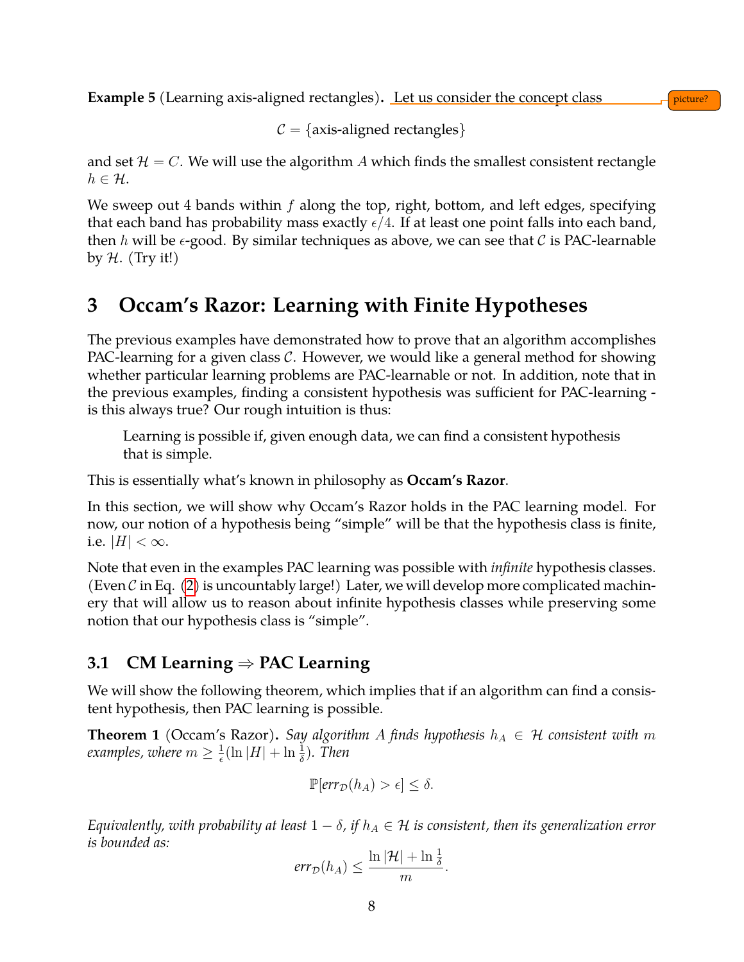**Example 5** (Learning axis-aligned rectangles). Let us consider the concept class picture?

 $C = \{axis\-align:4em\space\}$ 

and set  $\mathcal{H} = C$ . We will use the algorithm A which finds the smallest consistent rectangle  $h \in \mathcal{H}$ .

We sweep out 4 bands within  $f$  along the top, right, bottom, and left edges, specifying that each band has probability mass exactly  $\epsilon/4$ . If at least one point falls into each band, then h will be  $\epsilon$ -good. By similar techniques as above, we can see that C is PAC-learnable by  $H.$  (Try it!)

### <span id="page-7-0"></span>**3 Occam's Razor: Learning with Finite Hypotheses**

The previous examples have demonstrated how to prove that an algorithm accomplishes PAC-learning for a given class  $C$ . However, we would like a general method for showing whether particular learning problems are PAC-learnable or not. In addition, note that in the previous examples, finding a consistent hypothesis was sufficient for PAC-learning is this always true? Our rough intuition is thus:

Learning is possible if, given enough data, we can find a consistent hypothesis that is simple.

This is essentially what's known in philosophy as **Occam's Razor**.

In this section, we will show why Occam's Razor holds in the PAC learning model. For now, our notion of a hypothesis being "simple" will be that the hypothesis class is finite, i.e.  $|H| < \infty$ .

Note that even in the examples PAC learning was possible with *infinite* hypothesis classes. (Even C in Eq. [\(2\)](#page-5-2) is uncountably large!) Later, we will develop more complicated machinery that will allow us to reason about infinite hypothesis classes while preserving some notion that our hypothesis class is "simple".

### <span id="page-7-1"></span>**3.1 CM Learning** ⇒ **PAC Learning**

We will show the following theorem, which implies that if an algorithm can find a consistent hypothesis, then PAC learning is possible.

<span id="page-7-2"></span>**Theorem 1** (Occam's Razor). *Say algorithm A finds hypothesis*  $h_A \in \mathcal{H}$  *consistent with* m *examples, where*  $m \geq \frac{1}{\epsilon}$  $\frac{1}{\epsilon}$ (ln |H| + ln  $\frac{1}{\delta}$ ). Then

$$
\mathbb{P}[\text{err}_{\mathcal{D}}(h_A) > \epsilon] \leq \delta.
$$

*Equivalently, with probability at least*  $1 - \delta$ , *if*  $h_A \in \mathcal{H}$  *is consistent, then its generalization error is bounded as:*

$$
err_{\mathcal{D}}(h_A) \leq \frac{\ln |\mathcal{H}| + \ln \frac{1}{\delta}}{m}.
$$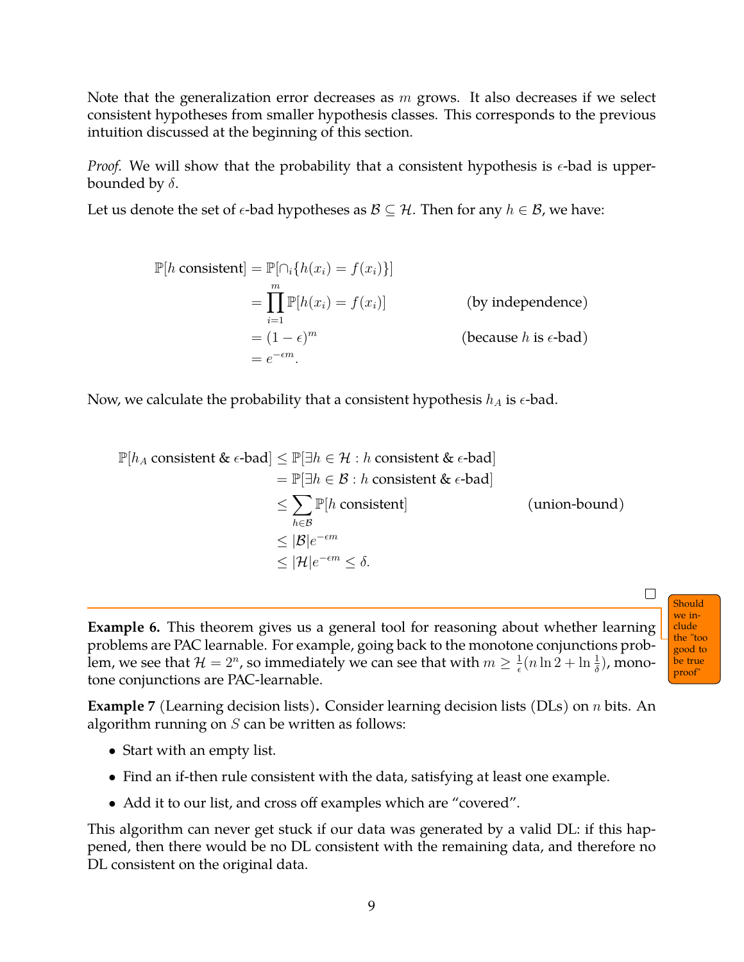Note that the generalization error decreases as  $m$  grows. It also decreases if we select consistent hypotheses from smaller hypothesis classes. This corresponds to the previous intuition discussed at the beginning of this section.

*Proof.* We will show that the probability that a consistent hypothesis is  $\epsilon$ -bad is upperbounded by  $\delta$ .

Let us denote the set of  $\epsilon$ -bad hypotheses as  $\mathcal{B} \subseteq \mathcal{H}$ . Then for any  $h \in \mathcal{B}$ , we have:

$$
\mathbb{P}[h \text{ consistent}] = \mathbb{P}[\cap_i \{h(x_i) = f(x_i)\}]
$$
  
= 
$$
\prod_{i=1}^m \mathbb{P}[h(x_i) = f(x_i)]
$$
 (by independence)  
= 
$$
(1 - \epsilon)^m
$$
 (because *h* is  $\epsilon$ -bad)  
= 
$$
e^{-\epsilon m}.
$$

Now, we calculate the probability that a consistent hypothesis  $h_A$  is  $\epsilon$ -bad.

$$
\mathbb{P}[h_A \text{ consistent & \epsilon-bad}] \leq \mathbb{P}[\exists h \in \mathcal{H} : h \text{ consistent & \epsilon-bad}]
$$
\n
$$
= \mathbb{P}[\exists h \in \mathcal{B} : h \text{ consistent & \epsilon-bad}]
$$
\n
$$
\leq \sum_{h \in \mathcal{B}} \mathbb{P}[h \text{ consistent}] \qquad \qquad \text{(union-bound)}
$$
\n
$$
\leq |\mathcal{B}|e^{-\epsilon m}
$$
\n
$$
\leq |\mathcal{H}|e^{-\epsilon m} \leq \delta.
$$

**Example 6.** This theorem gives us a general tool for reasoning about whether learning problems are PAC learnable. For example, going back to the monotone conjunctions problem, we see that  $\mathcal{H} = 2^n$ , so immediately we can see that with  $m \geq \frac{1}{\epsilon}$  $\frac{1}{\epsilon}(n\ln 2 + \ln \frac{1}{\delta})$ , monotone conjunctions are PAC-learnable.

Should we include the "too good to be true proof"

 $\Box$ 

**Example 7** (Learning decision lists)**.** Consider learning decision lists (DLs) on n bits. An algorithm running on  $S$  can be written as follows:

- Start with an empty list.
- Find an if-then rule consistent with the data, satisfying at least one example.
- Add it to our list, and cross off examples which are "covered".

This algorithm can never get stuck if our data was generated by a valid DL: if this happened, then there would be no DL consistent with the remaining data, and therefore no DL consistent on the original data.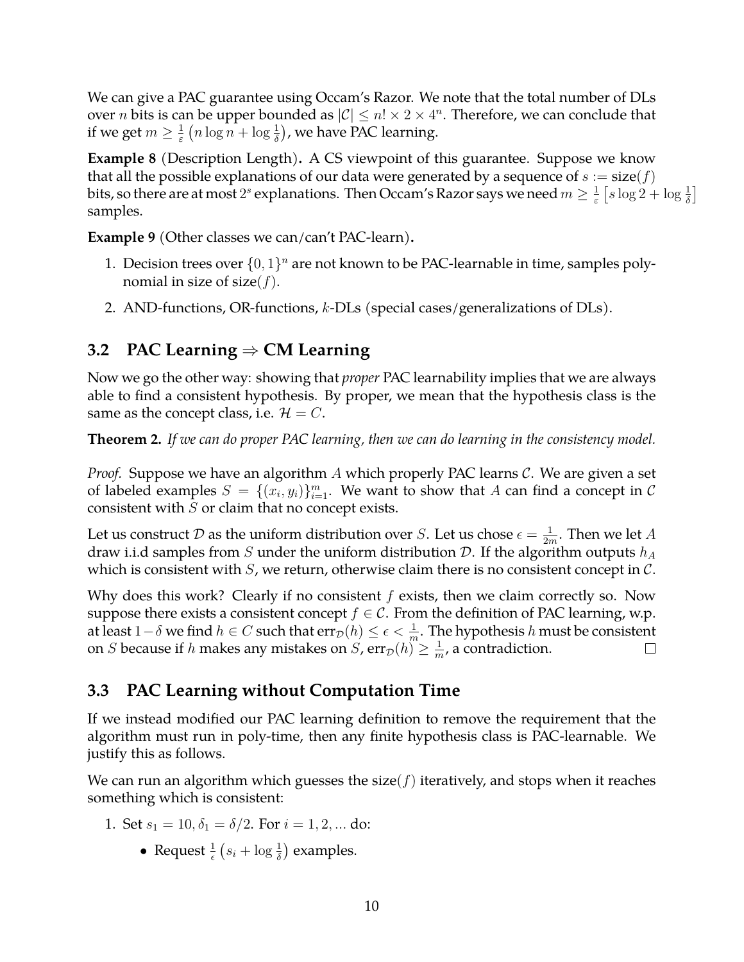We can give a PAC guarantee using Occam's Razor. We note that the total number of DLs over  $n$  bits is can be upper bounded as  $|{\cal C}|\le n! \times 2 \times 4^n.$  Therefore, we can conclude that if we get  $m \geq \frac{1}{\varepsilon}$  $\frac{1}{\varepsilon}$   $(n \log n + \log \frac{1}{\delta})$ , we have PAC learning.

**Example 8** (Description Length)**.** A CS viewpoint of this guarantee. Suppose we know that all the possible explanations of our data were generated by a sequence of  $s := size(f)$ bits, so there are at most  $2^s$  explanations. Then Occam's Razor says we need  $m\geq \frac{1}{\varepsilon}$  $\frac{1}{\varepsilon} \left[ s \log 2 + \log \frac{1}{\delta} \right]$ samples.

**Example 9** (Other classes we can/can't PAC-learn)**.**

- 1. Decision trees over  $\{0,1\}^n$  are not known to be PAC-learnable in time, samples polynomial in size of size( $f$ ).
- 2. AND-functions, OR-functions, k-DLs (special cases/generalizations of DLs).

### <span id="page-9-0"></span>**3.2 PAC Learning** ⇒ **CM Learning**

Now we go the other way: showing that *proper* PAC learnability implies that we are always able to find a consistent hypothesis. By proper, we mean that the hypothesis class is the same as the concept class, i.e.  $\mathcal{H} = C$ .

**Theorem 2.** *If we can do proper PAC learning, then we can do learning in the consistency model.*

*Proof.* Suppose we have an algorithm A which properly PAC learns C. We are given a set of labeled examples  $S = \{(x_i, y_i)\}_{i=1}^m$ . We want to show that A can find a concept in C consistent with  $S$  or claim that no concept exists.

Let us construct D as the uniform distribution over S. Let us chose  $\epsilon = \frac{1}{2n}$  $\frac{1}{2m}$ . Then we let  $A$ draw i.i.d samples from S under the uniform distribution D. If the algorithm outputs  $h_A$ which is consistent with  $S$ , we return, otherwise claim there is no consistent concept in  $C$ .

Why does this work? Clearly if no consistent  $f$  exists, then we claim correctly so. Now suppose there exists a consistent concept  $f \in C$ . From the definition of PAC learning, w.p. at least  $1-\delta$  we find  $h\in C$  such that  $\text{err}_{\mathcal{D}}(h)\leq \epsilon<\frac{1}{m}.$  The hypothesis  $h$  must be consistent on *S* because if h makes any mistakes on *S*,  $err_{\mathcal{D}}(h) \geq \frac{1}{m}$  $\frac{1}{m}$ , a contradiction.  $\Box$ 

### <span id="page-9-1"></span>**3.3 PAC Learning without Computation Time**

If we instead modified our PAC learning definition to remove the requirement that the algorithm must run in poly-time, then any finite hypothesis class is PAC-learnable. We justify this as follows.

We can run an algorithm which guesses the size( $f$ ) iteratively, and stops when it reaches something which is consistent:

- 1. Set  $s_1 = 10, \delta_1 = \delta/2$ . For  $i = 1, 2, ...$  do:
	- Request  $\frac{1}{\epsilon}$   $(s_i + \log \frac{1}{\delta})$  examples.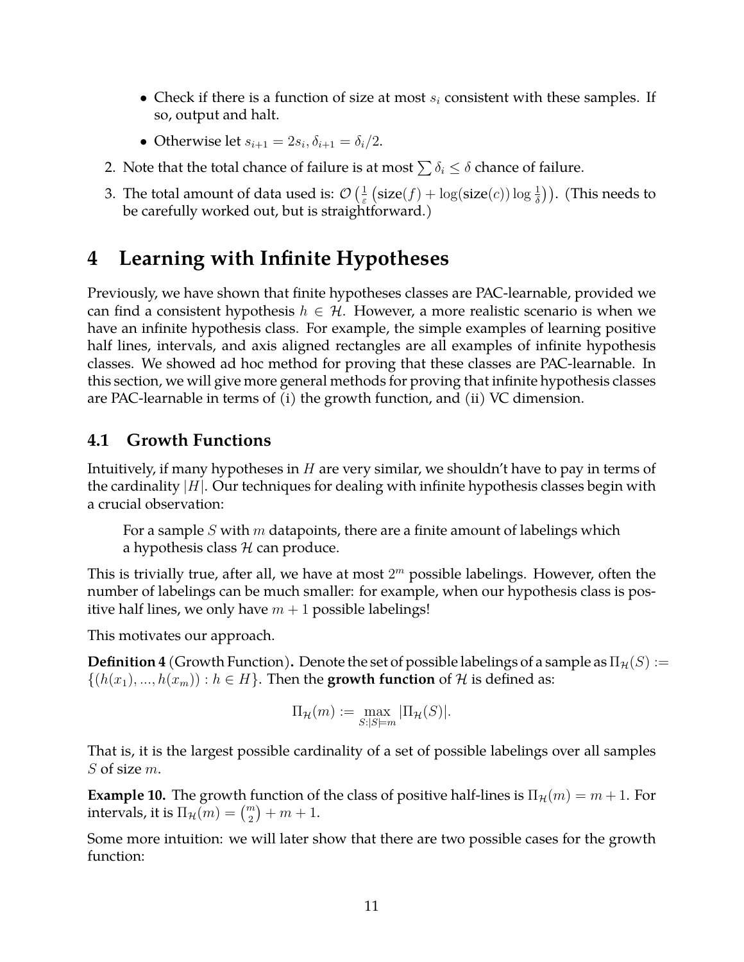- Check if there is a function of size at most  $s_i$  consistent with these samples. If so, output and halt.
- Otherwise let  $s_{i+1} = 2s_i, \delta_{i+1} = \delta_i/2$ .
- 2. Note that the total chance of failure is at most  $\sum \delta_i \leq \delta$  chance of failure.
- 3. The total amount of data used is:  $\mathcal{O}\left(\frac{1}{\varepsilon}\right)$  $\frac{1}{\varepsilon}\left(\textsf{size}(f) + \log(\textsf{size}(c))\log\frac{1}{\delta}\right)$ ). (This needs to be carefully worked out, but is straightforward.)

### <span id="page-10-0"></span>**4 Learning with Infinite Hypotheses**

Previously, we have shown that finite hypotheses classes are PAC-learnable, provided we can find a consistent hypothesis  $h \in \mathcal{H}$ . However, a more realistic scenario is when we have an infinite hypothesis class. For example, the simple examples of learning positive half lines, intervals, and axis aligned rectangles are all examples of infinite hypothesis classes. We showed ad hoc method for proving that these classes are PAC-learnable. In this section, we will give more general methods for proving that infinite hypothesis classes are PAC-learnable in terms of (i) the growth function, and (ii) VC dimension.

### <span id="page-10-1"></span>**4.1 Growth Functions**

Intuitively, if many hypotheses in  $H$  are very similar, we shouldn't have to pay in terms of the cardinality  $|H|$ . Our techniques for dealing with infinite hypothesis classes begin with a crucial observation:

For a sample  $S$  with  $m$  datapoints, there are a finite amount of labelings which a hypothesis class  $H$  can produce.

This is trivially true, after all, we have at most  $2^m$  possible labelings. However, often the number of labelings can be much smaller: for example, when our hypothesis class is positive half lines, we only have  $m + 1$  possible labelings!

This motivates our approach.

**Definition 4** (Growth Function). Denote the set of possible labelings of a sample as  $\Pi_{\mathcal{H}}(S) :=$  $\{(h(x_1),...,h(x_m)): h \in H\}$ . Then the **growth function** of H is defined as:

$$
\Pi_{\mathcal{H}}(m) := \max_{S:|S|=m} |\Pi_{\mathcal{H}}(S)|.
$$

That is, it is the largest possible cardinality of a set of possible labelings over all samples  $S$  of size  $m$ .

**Example 10.** The growth function of the class of positive half-lines is  $\Pi_{\mathcal{H}}(m) = m + 1$ . For intervals, it is  $\Pi_{\mathcal{H}}(m) = \binom{m}{2} + m + 1.$ 

Some more intuition: we will later show that there are two possible cases for the growth function: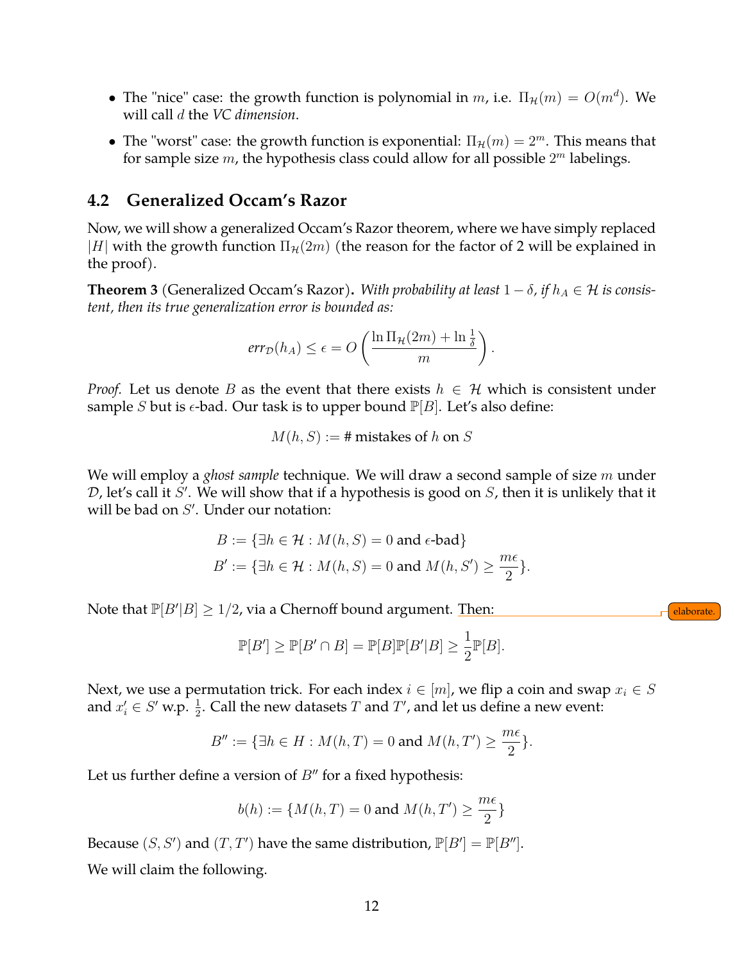- The "nice" case: the growth function is polynomial in m, i.e.  $\Pi_{\mathcal{H}}(m) = O(m^d)$ . We will call d the *VC dimension*.
- The "worst" case: the growth function is exponential:  $\Pi_{\mathcal{H}}(m) = 2^m$ . This means that for sample size  $m$ , the hypothesis class could allow for all possible  $2^m$  labelings.

#### <span id="page-11-0"></span>**4.2 Generalized Occam's Razor**

Now, we will show a generalized Occam's Razor theorem, where we have simply replaced |H| with the growth function  $\Pi_{\mathcal{H}}(2m)$  (the reason for the factor of 2 will be explained in the proof).

<span id="page-11-1"></span>**Theorem 3** (Generalized Occam's Razor). With probability at least  $1 - \delta$ , if  $h_A \in \mathcal{H}$  is consis*tent, then its true generalization error is bounded as:*

$$
err_{\mathcal{D}}(h_A) \le \epsilon = O\left(\frac{\ln \Pi_{\mathcal{H}}(2m) + \ln \frac{1}{\delta}}{m}\right).
$$

*Proof.* Let us denote B as the event that there exists  $h \in \mathcal{H}$  which is consistent under sample S but is  $\epsilon$ -bad. Our task is to upper bound  $\mathbb{P}[B]$ . Let's also define:

$$
M(h, S) :=
$$
# mistakes of h on S

We will employ a *ghost sample* technique. We will draw a second sample of size m under  $D$ , let's call it  $S'$ . We will show that if a hypothesis is good on  $S$ , then it is unlikely that it will be bad on  $S'$ . Under our notation:

$$
B := \{ \exists h \in \mathcal{H} : M(h, S) = 0 \text{ and } \epsilon\text{-bad} \}
$$
  

$$
B' := \{ \exists h \in \mathcal{H} : M(h, S) = 0 \text{ and } M(h, S') \ge \frac{m\epsilon}{2} \}.
$$

Note that  $\mathbb{P}[B'|B]\geq 1/2$ , via a Chernoff bound argument. Then: electron and the subset of  $\epsilon$   $\epsilon$   $\epsilon$ 

$$
\mathbb{P}[B'] \ge \mathbb{P}[B' \cap B] = \mathbb{P}[B]\mathbb{P}[B'|B] \ge \frac{1}{2}\mathbb{P}[B].
$$

Next, we use a permutation trick. For each index  $i \in [m]$ , we flip a coin and swap  $x_i \in S$ and  $x'_i \in S'$  w.p.  $\frac{1}{2}$ . Call the new datasets T and T', and let us define a new event:

$$
B'' := \{ \exists h \in H : M(h, T) = 0 \text{ and } M(h, T') \ge \frac{m\epsilon}{2} \}.
$$

Let us further define a version of  $B''$  for a fixed hypothesis:

$$
b(h) := \{M(h, T) = 0 \text{ and } M(h, T') \ge \frac{m\epsilon}{2}\}
$$

Because  $(S, S')$  and  $(T, T')$  have the same distribution,  $\mathbb{P}[B'] = \mathbb{P}[B'']$ . We will claim the following.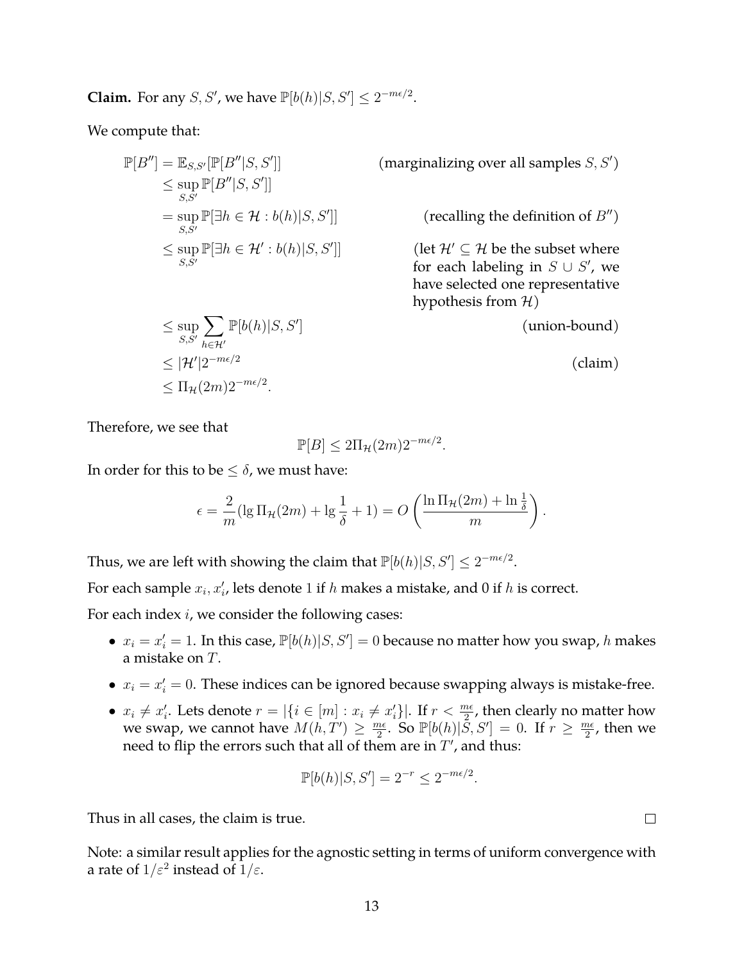**Claim.** For any *S*, *S'*, we have  $\mathbb{P}[b(h)|S, S'] \leq 2^{-m\epsilon/2}$ .

We compute that:

$$
\mathbb{P}[B''] = \mathbb{E}_{S,S'}[\mathbb{P}[B''|S, S']]
$$
  
\n
$$
\leq \sup_{S,S'} \mathbb{P}[B''|S, S']]
$$
  
\n
$$
= \sup_{S,S'} \mathbb{P}[\exists h \in \mathcal{H} : b(h)|S, S']]
$$
  
\n
$$
\leq \sup_{S,S'} \mathbb{P}[\exists h \in \mathcal{H}' : b(h)|S, S']]
$$

 $\Box$  (marginalizing over all samples  $S, S'$ )

 $\Box$  (recalling the definition of  $B''$ )

(let  $\mathcal{H}' \subseteq \mathcal{H}$  be the subset where for each labeling in  $S \cup S'$ , we have selected one representative hypothesis from  $H$ )

(union-bound)

(claim)

Therefore, we see that

 $\leq$  sup  $S, S'$ 

$$
\mathbb{P}[B] \le 2\Pi_{\mathcal{H}}(2m)2^{-m\epsilon/2}.
$$

In order for this to be  $\leq \delta$ , we must have:

 $\sum$  $h \in H'$ 

 $\leq \Pi_{\mathcal{H}}(2m)2^{-m\epsilon/2}.$ 

 $\leq |\mathcal{H}'|2^{-m\epsilon/2}$ 

 $\mathbb{P}[b(h)|S, S']$ 

$$
\epsilon = \frac{2}{m} (\lg \Pi_\mathcal{H}(2m) + \lg \frac{1}{\delta} + 1) = O\left(\frac{\ln \Pi_\mathcal{H}(2m) + \ln \frac{1}{\delta}}{m}\right).
$$

Thus, we are left with showing the claim that  $\mathbb{P}[b(h)|S, S'] \leq 2^{-m\epsilon/2}$ .

For each sample  $x_i, x'_i$ , lets denote 1 if  $h$  makes a mistake, and 0 if  $h$  is correct.

For each index  $i$ , we consider the following cases:

- $x_i = x'_i = 1$ . In this case,  $\mathbb{P}[b(h)|S, S'] = 0$  because no matter how you swap, h makes a mistake on T.
- $x_i = x'_i = 0$ . These indices can be ignored because swapping always is mistake-free.
- $x_i \neq x'_i$ . Lets denote  $r = |\{i \in [m] : x_i \neq x'_i\}|$ . If  $r < \frac{m\epsilon}{2}$ , then clearly no matter how we swap, we cannot have  $M(h, T') \geq \frac{m\epsilon}{2}$  $\frac{n\epsilon}{2}$ . So  $\mathbb{P}[b(h)|\tilde{S},S'] = 0$ . If  $r \geq \frac{m\epsilon}{2}$  $\frac{n\epsilon}{2}$ , then we need to flip the errors such that all of them are in  $T'$ , and thus:

$$
\mathbb{P}[b(h)|S,S'] = 2^{-r} \le 2^{-m\epsilon/2}.
$$

Thus in all cases, the claim is true.

Note: a similar result applies for the agnostic setting in terms of uniform convergence with a rate of  $1/\varepsilon^2$  instead of  $1/\varepsilon.$ 

 $\Box$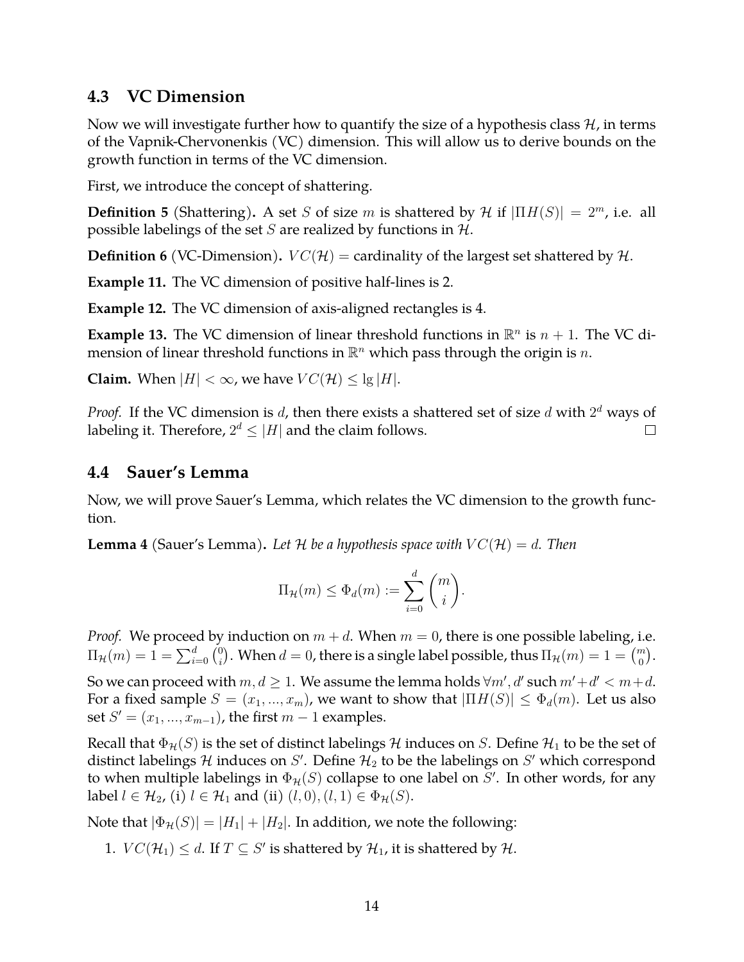### <span id="page-13-0"></span>**4.3 VC Dimension**

Now we will investigate further how to quantify the size of a hypothesis class  $H$ , in terms of the Vapnik-Chervonenkis (VC) dimension. This will allow us to derive bounds on the growth function in terms of the VC dimension.

First, we introduce the concept of shattering.

**Definition 5** (Shattering). A set S of size m is shattered by H if  $|\Pi H(S)| = 2^m$ , i.e. all possible labelings of the set  $S$  are realized by functions in  $H$ .

**Definition 6** (VC-Dimension).  $VC(H)$  = cardinality of the largest set shattered by H.

**Example 11.** The VC dimension of positive half-lines is 2.

**Example 12.** The VC dimension of axis-aligned rectangles is 4.

**Example 13.** The VC dimension of linear threshold functions in  $\mathbb{R}^n$  is  $n + 1$ . The VC dimension of linear threshold functions in  $\mathbb{R}^n$  which pass through the origin is  $n$ .

**Claim.** When  $|H| < \infty$ , we have  $VC(\mathcal{H}) \leq \lg |H|$ .

*Proof.* If the VC dimension is  $d$ , then there exists a shattered set of size  $d$  with  $2^d$  ways of labeling it. Therefore,  $2^d \leq |H|$  and the claim follows.  $\Box$ 

### <span id="page-13-1"></span>**4.4 Sauer's Lemma**

Now, we will prove Sauer's Lemma, which relates the VC dimension to the growth function.

**Lemma 4** (Sauer's Lemma). Let H be a hypothesis space with  $VC(H) = d$ . Then

$$
\Pi_{\mathcal{H}}(m) \leq \Phi_d(m) := \sum_{i=0}^d \binom{m}{i}.
$$

*Proof.* We proceed by induction on  $m + d$ . When  $m = 0$ , there is one possible labeling, i.e.  $\Pi_{\mathcal{H}}(m) = 1 = \sum_{i=0}^{d} {0 \choose i}$  $\hat{h}_i^0$ ). When  $d=0$ , there is a single label possible, thus  $\Pi_{\mathcal{H}}(m)=1={m \choose 0}.$ 

So we can proceed with  $m,d\geq 1.$  We assume the lemma holds  $\forall m',d'$  such  $m'+d' < m+d.$ For a fixed sample  $S = (x_1, ..., x_m)$ , we want to show that  $|\Pi H(S)| \leq \Phi_d(m)$ . Let us also set  $S' = (x_1, ..., x_{m-1})$ , the first  $m - 1$  examples.

Recall that  $\Phi_{\mathcal{H}}(S)$  is the set of distinct labelings H induces on S. Define  $\mathcal{H}_1$  to be the set of distinct labelings H induces on S'. Define  $\mathcal{H}_2$  to be the labelings on S' which correspond to when multiple labelings in  $\Phi_{\mathcal{H}}(S)$  collapse to one label on  $S'$ . In other words, for any label  $l \in \mathcal{H}_2$ , (i)  $l \in \mathcal{H}_1$  and (ii)  $(l, 0), (l, 1) \in \Phi_{\mathcal{H}}(S)$ .

Note that  $|\Phi_{\mathcal{H}}(S)| = |H_1| + |H_2|$ . In addition, we note the following:

1.  $VC(\mathcal{H}_1) \leq d$ . If  $T \subseteq S'$  is shattered by  $\mathcal{H}_1$ , it is shattered by  $\mathcal{H}$ .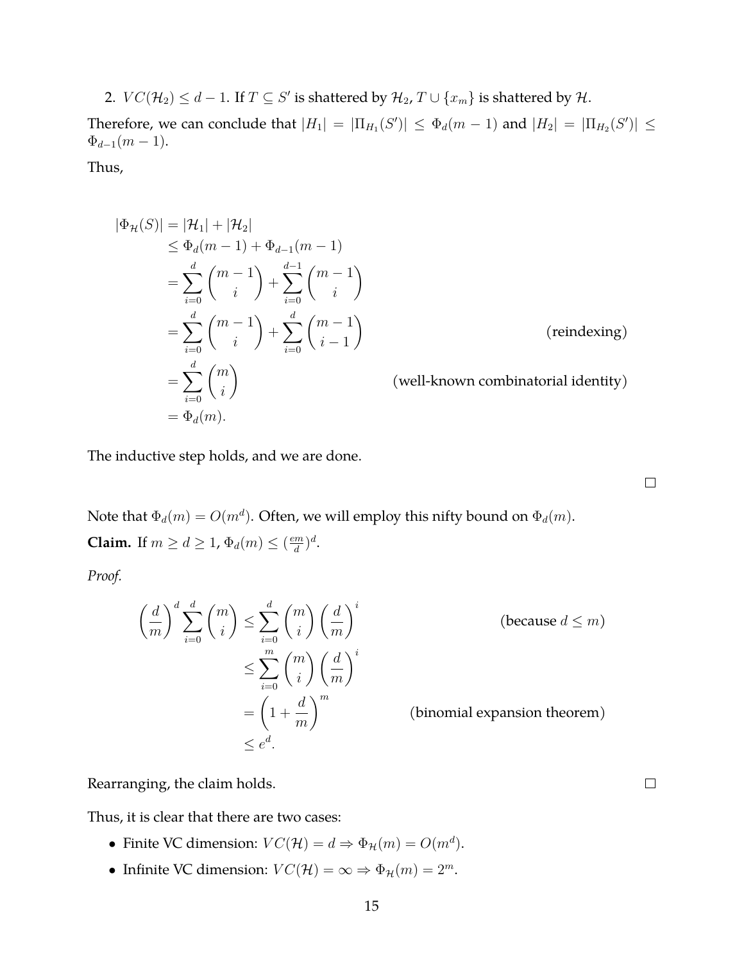2.  $VC(\mathcal{H}_2) \leq d-1$ . If  $T \subseteq S'$  is shattered by  $\mathcal{H}_2$ ,  $T \cup \{x_m\}$  is shattered by  $\mathcal{H}$ .

Therefore, we can conclude that  $|H_1| = |\Pi_{H_1}(S')| \le \Phi_d(m-1)$  and  $|H_2| = |\Pi_{H_2}(S')| \le$  $\Phi_{d-1}(m-1)$ .

Thus,

$$
|\Phi_{\mathcal{H}}(S)| = |\mathcal{H}_{1}| + |\mathcal{H}_{2}|
$$
  
\n
$$
\leq \Phi_{d}(m-1) + \Phi_{d-1}(m-1)
$$
  
\n
$$
= \sum_{i=0}^{d} {m-1 \choose i} + \sum_{i=0}^{d-1} {m-1 \choose i}
$$
  
\n
$$
= \sum_{i=0}^{d} {m-1 \choose i} + \sum_{i=0}^{d} {m-1 \choose i-1}
$$
 (reindexing)  
\n
$$
= \sum_{i=0}^{d} {m \choose i}
$$
 (well-known combinatorial identity)  
\n
$$
= \Phi_{d}(m).
$$

The inductive step holds, and we are done.

Note that  $\Phi_d(m) = O(m^d)$ . Often, we will employ this nifty bound on  $\Phi_d(m)$ . **Claim.** If  $m \geq d \geq 1$ ,  $\Phi_d(m) \leq \left(\frac{em}{d}\right)$  $\frac{m}{d}$ <sup> $)^d$ </sup>.

*Proof.*

$$
\left(\frac{d}{m}\right)^d \sum_{i=0}^d {m \choose i} \le \sum_{i=0}^d {m \choose i} \left(\frac{d}{m}\right)^i \qquad \text{(because } d \le m)
$$
  

$$
\le \sum_{i=0}^m {m \choose i} \left(\frac{d}{m}\right)^i
$$
  

$$
= \left(1 + \frac{d}{m}\right)^m \qquad \text{(binomial expansion theorem)}
$$
  

$$
\le e^d.
$$

Rearranging, the claim holds.

Thus, it is clear that there are two cases:

- Finite VC dimension:  $VC(\mathcal{H}) = d \Rightarrow \Phi_{\mathcal{H}}(m) = O(m^d)$ .
- Infinite VC dimension:  $VC(\mathcal{H}) = \infty \Rightarrow \Phi_{\mathcal{H}}(m) = 2^m$ .

 $\Box$ 

 $\Box$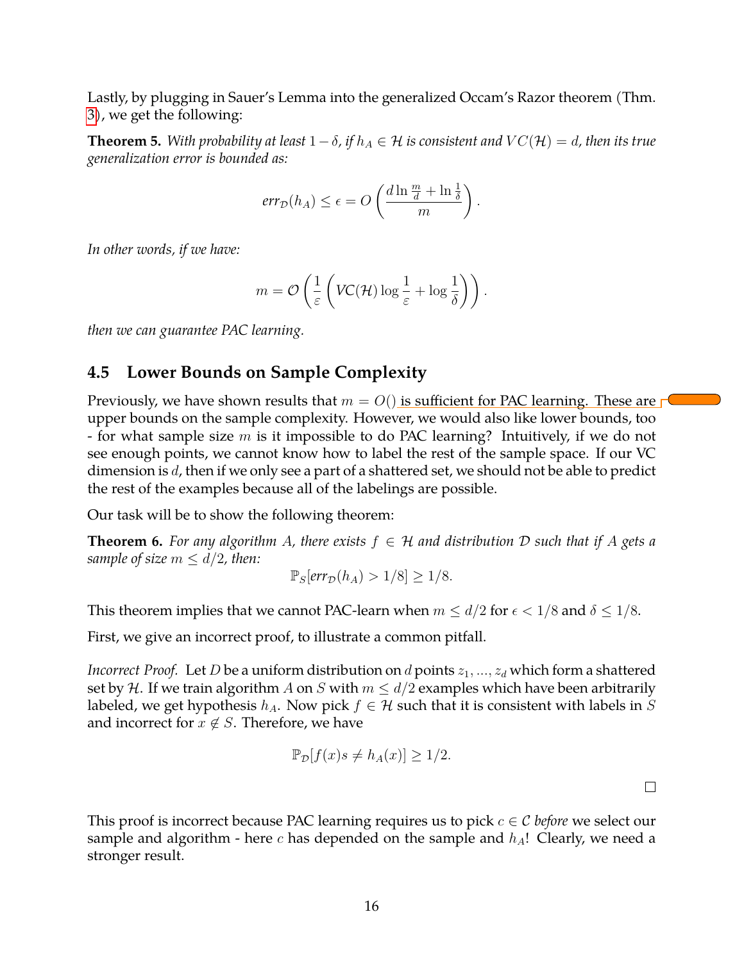Lastly, by plugging in Sauer's Lemma into the generalized Occam's Razor theorem (Thm. [3\)](#page-11-1), we get the following:

**Theorem 5.** *With probability at least*  $1-\delta$ , *if*  $h_A \in \mathcal{H}$  *is consistent and*  $VC(\mathcal{H}) = d$ , *then its true generalization error is bounded as:*

$$
err_{\mathcal{D}}(h_A) \le \epsilon = O\left(\frac{d \ln \frac{m}{d} + \ln \frac{1}{\delta}}{m}\right).
$$

*In other words, if we have:*

$$
m = \mathcal{O}\left(\frac{1}{\varepsilon}\left(VC(\mathcal{H})\log\frac{1}{\varepsilon} + \log\frac{1}{\delta}\right)\right).
$$

*then we can guarantee PAC learning.*

### <span id="page-15-0"></span>**4.5 Lower Bounds on Sample Complexity**

Previously, we have shown results that  $m = O($ ) is sufficient for PAC learning. These are  $\Box$ upper bounds on the sample complexity. However, we would also like lower bounds, too - for what sample size  $m$  is it impossible to do PAC learning? Intuitively, if we do not see enough points, we cannot know how to label the rest of the sample space. If our VC dimension is d, then if we only see a part of a shattered set, we should not be able to predict the rest of the examples because all of the labelings are possible.

Our task will be to show the following theorem:

**Theorem 6.** For any algorithm A, there exists  $f \in H$  and distribution D such that if A gets a *sample of size*  $m \le d/2$ , then:

$$
\mathbb{P}_S[err_{\mathcal{D}}(h_A) > 1/8] \ge 1/8.
$$

This theorem implies that we cannot PAC-learn when  $m \le d/2$  for  $\epsilon < 1/8$  and  $\delta \le 1/8$ .

First, we give an incorrect proof, to illustrate a common pitfall.

*Incorrect Proof.* Let *D* be a uniform distribution on *d* points  $z_1, ..., z_d$  which form a shattered set by H. If we train algorithm A on S with  $m \le d/2$  examples which have been arbitrarily labeled, we get hypothesis  $h_A$ . Now pick  $f \in \mathcal{H}$  such that it is consistent with labels in S and incorrect for  $x \notin S$ . Therefore, we have

$$
\mathbb{P}_{\mathcal{D}}[f(x)s \neq h_A(x)] \geq 1/2.
$$

This proof is incorrect because PAC learning requires us to pick  $c \in \mathcal{C}$  *before* we select our sample and algorithm - here c has depended on the sample and  $h_A$ ! Clearly, we need a stronger result.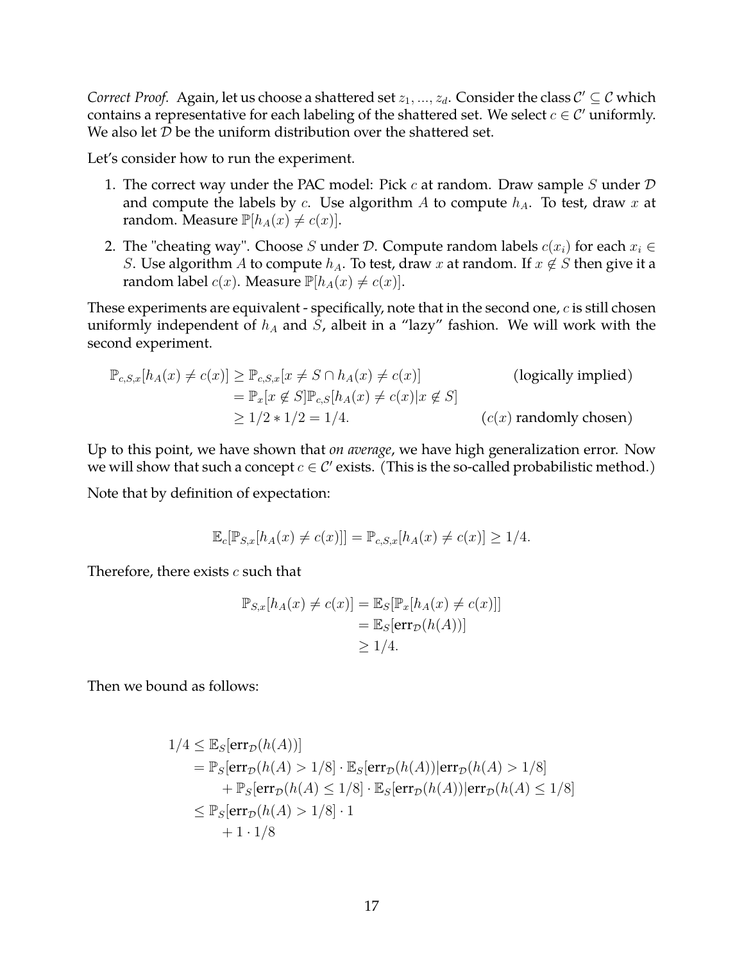*Correct Proof.* Again, let us choose a shattered set  $z_1, ..., z_d$ . Consider the class  $\mathcal{C}' \subseteq \mathcal{C}$  which contains a representative for each labeling of the shattered set. We select  $c \in \mathcal{C}'$  uniformly. We also let  $D$  be the uniform distribution over the shattered set.

Let's consider how to run the experiment.

- 1. The correct way under the PAC model: Pick  $c$  at random. Draw sample  $S$  under  $D$ and compute the labels by c. Use algorithm A to compute  $h_A$ . To test, draw x at random. Measure  $\mathbb{P}[h_A(x) \neq c(x)]$ .
- 2. The "cheating way". Choose S under D. Compute random labels  $c(x_i)$  for each  $x_i \in$ *S*. Use algorithm *A* to compute  $h_A$ . To test, draw x at random. If  $x \notin S$  then give it a random label  $c(x)$ . Measure  $\mathbb{P}[h_A(x) \neq c(x)]$ .

These experiments are equivalent - specifically, note that in the second one,  $c$  is still chosen uniformly independent of  $h_A$  and  $S$ , albeit in a "lazy" fashion. We will work with the second experiment.

$$
\mathbb{P}_{c,S,x}[h_A(x) \neq c(x)] \geq \mathbb{P}_{c,S,x}[x \neq S \cap h_A(x) \neq c(x)]
$$
 (logically implied)  
\n
$$
= \mathbb{P}_x[x \notin S] \mathbb{P}_{c,S}[h_A(x) \neq c(x)|x \notin S]
$$
  
\n
$$
\geq 1/2 * 1/2 = 1/4.
$$
 (c(x) randomly chosen)

Up to this point, we have shown that *on average*, we have high generalization error. Now we will show that such a concept  $c \in \mathcal{C}'$  exists. (This is the so-called probabilistic method.)

Note that by definition of expectation:

$$
\mathbb{E}_c[\mathbb{P}_{S,x}[h_A(x) \neq c(x)]] = \mathbb{P}_{c,S,x}[h_A(x) \neq c(x)] \geq 1/4.
$$

Therefore, there exists  $c$  such that

$$
\mathbb{P}_{S,x}[h_A(x) \neq c(x)] = \mathbb{E}_S[\mathbb{P}_x[h_A(x) \neq c(x)]]
$$
  
=  $\mathbb{E}_S[\text{err}_{\mathcal{D}}(h(A))]$   
 $\geq 1/4.$ 

Then we bound as follows:

$$
1/4 \leq \mathbb{E}_{S}[\text{err}_{\mathcal{D}}(h(A))]
$$
  
=  $\mathbb{P}_{S}[\text{err}_{\mathcal{D}}(h(A) > 1/8] \cdot \mathbb{E}_{S}[\text{err}_{\mathcal{D}}(h(A)) | \text{err}_{\mathcal{D}}(h(A) > 1/8]$   
+  $\mathbb{P}_{S}[\text{err}_{\mathcal{D}}(h(A) \leq 1/8] \cdot \mathbb{E}_{S}[\text{err}_{\mathcal{D}}(h(A)) | \text{err}_{\mathcal{D}}(h(A) \leq 1/8]$   
 $\leq \mathbb{P}_{S}[\text{err}_{\mathcal{D}}(h(A) > 1/8] \cdot 1$   
+ 1 \cdot 1/8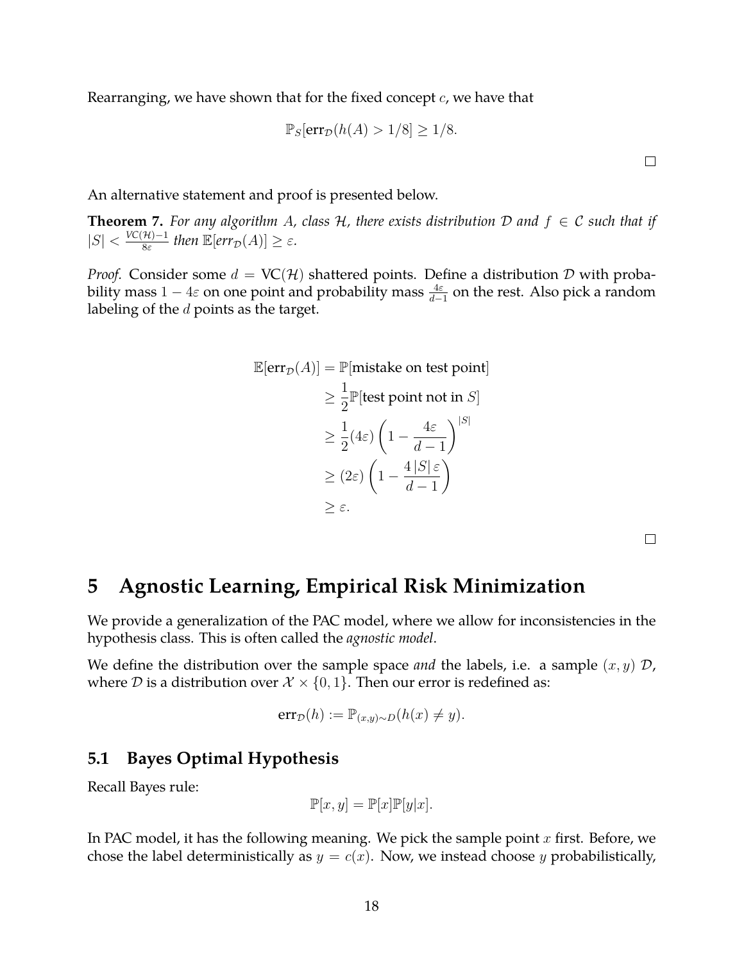Rearranging, we have shown that for the fixed concept  $c$ , we have that

$$
\mathbb{P}_S[\text{err}_{\mathcal{D}}(h(A) > 1/8] \ge 1/8.
$$

An alternative statement and proof is presented below.

**Theorem 7.** For any algorithm A, class H, there exists distribution D and  $f \in C$  such that if  $|S| < \frac{VC(\mathcal{H})-1}{8\varepsilon}$  $\frac{\mathcal{H})-1}{8\varepsilon}$  then  $\mathbb{E}[err_{\mathcal{D}}(A)] \geq \varepsilon$ .

*Proof.* Consider some  $d = VC(H)$  shattered points. Define a distribution D with probability mass  $1-4\varepsilon$  on one point and probability mass  $\frac{4\varepsilon}{d-1}$  on the rest. Also pick a random labeling of the  $d$  points as the target.

$$
\mathbb{E}[\text{err}_{\mathcal{D}}(A)] = \mathbb{P}[\text{mistake on test point}]
$$
  
\n
$$
\geq \frac{1}{2} \mathbb{P}[\text{test point not in } S]
$$
  
\n
$$
\geq \frac{1}{2} (4\varepsilon) \left(1 - \frac{4\varepsilon}{d - 1}\right)^{|S|}
$$
  
\n
$$
\geq (2\varepsilon) \left(1 - \frac{4|S|\varepsilon}{d - 1}\right)
$$
  
\n
$$
\geq \varepsilon.
$$

 $\Box$ 

 $\Box$ 

### <span id="page-17-0"></span>**5 Agnostic Learning, Empirical Risk Minimization**

We provide a generalization of the PAC model, where we allow for inconsistencies in the hypothesis class. This is often called the *agnostic model*.

We define the distribution over the sample space *and* the labels, i.e. a sample  $(x, y)$  D, where  $D$  is a distribution over  $\mathcal{X} \times \{0, 1\}$ . Then our error is redefined as:

$$
err_{\mathcal{D}}(h) := \mathbb{P}_{(x,y)\sim D}(h(x) \neq y).
$$

#### <span id="page-17-1"></span>**5.1 Bayes Optimal Hypothesis**

Recall Bayes rule:

$$
\mathbb{P}[x, y] = \mathbb{P}[x] \mathbb{P}[y|x].
$$

In PAC model, it has the following meaning. We pick the sample point  $x$  first. Before, we chose the label deterministically as  $y = c(x)$ . Now, we instead choose y probabilistically,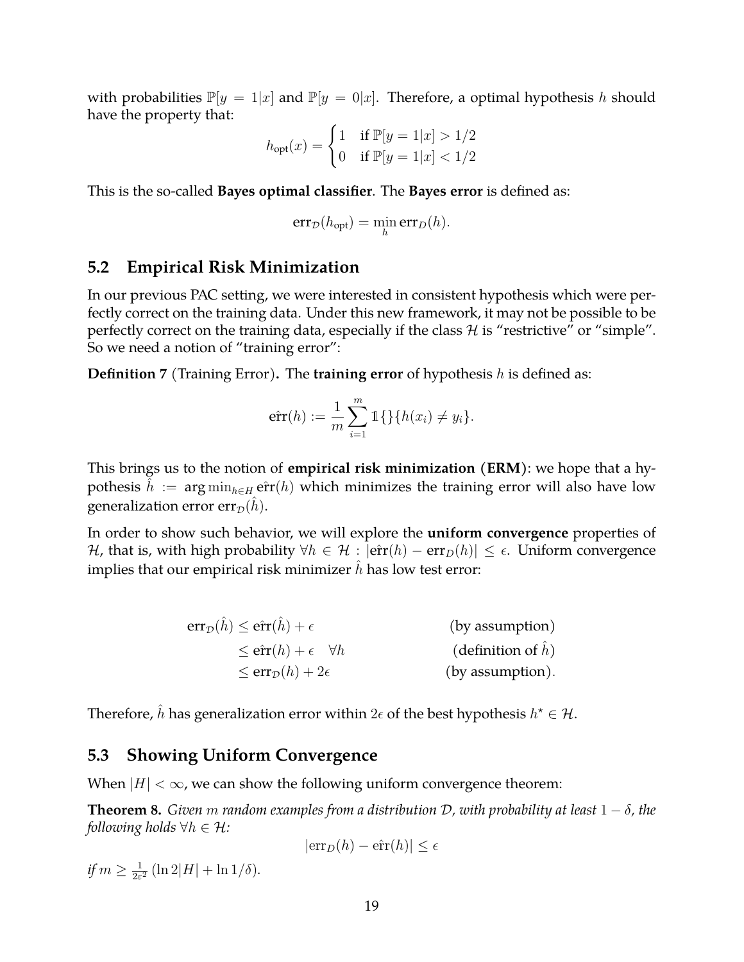with probabilities  $\mathbb{P}[y = 1|x]$  and  $\mathbb{P}[y = 0|x]$ . Therefore, a optimal hypothesis h should have the property that:

$$
h_{\text{opt}}(x) = \begin{cases} 1 & \text{if } \mathbb{P}[y=1|x] > 1/2 \\ 0 & \text{if } \mathbb{P}[y=1|x] < 1/2 \end{cases}
$$

This is the so-called **Bayes optimal classifier**. The **Bayes error** is defined as:

$$
err_{\mathcal{D}}(h_{\text{opt}}) = \min_{h} err_{D}(h).
$$

#### <span id="page-18-0"></span>**5.2 Empirical Risk Minimization**

In our previous PAC setting, we were interested in consistent hypothesis which were perfectly correct on the training data. Under this new framework, it may not be possible to be perfectly correct on the training data, especially if the class  $H$  is "restrictive" or "simple". So we need a notion of "training error":

**Definition 7** (Training Error)**.** The **training error** of hypothesis h is defined as:

$$
\hat{err}(h) := \frac{1}{m} \sum_{i=1}^{m} 1 \{ \} \{ h(x_i) \neq y_i \}.
$$

This brings us to the notion of **empirical risk minimization (ERM)**: we hope that a hypothesis  $\hat{h} := \arg \min_{h \in H} \hat{err}(h)$  which minimizes the training error will also have low generalization error err<sub> $\mathcal{D}(h)$ </sub>.

In order to show such behavior, we will explore the **uniform convergence** properties of *H*, that is, with high probability  $\forall h \in \mathcal{H} : |\hat{\text{err}}(h) - \text{err}_D(h)| \leq \epsilon$ . Uniform convergence implies that our empirical risk minimizer  $h$  has low test error:

$$
err_{\mathcal{D}}(\hat{h}) \le \hat{err}(\hat{h}) + \epsilon \qquad \qquad \text{(by assumption)}
$$
  
\n
$$
\le \hat{err}_{\mathcal{D}}(h) + \epsilon \qquad \forall h \qquad \qquad \text{(definition of } \hat{h})
$$
  
\n
$$
\le \text{err}_{\mathcal{D}}(h) + 2\epsilon \qquad \qquad \text{(by assumption)}.
$$

Therefore,  $\hat{h}$  has generalization error within  $2\epsilon$  of the best hypothesis  $h^\star \in \mathcal{H}.$ 

#### <span id="page-18-1"></span>**5.3 Showing Uniform Convergence**

When  $|H| < \infty$ , we can show the following uniform convergence theorem:

**Theorem 8.** *Given* m *random examples from a distribution*  $D$ , with probability at least  $1 - \delta$ , the *following holds*  $\forall h \in \mathcal{H}$ *:* 

$$
|\text{err}_D(h) - \hat{\text{err}}(h)| \le \epsilon
$$

if  $m \geq \frac{1}{2\varepsilon}$  $\frac{1}{2\varepsilon^2}$  (ln 2|H| + ln 1/ $\delta$ ).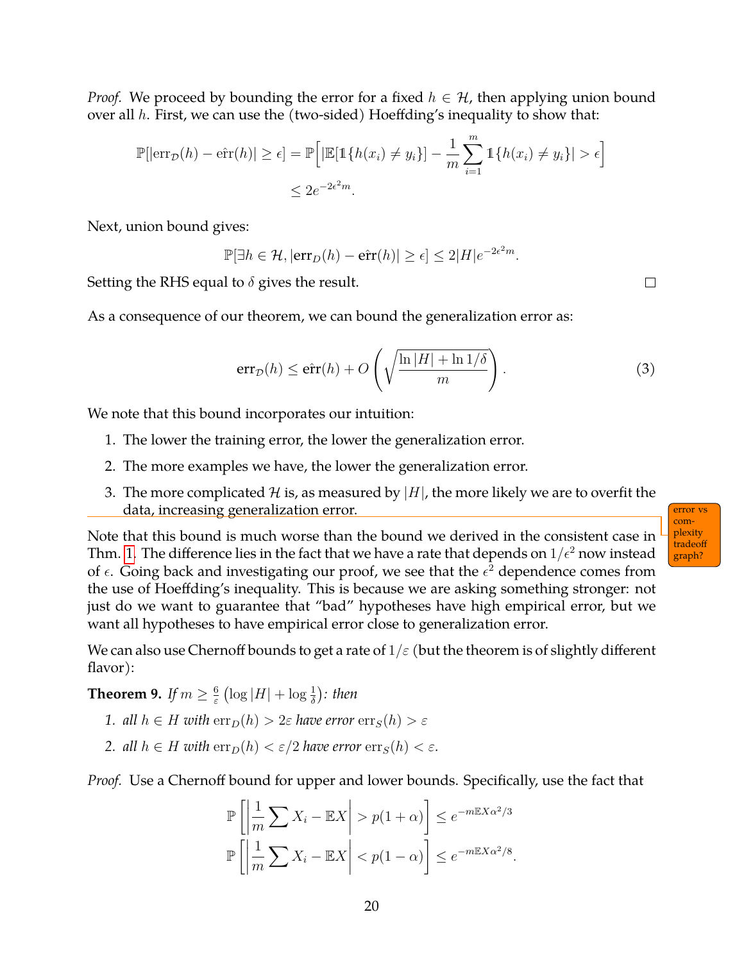*Proof.* We proceed by bounding the error for a fixed  $h \in \mathcal{H}$ , then applying union bound over all  $h$ . First, we can use the (two-sided) Hoeffding's inequality to show that:

$$
\mathbb{P}[\left|\operatorname{err}_{\mathcal{D}}(h) - \hat{\operatorname{err}}(h)\right| \geq \epsilon] = \mathbb{P}\left[\left|\mathbb{E}[\mathbb{1}\{h(x_i) \neq y_i\}] - \frac{1}{m} \sum_{i=1}^{m} \mathbb{1}\{h(x_i) \neq y_i\}\right| > \epsilon\right]
$$
  

$$
\leq 2e^{-2\epsilon^2 m}.
$$

Next, union bound gives:

 $\mathbb{P}[\exists h \in \mathcal{H}, |\text{err}_D(h) - \hat{\text{err}}(h)| \ge \epsilon] \le 2|H|e^{-2\epsilon^2 m}.$ 

Setting the RHS equal to  $\delta$  gives the result.

As a consequence of our theorem, we can bound the generalization error as:

<span id="page-19-0"></span>
$$
err_{\mathcal{D}}(h) \le \hat{err}(h) + O\left(\sqrt{\frac{\ln|H| + \ln 1/\delta}{m}}\right).
$$
\n(3)

We note that this bound incorporates our intuition:

- 1. The lower the training error, the lower the generalization error.
- 2. The more examples we have, the lower the generalization error.
- 3. The more complicated H is, as measured by  $|H|$ , the more likely we are to overfit the data, increasing generalization error.

Note that this bound is much worse than the bound we derived in the consistent case in Thm. [1.](#page-7-2) The difference lies in the fact that we have a rate that depends on  $1/\epsilon^2$  now instead of  $\epsilon$ . Going back and investigating our proof, we see that the  $\epsilon^2$  dependence comes from the use of Hoeffding's inequality. This is because we are asking something stronger: not just do we want to guarantee that "bad" hypotheses have high empirical error, but we want all hypotheses to have empirical error close to generalization error.

We can also use Chernoff bounds to get a rate of  $1/\varepsilon$  (but the theorem is of slightly different flavor):

**Theorem 9.** *If*  $m \geq \frac{6}{5}$  $\frac{6}{\varepsilon}\left(\log|H|+\log\frac{1}{\delta}\right)$ : then

- *1. all*  $h \in H$  *with*  $\text{err}_D(h) > 2\varepsilon$  *have error*  $\text{err}_S(h) > \varepsilon$
- *2. all*  $h \in H$  *with*  $\text{err}_D(h) < \varepsilon/2$  *have error*  $\text{err}_S(h) < \varepsilon$ *.*

*Proof.* Use a Chernoff bound for upper and lower bounds. Specifically, use the fact that

$$
\mathbb{P}\left[\left|\frac{1}{m}\sum X_i - \mathbb{E}X\right| > p(1+\alpha)\right] \le e^{-m\mathbb{E}X\alpha^2/3}
$$

$$
\mathbb{P}\left[\left|\frac{1}{m}\sum X_i - \mathbb{E}X\right| < p(1-\alpha)\right] \le e^{-m\mathbb{E}X\alpha^2/8}.
$$

| error vs |  |
|----------|--|
| com-     |  |
| plexity  |  |
| tradeoff |  |
| graph?   |  |
|          |  |

 $\Box$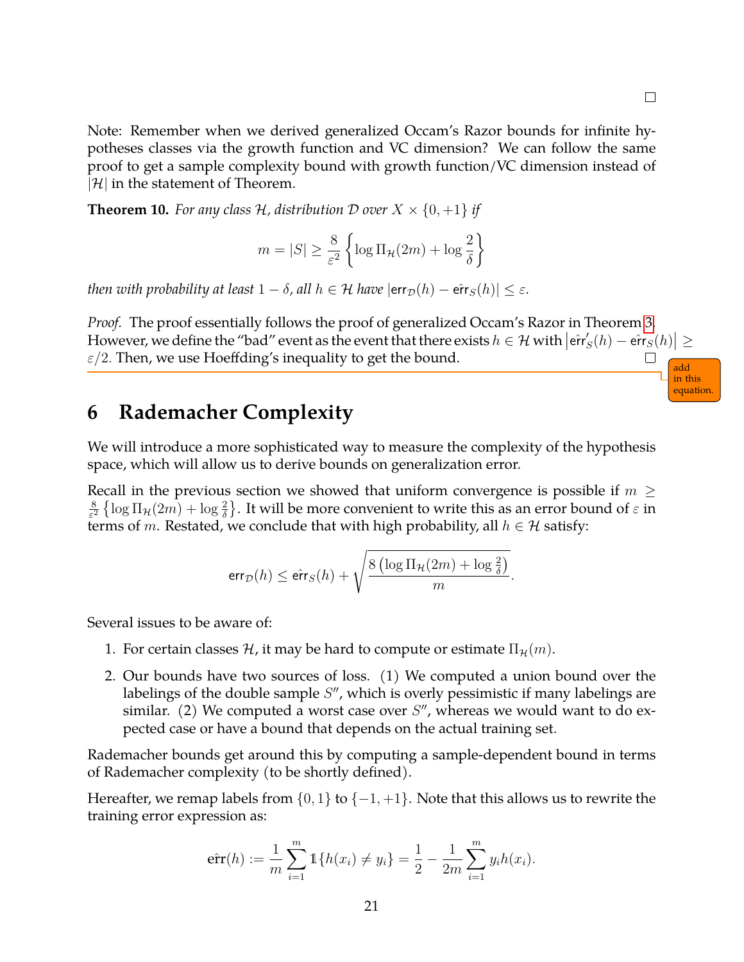in this equation

Note: Remember when we derived generalized Occam's Razor bounds for infinite hypotheses classes via the growth function and VC dimension? We can follow the same proof to get a sample complexity bound with growth function/VC dimension instead of  $|\mathcal{H}|$  in the statement of Theorem.

**Theorem 10.** For any class H, distribution D over  $X \times \{0, +1\}$  if

$$
m=|S|\geq \frac{8}{\varepsilon^2}\left\{\log \Pi_\mathcal{H}(2m)+\log \frac{2}{\delta}\right\}
$$

*then with probability at least*  $1 - \delta$ , all  $h \in \mathcal{H}$  *have*  $|\textsf{err}_{\mathcal{D}}(h) - \hat{\textsf{err}}_{S}(h)| \leq \varepsilon$ .

*Proof.* The proof essentially follows the proof of generalized Occam's Razor in Theorem [3.](#page-11-1) However, we define the "bad" event as the event that there exists  $h \in \mathcal{H}$  with  $\left| \hat{\text{err}} \right|$  $S'_S(h) - \hat{\textsf{err}}_S(h) \big| \geq 0$  $\varepsilon/2$ . Then, we use Hoeffding's inequality to get the bound. add

### <span id="page-20-0"></span>**6 Rademacher Complexity**

We will introduce a more sophisticated way to measure the complexity of the hypothesis space, which will allow us to derive bounds on generalization error.

Recall in the previous section we showed that uniform convergence is possible if  $m \geq$ 8  $\frac{8}{\varepsilon^2}$   $\{\log \Pi_\mathcal{H}(2m) + \log \frac{2}{\delta}\}.$  It will be more convenient to write this as an error bound of  $\varepsilon$  in terms of m. Restated, we conclude that with high probability, all  $h \in \mathcal{H}$  satisfy:

$$
\textsf{err}_{\mathcal{D}}(h) \leq \hat{\textsf{err}}_S(h) + \sqrt{\frac{8\left(\log \Pi_\mathcal{H}(2m) + \log \frac{2}{\delta}\right)}{m}}.
$$

Several issues to be aware of:

- 1. For certain classes H, it may be hard to compute or estimate  $\Pi_{\mathcal{H}}(m)$ .
- 2. Our bounds have two sources of loss. (1) We computed a union bound over the labelings of the double sample  $S''$ , which is overly pessimistic if many labelings are similar. (2) We computed a worst case over  $S''$ , whereas we would want to do expected case or have a bound that depends on the actual training set.

Rademacher bounds get around this by computing a sample-dependent bound in terms of Rademacher complexity (to be shortly defined).

Hereafter, we remap labels from  $\{0,1\}$  to  $\{-1,+1\}$ . Note that this allows us to rewrite the training error expression as:

$$
\hat{\text{err}}(h) := \frac{1}{m} \sum_{i=1}^{m} \mathbb{1}\{h(x_i) \neq y_i\} = \frac{1}{2} - \frac{1}{2m} \sum_{i=1}^{m} y_i h(x_i).
$$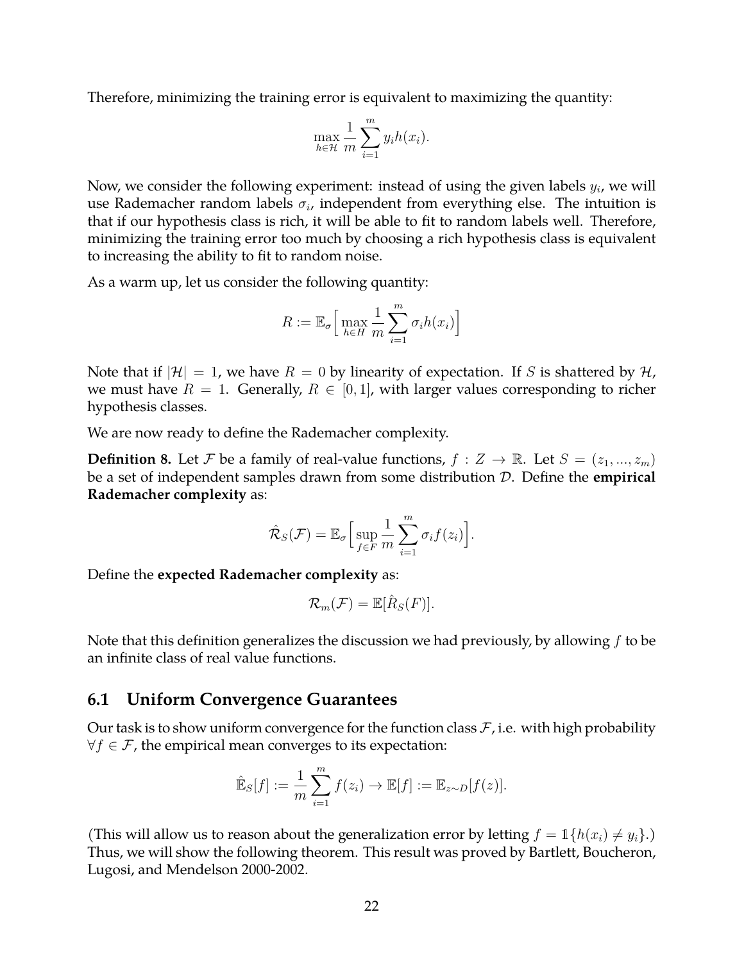Therefore, minimizing the training error is equivalent to maximizing the quantity:

$$
\max_{h \in \mathcal{H}} \frac{1}{m} \sum_{i=1}^{m} y_i h(x_i).
$$

Now, we consider the following experiment: instead of using the given labels  $y_i$ , we will use Rademacher random labels  $\sigma_i$ , independent from everything else. The intuition is that if our hypothesis class is rich, it will be able to fit to random labels well. Therefore, minimizing the training error too much by choosing a rich hypothesis class is equivalent to increasing the ability to fit to random noise.

As a warm up, let us consider the following quantity:

$$
R := \mathbb{E}_{\sigma} \left[ \max_{h \in H} \frac{1}{m} \sum_{i=1}^{m} \sigma_i h(x_i) \right]
$$

Note that if  $|\mathcal{H}| = 1$ , we have  $R = 0$  by linearity of expectation. If S is shattered by  $\mathcal{H}$ , we must have  $R = 1$ . Generally,  $R \in [0, 1]$ , with larger values corresponding to richer hypothesis classes.

We are now ready to define the Rademacher complexity.

**Definition 8.** Let F be a family of real-value functions,  $f : Z \to \mathbb{R}$ . Let  $S = (z_1, ..., z_m)$ be a set of independent samples drawn from some distribution D. Define the **empirical Rademacher complexity** as:

$$
\hat{\mathcal{R}}_S(\mathcal{F}) = \mathbb{E}_{\sigma} \Big[ \sup_{f \in F} \frac{1}{m} \sum_{i=1}^m \sigma_i f(z_i) \Big].
$$

Define the **expected Rademacher complexity** as:

$$
\mathcal{R}_m(\mathcal{F}) = \mathbb{E}[\hat{R}_S(F)].
$$

Note that this definition generalizes the discussion we had previously, by allowing  $f$  to be an infinite class of real value functions.

#### <span id="page-21-0"></span>**6.1 Uniform Convergence Guarantees**

Our task is to show uniform convergence for the function class  $\mathcal F$ , i.e. with high probability  $\forall f \in \mathcal{F}$ , the empirical mean converges to its expectation:

$$
\hat{\mathbb{E}}_S[f] := \frac{1}{m} \sum_{i=1}^m f(z_i) \to \mathbb{E}[f] := \mathbb{E}_{z \sim D}[f(z)].
$$

<span id="page-21-1"></span>(This will allow us to reason about the generalization error by letting  $f = \mathbb{1}\{h(x_i) \neq y_i\}$ .) Thus, we will show the following theorem. This result was proved by Bartlett, Boucheron, Lugosi, and Mendelson 2000-2002.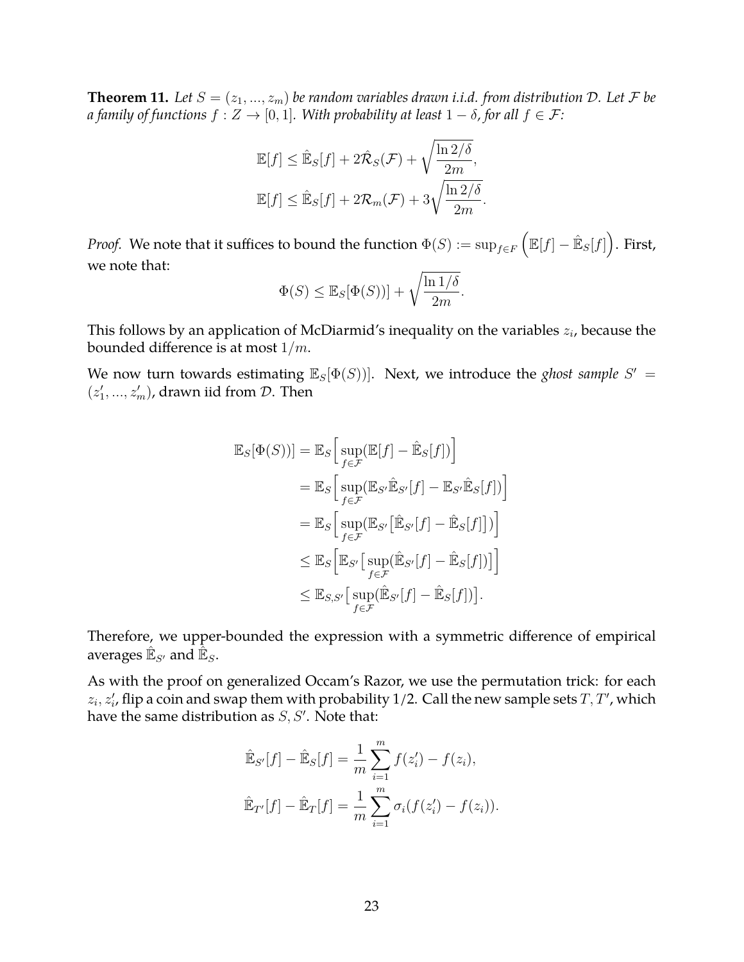**Theorem 11.** Let  $S = (z_1, ..., z_m)$  be random variables drawn *i.i.d.* from distribution D. Let F be *a family of functions*  $f : Z \to [0, 1]$ *. With probability at least*  $1 - \delta$ *, for all*  $f \in \mathcal{F}$ *:* 

$$
\mathbb{E}[f] \leq \hat{\mathbb{E}}_S[f] + 2\hat{\mathcal{R}}_S(\mathcal{F}) + \sqrt{\frac{\ln 2/\delta}{2m}},
$$
  

$$
\mathbb{E}[f] \leq \hat{\mathbb{E}}_S[f] + 2\mathcal{R}_m(\mathcal{F}) + 3\sqrt{\frac{\ln 2/\delta}{2m}}.
$$

*Proof.* We note that it suffices to bound the function  $\Phi(S):=\sup_{f\in F}\left(\mathbb{E}[f]-\hat{\mathbb{E}}_S[f]\right)$ . First, we note that:

$$
\Phi(S) \leq \mathbb{E}_S[\Phi(S))] + \sqrt{\frac{\ln 1/\delta}{2m}}.
$$

This follows by an application of McDiarmid's inequality on the variables  $z_i$ , because the bounded difference is at most  $1/m$ .

We now turn towards estimating  $\mathbb{E}_S[\Phi(S))]$ . Next, we introduce the *ghost sample*  $S'$  =  $(z'_1, ..., z'_m)$ , drawn iid from  $D$ . Then

$$
\mathbb{E}_{S}[\Phi(S))] = \mathbb{E}_{S} \Big[ \sup_{f \in \mathcal{F}} (\mathbb{E}[f] - \hat{\mathbb{E}}_{S}[f]) \Big] \n= \mathbb{E}_{S} \Big[ \sup_{f \in \mathcal{F}} (\mathbb{E}_{S'} \hat{\mathbb{E}}_{S'}[f] - \mathbb{E}_{S'} \hat{\mathbb{E}}_{S}[f]) \Big] \n= \mathbb{E}_{S} \Big[ \sup_{f \in \mathcal{F}} (\mathbb{E}_{S'} [\hat{\mathbb{E}}_{S'}[f] - \hat{\mathbb{E}}_{S}[f])] \Big] \n\leq \mathbb{E}_{S} \Big[ \mathbb{E}_{S'} \Big[ \sup_{f \in \mathcal{F}} (\hat{\mathbb{E}}_{S'}[f] - \hat{\mathbb{E}}_{S}[f]) \Big] \Big] \n\leq \mathbb{E}_{S,S'} \Big[ \sup_{f \in \mathcal{F}} (\hat{\mathbb{E}}_{S'}[f] - \hat{\mathbb{E}}_{S}[f]) \Big].
$$

Therefore, we upper-bounded the expression with a symmetric difference of empirical averages  $\mathbb{\hat{E}}_{S'}$  and  $\mathbb{\hat{\bar{E}}}_S$ .

As with the proof on generalized Occam's Razor, we use the permutation trick: for each  $z_i, z'_i$ , flip a coin and swap them with probability 1/2. Call the new sample sets  $T, T'$ , which have the same distribution as  $S, S'$ . Note that:

$$
\hat{\mathbb{E}}_{S'}[f] - \hat{\mathbb{E}}_S[f] = \frac{1}{m} \sum_{i=1}^m f(z'_i) - f(z_i),
$$
  

$$
\hat{\mathbb{E}}_{T'}[f] - \hat{\mathbb{E}}_T[f] = \frac{1}{m} \sum_{i=1}^m \sigma_i (f(z'_i) - f(z_i)).
$$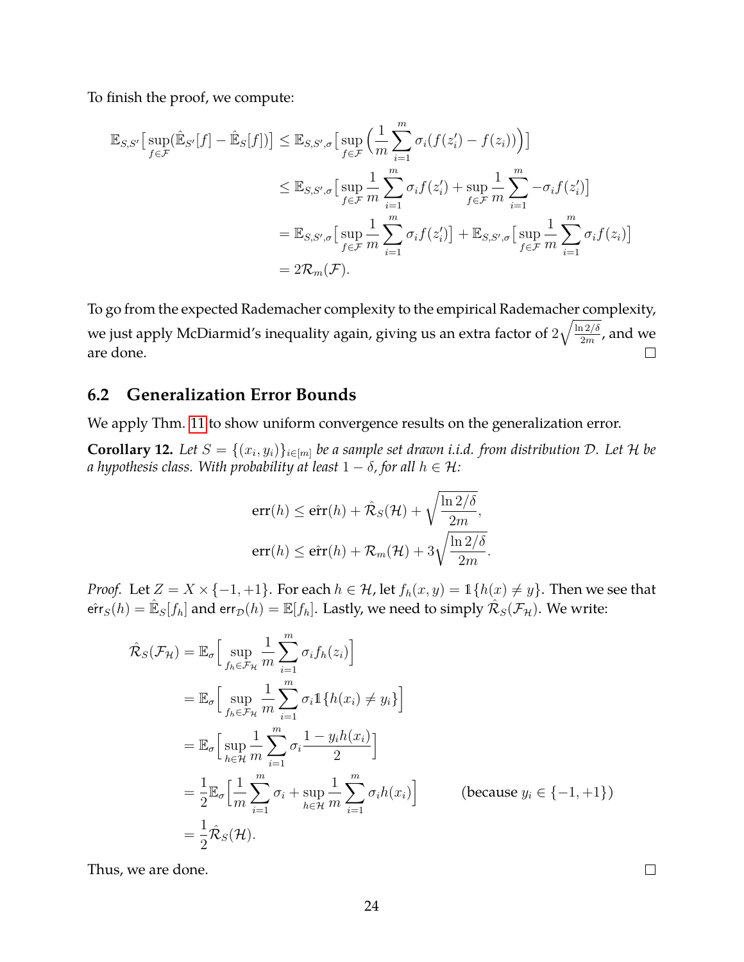To finish the proof, we compute:

$$
\mathbb{E}_{S,S'}\left[\sup_{f\in\mathcal{F}}(\hat{\mathbb{E}}_{S'}[f] - \hat{\mathbb{E}}_S[f])\right] \leq \mathbb{E}_{S,S',\sigma}\left[\sup_{f\in\mathcal{F}}\left(\frac{1}{m}\sum_{i=1}^m \sigma_i(f(z_i') - f(z_i))\right)\right]
$$
  

$$
\leq \mathbb{E}_{S,S',\sigma}\left[\sup_{f\in\mathcal{F}}\frac{1}{m}\sum_{i=1}^m \sigma_i f(z_i') + \sup_{f\in\mathcal{F}}\frac{1}{m}\sum_{i=1}^m -\sigma_i f(z_i')\right]
$$
  

$$
= \mathbb{E}_{S,S',\sigma}\left[\sup_{f\in\mathcal{F}}\frac{1}{m}\sum_{i=1}^m \sigma_i f(z_i')\right] + \mathbb{E}_{S,S',\sigma}\left[\sup_{f\in\mathcal{F}}\frac{1}{m}\sum_{i=1}^m \sigma_i f(z_i)\right]
$$
  

$$
= 2\mathcal{R}_m(\mathcal{F}).
$$

To go from the expected Rademacher complexity to the empirical Rademacher complexity, we just apply McDiarmid's inequality again, giving us an extra factor of  $2\sqrt{\frac{\ln 2/\delta}{2m}}$  $\frac{12/6}{2m}$ , and we are done.  $\Box$ 

#### <span id="page-23-0"></span>**6.2 Generalization Error Bounds**

We apply Thm. [11](#page-21-1) to show uniform convergence results on the generalization error.

<span id="page-23-1"></span>**Corollary 12.** Let  $S = \{(x_i, y_i)\}_{i \in [m]}$  be a sample set drawn i.i.d. from distribution D. Let H be *a* hypothesis class. With probability at least  $1 - \delta$ , for all  $h \in \mathcal{H}$ :

$$
err(h) \le \hat{err}(h) + \hat{\mathcal{R}}_S(\mathcal{H}) + \sqrt{\frac{\ln 2/\delta}{2m}},
$$
  

$$
err(h) \le \hat{err}(h) + \mathcal{R}_m(\mathcal{H}) + 3\sqrt{\frac{\ln 2/\delta}{2m}}.
$$

*Proof.* Let  $Z = X \times \{-1, +1\}$ . For each  $h \in \mathcal{H}$ , let  $f_h(x, y) = \mathbb{1}\{h(x) \neq y\}$ . Then we see that  $\hat{\text{err}}_S(h)=\hat{\mathbb{E}}_S[f_h]$  and  $\text{err}_{\mathcal{D}}(h)=\mathbb{E}[f_h].$  Lastly, we need to simply  $\hat{\mathcal{R}}_S(\mathcal{F}_{\mathcal{H}}).$  We write:

$$
\hat{\mathcal{R}}_{S}(\mathcal{F}_{\mathcal{H}}) = \mathbb{E}_{\sigma} \Big[ \sup_{f_{h} \in \mathcal{F}_{\mathcal{H}}} \frac{1}{m} \sum_{i=1}^{m} \sigma_{i} f_{h}(z_{i}) \Big]
$$
\n
$$
= \mathbb{E}_{\sigma} \Big[ \sup_{f_{h} \in \mathcal{F}_{\mathcal{H}}} \frac{1}{m} \sum_{i=1}^{m} \sigma_{i} \mathbb{1} \{ h(x_{i}) \neq y_{i} \} \Big]
$$
\n
$$
= \mathbb{E}_{\sigma} \Big[ \sup_{h \in \mathcal{H}} \frac{1}{m} \sum_{i=1}^{m} \sigma_{i} \frac{1 - y_{i} h(x_{i})}{2} \Big]
$$
\n
$$
= \frac{1}{2} \mathbb{E}_{\sigma} \Big[ \frac{1}{m} \sum_{i=1}^{m} \sigma_{i} + \sup_{h \in \mathcal{H}} \frac{1}{m} \sum_{i=1}^{m} \sigma_{i} h(x_{i}) \Big] \qquad \text{(because } y_{i} \in \{-1, +1\})
$$
\n
$$
= \frac{1}{2} \hat{\mathcal{R}}_{S}(\mathcal{H}). \qquad \text{(because } y_{i} \in \{-1, +1\})
$$

Thus, we are done.

 $\Box$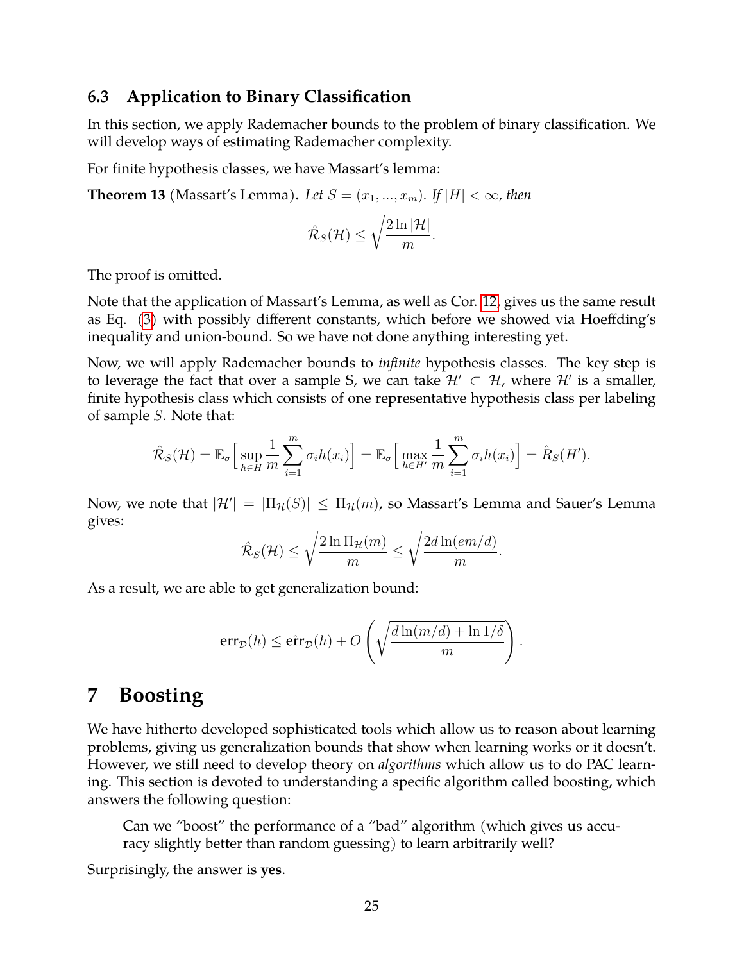#### <span id="page-24-0"></span>**6.3 Application to Binary Classification**

In this section, we apply Rademacher bounds to the problem of binary classification. We will develop ways of estimating Rademacher complexity.

For finite hypothesis classes, we have Massart's lemma:

**Theorem 13** (Massart's Lemma). Let  $S = (x_1, ..., x_m)$ . If  $|H| < \infty$ , then

$$
\hat{\mathcal{R}}_S(\mathcal{H}) \leq \sqrt{\frac{2\ln|\mathcal{H}|}{m}}.
$$

The proof is omitted.

Note that the application of Massart's Lemma, as well as Cor. [12,](#page-23-1) gives us the same result as Eq. [\(3\)](#page-19-0) with possibly different constants, which before we showed via Hoeffding's inequality and union-bound. So we have not done anything interesting yet.

Now, we will apply Rademacher bounds to *infinite* hypothesis classes. The key step is to leverage the fact that over a sample S, we can take  $\mathcal{H}' \subset \mathcal{H}$ , where  $\mathcal{H}'$  is a smaller, finite hypothesis class which consists of one representative hypothesis class per labeling of sample S. Note that:

$$
\hat{\mathcal{R}}_S(\mathcal{H}) = \mathbb{E}_{\sigma} \Big[ \sup_{h \in H} \frac{1}{m} \sum_{i=1}^m \sigma_i h(x_i) \Big] = \mathbb{E}_{\sigma} \Big[ \max_{h \in H'} \frac{1}{m} \sum_{i=1}^m \sigma_i h(x_i) \Big] = \hat{R}_S(H').
$$

Now, we note that  $|\mathcal{H}'| = |\Pi_{\mathcal{H}}(S)| \leq \Pi_{\mathcal{H}}(m)$ , so Massart's Lemma and Sauer's Lemma gives:

$$
\hat{\mathcal{R}}_S(\mathcal{H}) \le \sqrt{\frac{2\ln \Pi_{\mathcal{H}}(m)}{m}} \le \sqrt{\frac{2d\ln(em/d)}{m}}.
$$

As a result, we are able to get generalization bound:

$$
err_D(h) \le \hat{err}_D(h) + O\left(\sqrt{\frac{d\ln(m/d) + \ln 1/\delta}{m}}\right).
$$

### <span id="page-24-1"></span>**7 Boosting**

We have hitherto developed sophisticated tools which allow us to reason about learning problems, giving us generalization bounds that show when learning works or it doesn't. However, we still need to develop theory on *algorithms* which allow us to do PAC learning. This section is devoted to understanding a specific algorithm called boosting, which answers the following question:

Can we "boost" the performance of a "bad" algorithm (which gives us accuracy slightly better than random guessing) to learn arbitrarily well?

Surprisingly, the answer is **yes**.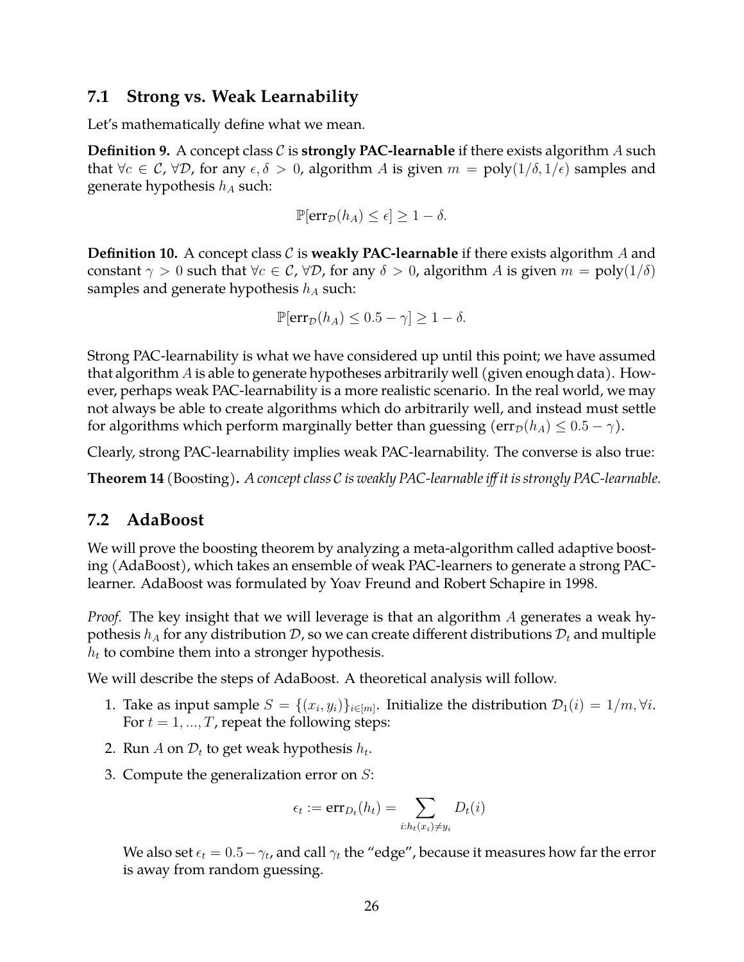#### <span id="page-25-0"></span>**7.1 Strong vs. Weak Learnability**

Let's mathematically define what we mean.

**Definition 9.** A concept class  $C$  is **strongly PAC-learnable** if there exists algorithm  $A$  such that  $\forall c \in \mathcal{C}$ ,  $\forall \mathcal{D}$ , for any  $\epsilon, \delta > 0$ , algorithm A is given  $m = \text{poly}(1/\delta, 1/\epsilon)$  samples and generate hypothesis  $h_A$  such:

$$
\mathbb{P}[\text{err}_{\mathcal{D}}(h_A) \le \epsilon] \ge 1 - \delta.
$$

**Definition 10.** A concept class  $C$  is **weakly PAC-learnable** if there exists algorithm A and constant  $\gamma > 0$  such that  $\forall c \in \mathcal{C}$ ,  $\forall \mathcal{D}$ , for any  $\delta > 0$ , algorithm A is given  $m = \text{poly}(1/\delta)$ samples and generate hypothesis  $h_A$  such:

$$
\mathbb{P}[\text{err}_{\mathcal{D}}(h_A) \le 0.5 - \gamma] \ge 1 - \delta.
$$

Strong PAC-learnability is what we have considered up until this point; we have assumed that algorithm A is able to generate hypotheses arbitrarily well (given enough data). However, perhaps weak PAC-learnability is a more realistic scenario. In the real world, we may not always be able to create algorithms which do arbitrarily well, and instead must settle for algorithms which perform marginally better than guessing  $(\text{err}_{\mathcal{D}}(h_A) \leq 0.5 - \gamma)$ .

Clearly, strong PAC-learnability implies weak PAC-learnability. The converse is also true:

**Theorem 14** (Boosting)**.** *A concept class* C *is weakly PAC-learnable iff it is strongly PAC-learnable.*

#### <span id="page-25-1"></span>**7.2 AdaBoost**

We will prove the boosting theorem by analyzing a meta-algorithm called adaptive boosting (AdaBoost), which takes an ensemble of weak PAC-learners to generate a strong PAClearner. AdaBoost was formulated by Yoav Freund and Robert Schapire in 1998.

*Proof.* The key insight that we will leverage is that an algorithm A generates a weak hypothesis  $h_A$  for any distribution  $D$ , so we can create different distributions  $D_t$  and multiple  $h_t$  to combine them into a stronger hypothesis.

We will describe the steps of AdaBoost. A theoretical analysis will follow.

- 1. Take as input sample  $S = \{(x_i, y_i)\}_{i \in [m]}$ . Initialize the distribution  $\mathcal{D}_1(i) = 1/m, \forall i$ . For  $t = 1, ..., T$ , repeat the following steps:
- 2. Run A on  $\mathcal{D}_t$  to get weak hypothesis  $h_t$ .
- 3. Compute the generalization error on  $S$ :

$$
\epsilon_t := \mathrm{err}_{D_t}(h_t) = \sum_{i:h_t(x_i) \neq y_i} D_t(i)
$$

We also set  $\epsilon_t = 0.5 - \gamma_t$ , and call  $\gamma_t$  the "edge", because it measures how far the error is away from random guessing.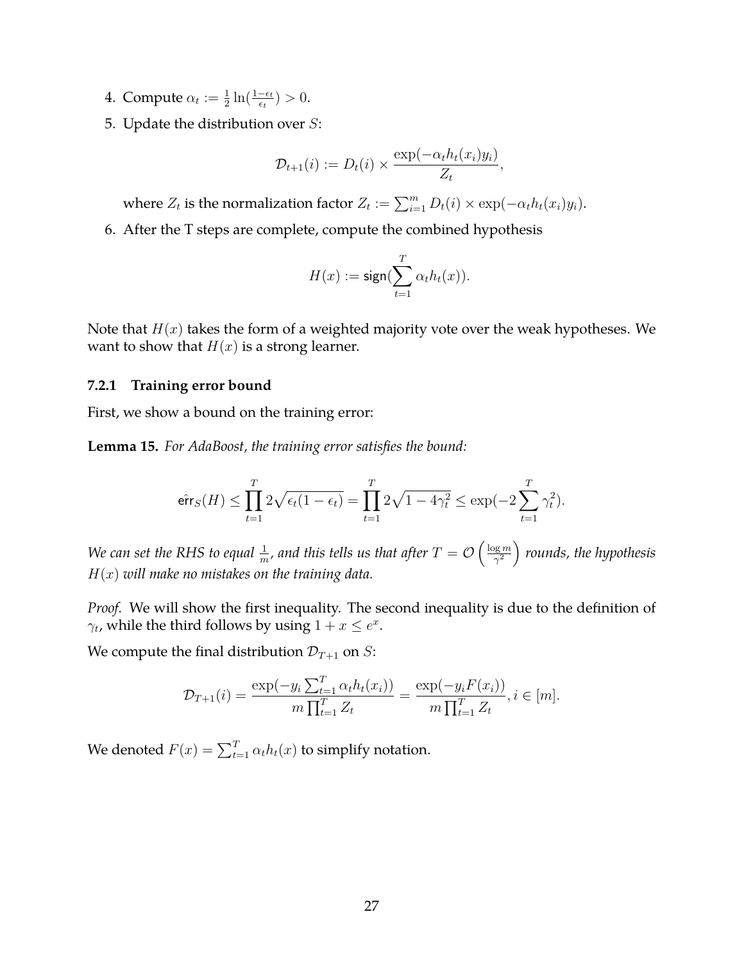- 4. Compute  $\alpha_t := \frac{1}{2} \ln(\frac{1-\epsilon_t}{\epsilon_t}) > 0$ .
- 5. Update the distribution over  $S$ :

$$
\mathcal{D}_{t+1}(i) := D_t(i) \times \frac{\exp(-\alpha_t h_t(x_i) y_i)}{Z_t},
$$

where  $Z_t$  is the normalization factor  $Z_t := \sum_{i=1}^m D_t(i) \times \exp(-\alpha_t h_t(x_i) y_i)$ .

6. After the T steps are complete, compute the combined hypothesis

$$
H(x):=\text{sign}(\sum_{t=1}^T \alpha_t h_t(x)).
$$

Note that  $H(x)$  takes the form of a weighted majority vote over the weak hypotheses. We want to show that  $H(x)$  is a strong learner.

#### <span id="page-26-0"></span>**7.2.1 Training error bound**

First, we show a bound on the training error:

**Lemma 15.** *For AdaBoost, the training error satisfies the bound:*

$$
\mathrm{efr}_S(H) \le \prod_{t=1}^T 2\sqrt{\epsilon_t(1-\epsilon_t)} = \prod_{t=1}^T 2\sqrt{1-4\gamma_t^2} \le \exp(-2\sum_{t=1}^T \gamma_t^2).
$$

We can set the RHS to equal  $\frac{1}{m}$ , and this tells us that after  $T = \mathcal{O} \left( \frac{\log m}{\gamma^2} \right)$  $\left(\frac{\log m}{\gamma^2}\right)$  rounds, the hypothesis H(x) *will make no mistakes on the training data.*

*Proof.* We will show the first inequality. The second inequality is due to the definition of  $\gamma_t$ , while the third follows by using  $1 + x \leq e^x$ .

We compute the final distribution  $\mathcal{D}_{T+1}$  on *S*:

$$
\mathcal{D}_{T+1}(i) = \frac{\exp(-y_i \sum_{t=1}^T \alpha_t h_t(x_i))}{m \prod_{t=1}^T Z_t} = \frac{\exp(-y_i F(x_i))}{m \prod_{t=1}^T Z_t}, i \in [m].
$$

We denoted  $F(x) = \sum_{t=1}^{T} \alpha_t h_t(x)$  to simplify notation.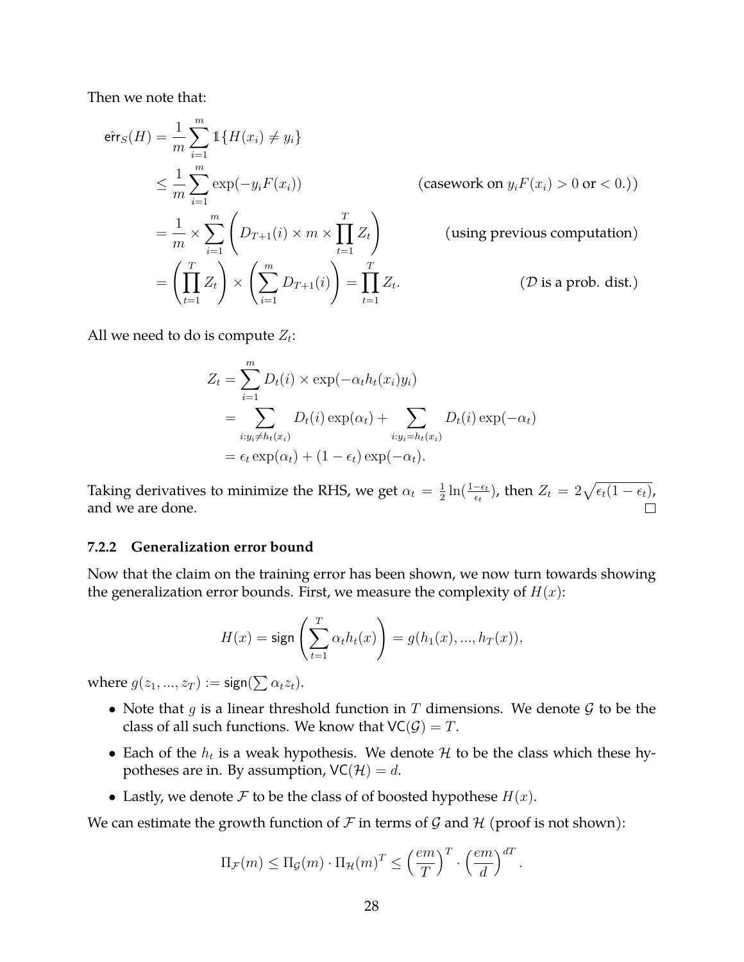Then we note that:

$$
\begin{aligned}\n\hat{\text{err}}_S(H) &= \frac{1}{m} \sum_{i=1}^m \mathbb{1} \{ H(x_i) \neq y_i \} \\
&\leq \frac{1}{m} \sum_{i=1}^m \exp(-y_i F(x_i)) \quad \text{(casework on } y_i F(x_i) > 0 \text{ or } < 0.)\n\end{aligned}
$$
\n
$$
= \frac{1}{m} \times \sum_{i=1}^m \left( D_{T+1}(i) \times m \times \prod_{t=1}^T Z_t \right) \quad \text{(using previous computation)}
$$
\n
$$
= \left( \prod_{t=1}^T Z_t \right) \times \left( \sum_{i=1}^m D_{T+1}(i) \right) = \prod_{t=1}^T Z_t. \quad \text{(D is a prob. dist.)}
$$

All we need to do is compute  $Z_t$ :

$$
Z_t = \sum_{i=1}^m D_t(i) \times \exp(-\alpha_t h_t(x_i) y_i)
$$
  
= 
$$
\sum_{i:y_i \neq h_t(x_i)} D_t(i) \exp(\alpha_t) + \sum_{i:y_i = h_t(x_i)} D_t(i) \exp(-\alpha_t)
$$
  
= 
$$
\epsilon_t \exp(\alpha_t) + (1 - \epsilon_t) \exp(-\alpha_t).
$$

 $\frac{1}{2}\ln(\frac{1-\epsilon_t}{\epsilon_t})$ , then  $Z_t = 2\sqrt{\epsilon_t(1-\epsilon_t)}$ , Taking derivatives to minimize the RHS, we get  $\alpha_t = \frac{1}{2}$ and we are done.  $\Box$ 

#### <span id="page-27-0"></span>**7.2.2 Generalization error bound**

Now that the claim on the training error has been shown, we now turn towards showing the generalization error bounds. First, we measure the complexity of  $H(x)$ :

$$
H(x)=\text{sign}\left(\sum_{t=1}^T \alpha_t h_t(x)\right)=g(h_1(x),...,h_T(x)),
$$

where  $g(z_1,...,z_T) := \mathsf{sign}(\sum \alpha_t z_t).$ 

- Note that q is a linear threshold function in  $T$  dimensions. We denote  $G$  to be the class of all such functions. We know that  $VC(\mathcal{G}) = T$ .
- Each of the  $h_t$  is a weak hypothesis. We denote  $H$  to be the class which these hypotheses are in. By assumption,  $VC(\mathcal{H}) = d$ .
- Lastly, we denote  $\mathcal F$  to be the class of of boosted hypothese  $H(x)$ .

We can estimate the growth function of  $\mathcal F$  in terms of  $\mathcal G$  and  $\mathcal H$  (proof is not shown):

$$
\Pi_{\mathcal{F}}(m) \leq \Pi_{\mathcal{G}}(m) \cdot \Pi_{\mathcal{H}}(m)^{T} \leq \left(\frac{em}{T}\right)^{T} \cdot \left(\frac{em}{d}\right)^{dT}.
$$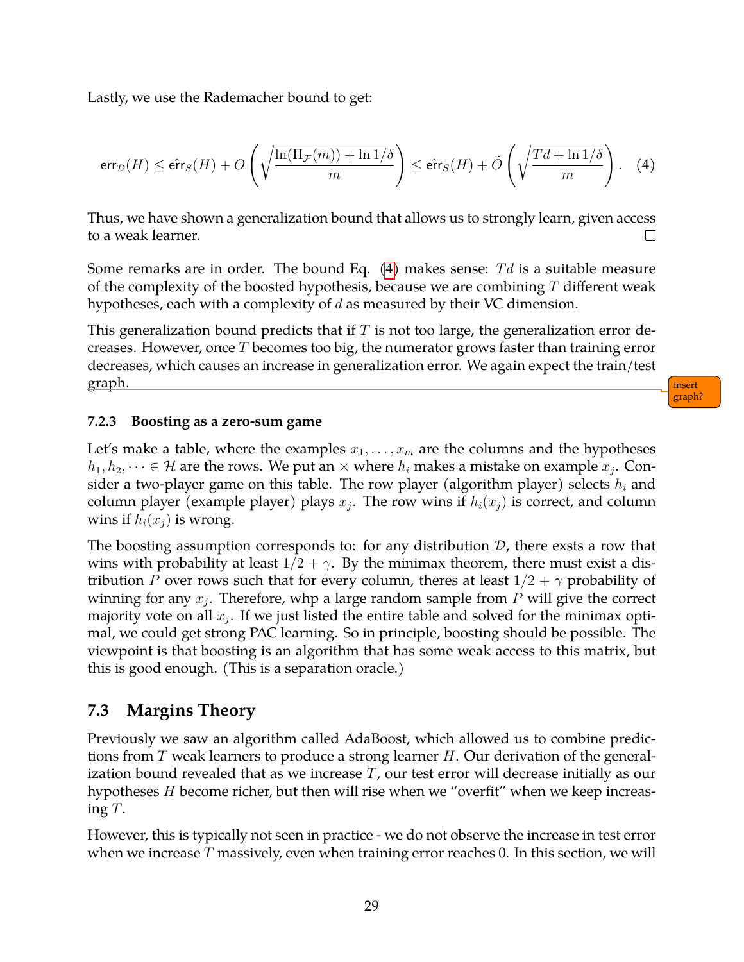Lastly, we use the Rademacher bound to get:

<span id="page-28-2"></span>
$$
\text{err}_{\mathcal{D}}(H) \le \hat{\text{err}}_S(H) + O\left(\sqrt{\frac{\ln(\Pi_{\mathcal{F}}(m)) + \ln 1/\delta}{m}}\right) \le \hat{\text{err}}_S(H) + \tilde{O}\left(\sqrt{\frac{Td + \ln 1/\delta}{m}}\right). \quad (4)
$$

Thus, we have shown a generalization bound that allows us to strongly learn, given access to a weak learner.  $\Box$ 

Some remarks are in order. The bound Eq.  $(4)$  makes sense: Td is a suitable measure of the complexity of the boosted hypothesis, because we are combining  $T$  different weak hypotheses, each with a complexity of d as measured by their VC dimension.

This generalization bound predicts that if  $T$  is not too large, the generalization error decreases. However, once  $T$  becomes too big, the numerator grows faster than training error decreases, which causes an increase in generalization error. We again expect the train/test graph. insert

graph?

#### <span id="page-28-0"></span>**7.2.3 Boosting as a zero-sum game**

Let's make a table, where the examples  $x_1, \ldots, x_m$  are the columns and the hypotheses  $h_1, h_2, \dots \in \mathcal{H}$  are the rows. We put an  $\times$  where  $h_i$  makes a mistake on example  $x_j.$  Consider a two-player game on this table. The row player (algorithm player) selects  $h_i$  and column player (example player) plays  $x_j$ . The row wins if  $h_i(x_j)$  is correct, and column wins if  $h_i(x_j)$  is wrong.

The boosting assumption corresponds to: for any distribution  $D$ , there exsts a row that wins with probability at least  $1/2 + \gamma$ . By the minimax theorem, there must exist a distribution P over rows such that for every column, theres at least  $1/2 + \gamma$  probability of winning for any  $x_j$ . Therefore, whp a large random sample from  $P$  will give the correct majority vote on all  $x_j$ . If we just listed the entire table and solved for the minimax optimal, we could get strong PAC learning. So in principle, boosting should be possible. The viewpoint is that boosting is an algorithm that has some weak access to this matrix, but this is good enough. (This is a separation oracle.)

#### <span id="page-28-1"></span>**7.3 Margins Theory**

Previously we saw an algorithm called AdaBoost, which allowed us to combine predictions from T weak learners to produce a strong learner  $H$ . Our derivation of the generalization bound revealed that as we increase  $T$ , our test error will decrease initially as our hypotheses H become richer, but then will rise when we "overfit" when we keep increasing  $T$ .

However, this is typically not seen in practice - we do not observe the increase in test error when we increase  $T$  massively, even when training error reaches 0. In this section, we will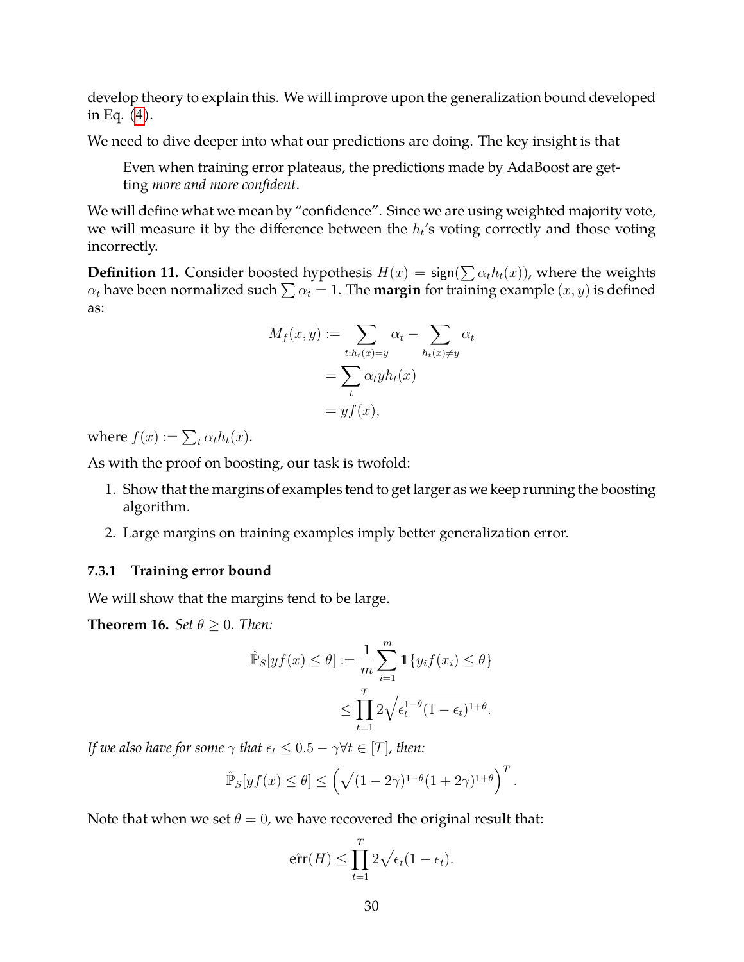develop theory to explain this. We will improve upon the generalization bound developed in Eq.  $(4)$ .

We need to dive deeper into what our predictions are doing. The key insight is that

Even when training error plateaus, the predictions made by AdaBoost are getting *more and more confident*.

We will define what we mean by "confidence". Since we are using weighted majority vote, we will measure it by the difference between the  $h_t$ 's voting correctly and those voting incorrectly.

**Definition 11.** Consider boosted hypothesis  $H(x) = \text{sign}(\sum \alpha_t h_t(x))$ , where the weights  $\alpha_t$  have been normalized such  $\sum \alpha_t = 1$ . The **margin** for training example  $(x, y)$  is defined as:

$$
M_f(x, y) := \sum_{t:h_t(x)=y} \alpha_t - \sum_{h_t(x)\neq y} \alpha_t
$$
  
= 
$$
\sum_t \alpha_t y h_t(x)
$$
  
= 
$$
y f(x),
$$

where  $f(x) := \sum_t \alpha_t h_t(x)$ .

As with the proof on boosting, our task is twofold:

- 1. Show that the margins of examples tend to get larger as we keep running the boosting algorithm.
- 2. Large margins on training examples imply better generalization error.

#### <span id="page-29-0"></span>**7.3.1 Training error bound**

We will show that the margins tend to be large.

**Theorem 16.** *Set*  $\theta \geq 0$ *. Then:* 

$$
\hat{\mathbb{P}}_S[yf(x) \le \theta] := \frac{1}{m} \sum_{i=1}^m \mathbb{1}\{y_i f(x_i) \le \theta\}
$$

$$
\le \prod_{t=1}^T 2\sqrt{\epsilon_t^{1-\theta}(1-\epsilon_t)^{1+\theta}}.
$$

*If we also have for some*  $\gamma$  *that*  $\epsilon_t \leq 0.5 - \gamma \forall t \in [T]$ *, then:* 

$$
\hat{\mathbb{P}}_S[yf(x) \leq \theta] \leq \left(\sqrt{(1-2\gamma)^{1-\theta}(1+2\gamma)^{1+\theta}}\right)^T.
$$

Note that when we set  $\theta = 0$ , we have recovered the original result that:

$$
\hat{\text{err}}(H) \le \prod_{t=1}^T 2\sqrt{\epsilon_t(1-\epsilon_t)}.
$$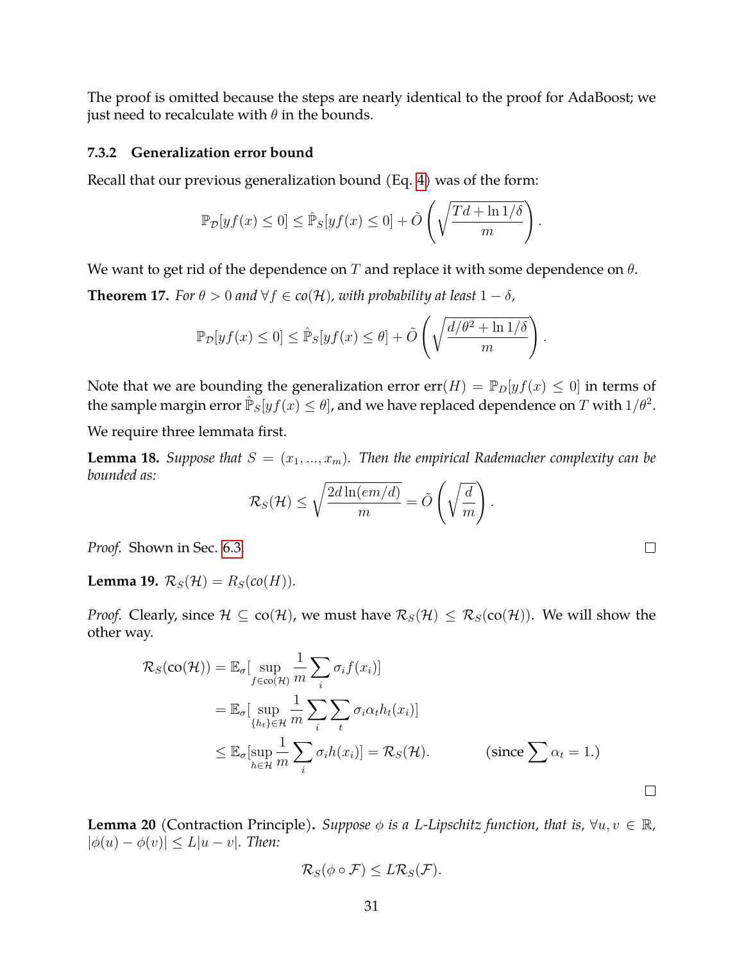The proof is omitted because the steps are nearly identical to the proof for AdaBoost; we just need to recalculate with  $\theta$  in the bounds.

#### <span id="page-30-0"></span>**7.3.2 Generalization error bound**

Recall that our previous generalization bound (Eq. [4\)](#page-28-2) was of the form:

$$
\mathbb{P}_{\mathcal{D}}[yf(x) \le 0] \le \hat{\mathbb{P}}_S[yf(x) \le 0] + \tilde{O}\left(\sqrt{\frac{Td + \ln 1/\delta}{m}}\right).
$$

We want to get rid of the dependence on T and replace it with some dependence on  $\theta$ .

<span id="page-30-1"></span>**Theorem 17.** *For*  $\theta > 0$  *and*  $\forall f \in co(\mathcal{H})$ *, with probability at least*  $1 - \delta$ *,* 

$$
\mathbb{P}_{\mathcal{D}}[yf(x)\leq 0]\leq \hat{\mathbb{P}}_S[yf(x)\leq \theta]+\tilde{O}\left(\sqrt{\frac{d/\theta^2+\ln 1/\delta}{m}}\right).
$$

Note that we are bounding the generalization error  $err(H) = \mathbb{P}_D[yf(x) \leq 0]$  in terms of the sample margin error  $\mathbb{\hat{P}}_S[yf(x)\leq\theta]$ , and we have replaced dependence on  $T$  with  $1/\theta^2$ .

We require three lemmata first.

**Lemma 18.** *Suppose that*  $S = (x_1, ..., x_m)$ *. Then the empirical Rademacher complexity can be bounded as:*

$$
\mathcal{R}_S(\mathcal{H}) \leq \sqrt{\frac{2d\ln(em/d)}{m}} = \tilde{O}\left(\sqrt{\frac{d}{m}}\right).
$$

*Proof.* Shown in Sec. [6.3.](#page-24-0)

<span id="page-30-2"></span>**Lemma 19.**  $\mathcal{R}_S(\mathcal{H}) = R_S(co(H)).$ 

*Proof.* Clearly, since  $H \subseteq co(H)$ , we must have  $\mathcal{R}_S(H) \leq \mathcal{R}_S(co(H))$ . We will show the other way.

$$
\mathcal{R}_{S}(\mathbf{co}(\mathcal{H})) = \mathbb{E}_{\sigma}[\sup_{f \in \mathbf{co}(\mathcal{H})} \frac{1}{m} \sum_{i} \sigma_{i} f(x_{i})]
$$
  
\n
$$
= \mathbb{E}_{\sigma}[\sup_{\{h_{t}\} \in \mathcal{H}} \frac{1}{m} \sum_{i} \sum_{t} \sigma_{i} \alpha_{t} h_{t}(x_{i})]
$$
  
\n
$$
\leq \mathbb{E}_{\sigma}[\sup_{h \in \mathcal{H}} \frac{1}{m} \sum_{i} \sigma_{i} h(x_{i})] = \mathcal{R}_{S}(\mathcal{H}). \qquad \text{(since } \sum \alpha_{t} = 1.)
$$

**Lemma 20** (Contraction Principle). *Suppose*  $\phi$  *is a L-Lipschitz function, that is,*  $\forall u, v \in \mathbb{R}$ *,*  $|\phi(u) - \phi(v)| \leq L|u - v|$ *. Then:* 

$$
\mathcal{R}_S(\phi \circ \mathcal{F}) \leq L \mathcal{R}_S(\mathcal{F}).
$$

 $\Box$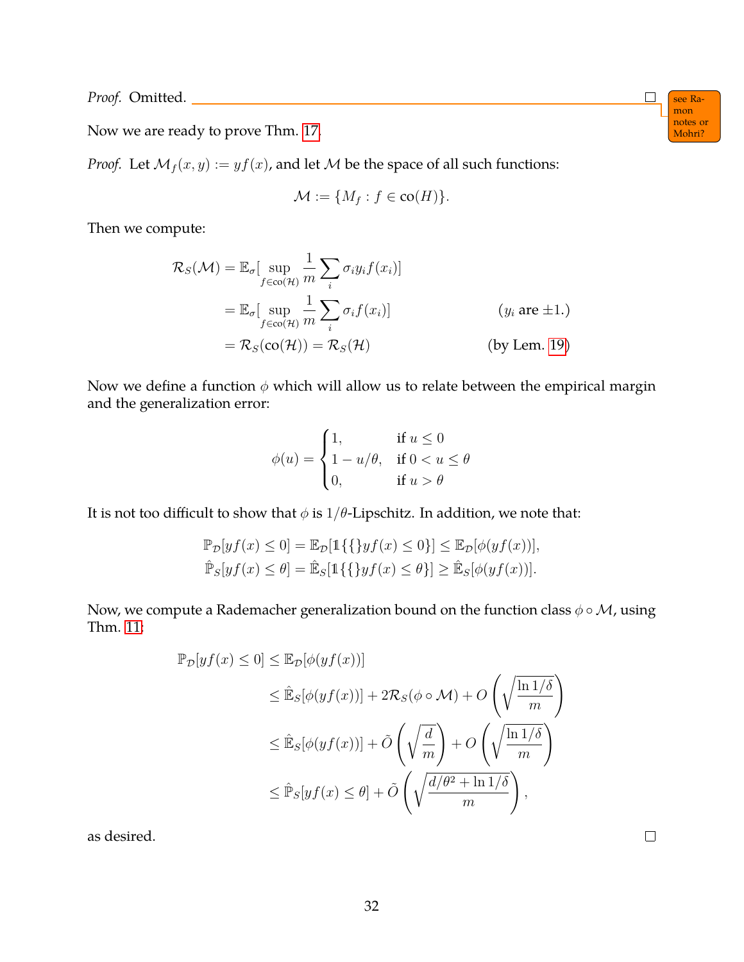*Proof.* Omitted. see Ra-

notes or Now we are ready to prove Thm. [17.](#page-30-1) Mohri?

*Proof.* Let  $M_f(x, y) := yf(x)$ , and let M be the space of all such functions:

$$
\mathcal{M} := \{ M_f : f \in \text{co}(H) \}.
$$

Then we compute:

$$
\mathcal{R}_{S}(\mathcal{M}) = \mathbb{E}_{\sigma} \left[ \sup_{f \in \text{co}(\mathcal{H})} \frac{1}{m} \sum_{i} \sigma_{i} y_{i} f(x_{i}) \right]
$$
  
\n
$$
= \mathbb{E}_{\sigma} \left[ \sup_{f \in \text{co}(\mathcal{H})} \frac{1}{m} \sum_{i} \sigma_{i} f(x_{i}) \right]
$$
 (*y<sub>i</sub>* are ±1.)  
\n
$$
= \mathcal{R}_{S}(\text{co}(\mathcal{H})) = \mathcal{R}_{S}(\mathcal{H})
$$
 (*by* Lem. 19)

Now we define a function  $\phi$  which will allow us to relate between the empirical margin and the generalization error:

$$
\phi(u) = \begin{cases} 1, & \text{if } u \le 0 \\ 1 - u/\theta, & \text{if } 0 < u \le \theta \\ 0, & \text{if } u > \theta \end{cases}
$$

It is not too difficult to show that  $\phi$  is  $1/\theta$ -Lipschitz. In addition, we note that:

$$
\mathbb{P}_{\mathcal{D}}[yf(x) \le 0] = \mathbb{E}_{\mathcal{D}}[\mathbb{1}\{\{yf(x) \le 0\}] \le \mathbb{E}_{\mathcal{D}}[\phi(yf(x))],
$$
  

$$
\hat{\mathbb{P}}_S[yf(x) \le \theta] = \hat{\mathbb{E}}_S[\mathbb{1}\{\{yf(x) \le \theta\}] \ge \hat{\mathbb{E}}_S[\phi(yf(x))].
$$

Now, we compute a Rademacher generalization bound on the function class  $\phi \circ M$ , using Thm. [11:](#page-21-1)

$$
\mathbb{P}_{\mathcal{D}}[yf(x) \le 0] \le \mathbb{E}_{\mathcal{D}}[\phi(yf(x))]
$$
  
\n
$$
\le \mathbb{E}_{S}[\phi(yf(x))] + 2\mathcal{R}_{S}(\phi \circ \mathcal{M}) + O\left(\sqrt{\frac{\ln 1/\delta}{m}}\right)
$$
  
\n
$$
\le \mathbb{E}_{S}[\phi(yf(x))] + \tilde{O}\left(\sqrt{\frac{d}{m}}\right) + O\left(\sqrt{\frac{\ln 1/\delta}{m}}\right)
$$
  
\n
$$
\le \mathbb{P}_{S}[yf(x) \le \theta] + \tilde{O}\left(\sqrt{\frac{d/\theta^{2} + \ln 1/\delta}{m}}\right),
$$

32

as desired.

mon<br>notes or

 $\Box$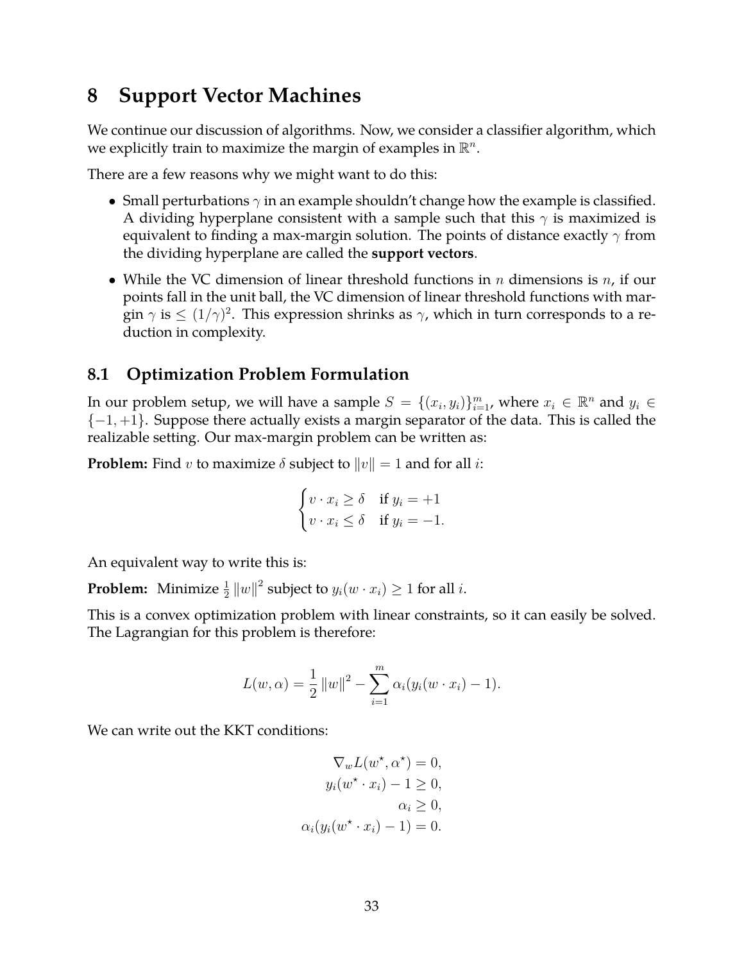### <span id="page-32-0"></span>**8 Support Vector Machines**

We continue our discussion of algorithms. Now, we consider a classifier algorithm, which we explicitly train to maximize the margin of examples in  $\mathbb{R}^n$ .

There are a few reasons why we might want to do this:

- Small perturbations  $\gamma$  in an example shouldn't change how the example is classified. A dividing hyperplane consistent with a sample such that this  $\gamma$  is maximized is equivalent to finding a max-margin solution. The points of distance exactly  $\gamma$  from the dividing hyperplane are called the **support vectors**.
- While the VC dimension of linear threshold functions in  $n$  dimensions is  $n$ , if our points fall in the unit ball, the VC dimension of linear threshold functions with margin  $\gamma$  is  $\leq (1/\gamma)^2.$  This expression shrinks as  $\gamma$ , which in turn corresponds to a reduction in complexity.

### <span id="page-32-1"></span>**8.1 Optimization Problem Formulation**

In our problem setup, we will have a sample  $S = \{(x_i, y_i)\}_{i=1}^m$ , where  $x_i \in \mathbb{R}^n$  and  $y_i \in$  $\{-1,+1\}$ . Suppose there actually exists a margin separator of the data. This is called the realizable setting. Our max-margin problem can be written as:

**Problem:** Find v to maximize  $\delta$  subject to  $||v|| = 1$  and for all i:

$$
\begin{cases} v \cdot x_i \ge \delta & \text{if } y_i = +1 \\ v \cdot x_i \le \delta & \text{if } y_i = -1. \end{cases}
$$

An equivalent way to write this is:

**Problem:** Minimize  $\frac{1}{2} ||w||^2$  subject to  $y_i(w \cdot x_i) \geq 1$  for all  $i$ .

This is a convex optimization problem with linear constraints, so it can easily be solved. The Lagrangian for this problem is therefore:

$$
L(w, \alpha) = \frac{1}{2} ||w||^2 - \sum_{i=1}^m \alpha_i (y_i(w \cdot x_i) - 1).
$$

We can write out the KKT conditions:

$$
\nabla_w L(w^*, \alpha^*) = 0,
$$
  
\n
$$
y_i(w^* \cdot x_i) - 1 \ge 0,
$$
  
\n
$$
\alpha_i \ge 0,
$$
  
\n
$$
\alpha_i (y_i(w^* \cdot x_i) - 1) = 0.
$$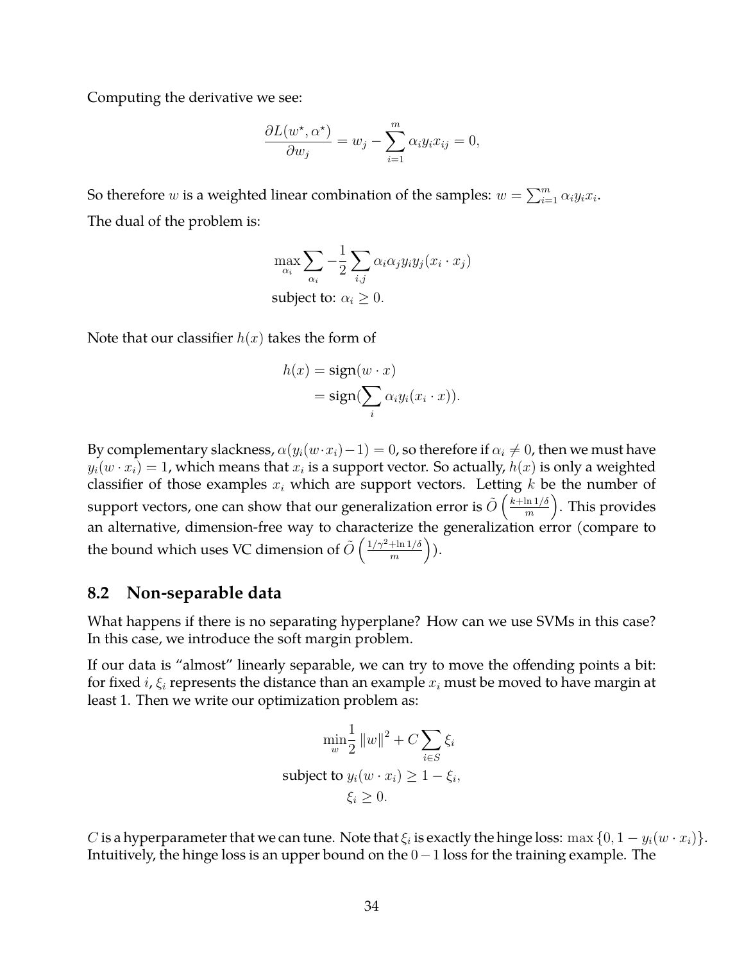Computing the derivative we see:

$$
\frac{\partial L(w^*, \alpha^*)}{\partial w_j} = w_j - \sum_{i=1}^m \alpha_i y_i x_{ij} = 0,
$$

So therefore  $w$  is a weighted linear combination of the samples:  $w = \sum_{i=1}^{m} \alpha_i y_i x_i$ . The dual of the problem is:

$$
\max_{\alpha_i} \sum_{\alpha_i} -\frac{1}{2} \sum_{i,j} \alpha_i \alpha_j y_i y_j (x_i \cdot x_j)
$$
  
subject to:  $\alpha_i \ge 0$ .

Note that our classifier  $h(x)$  takes the form of

$$
h(x) = sign(w \cdot x)
$$
  
= sign( $\sum_{i} \alpha_i y_i (x_i \cdot x)$ ).

By complementary slackness,  $\alpha(y_i(w \cdot x_i)-1) = 0$ , so therefore if  $\alpha_i \neq 0$ , then we must have  $y_i(w \cdot x_i) = 1$ , which means that  $x_i$  is a support vector. So actually,  $h(x)$  is only a weighted classifier of those examples  $x_i$  which are support vectors. Letting  $k$  be the number of support vectors, one can show that our generalization error is  $\tilde{O}\left(\frac{k+\ln 1/\delta}{m}\right)$  $\frac{\ln 1/\delta}{m}$ ). This provides an alternative, dimension-free way to characterize the generalization error (compare to the bound which uses VC dimension of  $\tilde{O}\left(\frac{1/\gamma^2+\ln 1/\delta}{m}\right)$  $\frac{\!+\! \ln 1/\delta}{m}\Big)).$ 

#### <span id="page-33-0"></span>**8.2 Non-separable data**

What happens if there is no separating hyperplane? How can we use SVMs in this case? In this case, we introduce the soft margin problem.

If our data is "almost" linearly separable, we can try to move the offending points a bit: for fixed *i*,  $\xi$ <sub>i</sub> represents the distance than an example  $x$ <sub>i</sub> must be moved to have margin at least 1. Then we write our optimization problem as:

$$
\min_{w} \frac{1}{2} ||w||^2 + C \sum_{i \in S} \xi_i
$$
  
subject to  $y_i(w \cdot x_i) \ge 1 - \xi_i$ ,  
 $\xi_i \ge 0$ .

C is a hyperparameter that we can tune. Note that  $\xi_i$  is exactly the hinge loss:  $\max\{0, 1 - y_i(w \cdot x_i)\}.$ Intuitively, the hinge loss is an upper bound on the 0−1 loss for the training example. The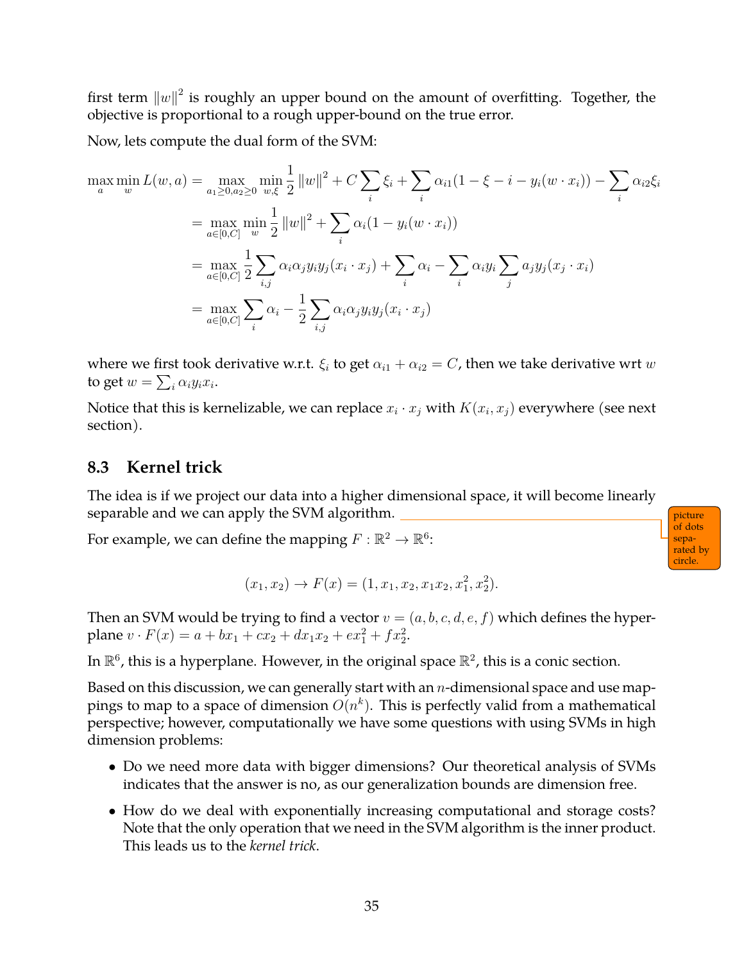first term  $\left\| w \right\|^2$  is roughly an upper bound on the amount of overfitting. Together, the objective is proportional to a rough upper-bound on the true error.

Now, lets compute the dual form of the SVM:

$$
\max_{a} \min_{w} L(w, a) = \max_{a_1 \ge 0, a_2 \ge 0} \min_{w, \xi} \frac{1}{2} ||w||^2 + C \sum_{i} \xi_i + \sum_{i} \alpha_{i1} (1 - \xi - i - y_i(w \cdot x_i)) - \sum_{i} \alpha_{i2} \xi_i
$$

$$
= \max_{a \in [0, C]} \min_{w} \frac{1}{2} ||w||^2 + \sum_{i} \alpha_i (1 - y_i(w \cdot x_i))
$$

$$
= \max_{a \in [0, C]} \frac{1}{2} \sum_{i,j} \alpha_i \alpha_j y_i y_j (x_i \cdot x_j) + \sum_{i} \alpha_i - \sum_{i} \alpha_i y_i \sum_{j} a_j y_j (x_j \cdot x_i)
$$

$$
= \max_{a \in [0, C]} \sum_{i} \alpha_i - \frac{1}{2} \sum_{i,j} \alpha_i \alpha_j y_i y_j (x_i \cdot x_j)
$$

where we first took derivative w.r.t.  $\xi_i$  to get  $\alpha_{i1} + \alpha_{i2} = C$ , then we take derivative wrt w to get  $w = \sum_i \alpha_i y_i x_i$ .

Notice that this is kernelizable, we can replace  $x_i \cdot x_j$  with  $K(x_i, x_j)$  everywhere (see next section).

### <span id="page-34-0"></span>**8.3 Kernel trick**

The idea is if we project our data into a higher dimensional space, it will become linearly separable and we can apply the SVM algorithm. <u>physical picture</u> and we can apply the SVM algorithm.

of dots separated by circle.

For example, we can define the mapping  $F: \mathbb{R}^2 \to \mathbb{R}^6$ :

$$
(x_1, x_2) \to F(x) = (1, x_1, x_2, x_1x_2, x_1^2, x_2^2).
$$

Then an SVM would be trying to find a vector  $v = (a, b, c, d, e, f)$  which defines the hyperplane  $v \cdot F(x) = a + bx_1 + cx_2 + dx_1x_2 + ex_1^2 + fx_2^2$ .

In  $\mathbb{R}^6$ , this is a hyperplane. However, in the original space  $\mathbb{R}^2$ , this is a conic section.

Based on this discussion, we can generally start with an  $n$ -dimensional space and use mappings to map to a space of dimension  $O(n^k)$ . This is perfectly valid from a mathematical perspective; however, computationally we have some questions with using SVMs in high dimension problems:

- Do we need more data with bigger dimensions? Our theoretical analysis of SVMs indicates that the answer is no, as our generalization bounds are dimension free.
- How do we deal with exponentially increasing computational and storage costs? Note that the only operation that we need in the SVM algorithm is the inner product. This leads us to the *kernel trick*.

35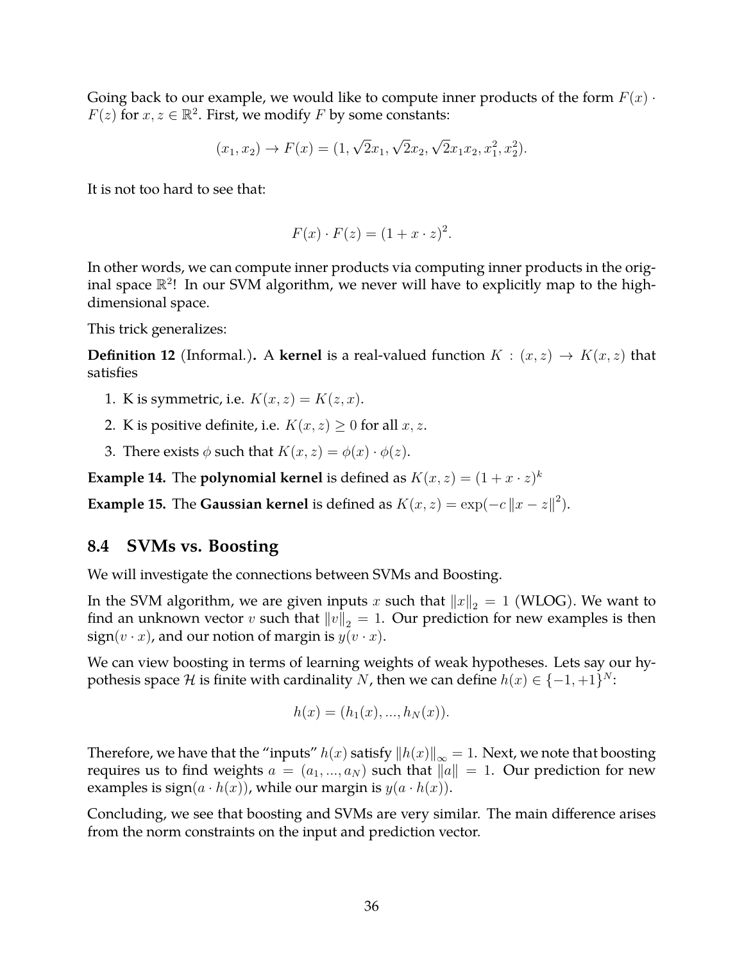Going back to our example, we would like to compute inner products of the form  $F(x) \cdot$  $F(z)$  for  $x, z \in \mathbb{R}^2$ . First, we modify F by some constants:

$$
(x_1, x_2) \to F(x) = (1, \sqrt{2}x_1, \sqrt{2}x_2, \sqrt{2}x_1x_2, x_1^2, x_2^2).
$$

It is not too hard to see that:

$$
F(x) \cdot F(z) = (1 + x \cdot z)^2.
$$

In other words, we can compute inner products via computing inner products in the original space  $\mathbb{R}^2$ ! In our SVM algorithm, we never will have to explicitly map to the highdimensional space.

This trick generalizes:

**Definition 12** (Informal.). A **kernel** is a real-valued function  $K : (x, z) \rightarrow K(x, z)$  that satisfies

- 1. K is symmetric, i.e.  $K(x, z) = K(z, x)$ .
- 2. K is positive definite, i.e.  $K(x, z) \geq 0$  for all  $x, z$ .
- 3. There exists  $\phi$  such that  $K(x, z) = \phi(x) \cdot \phi(z)$ .

**Example 14.** The **polynomial kernel** is defined as  $K(x, z) = (1 + x \cdot z)^k$ 

**Example 15.** The **Gaussian kernel** is defined as  $K(x, z) = \exp(-c||x - z||^2)$ .

#### <span id="page-35-0"></span>**8.4 SVMs vs. Boosting**

We will investigate the connections between SVMs and Boosting.

In the SVM algorithm, we are given inputs x such that  $||x||_2 = 1$  (WLOG). We want to find an unknown vector v such that  $||v||_2 = 1$ . Our prediction for new examples is then  $sign(v \cdot x)$ , and our notion of margin is  $y(v \cdot x)$ .

We can view boosting in terms of learning weights of weak hypotheses. Lets say our hypothesis space  $\mathcal H$  is finite with cardinality  $N$ , then we can define  $h(x) \in \{-1,+1\}^N$ :

$$
h(x) = (h_1(x), ..., h_N(x)).
$$

Therefore, we have that the "inputs"  $h(x)$  satisfy  $||h(x)||_{\infty} = 1$ . Next, we note that boosting requires us to find weights  $a = (a_1, ..., a_N)$  such that  $||a|| = 1$ . Our prediction for new examples is  $sign(a \cdot h(x))$ , while our margin is  $y(a \cdot h(x))$ .

Concluding, we see that boosting and SVMs are very similar. The main difference arises from the norm constraints on the input and prediction vector.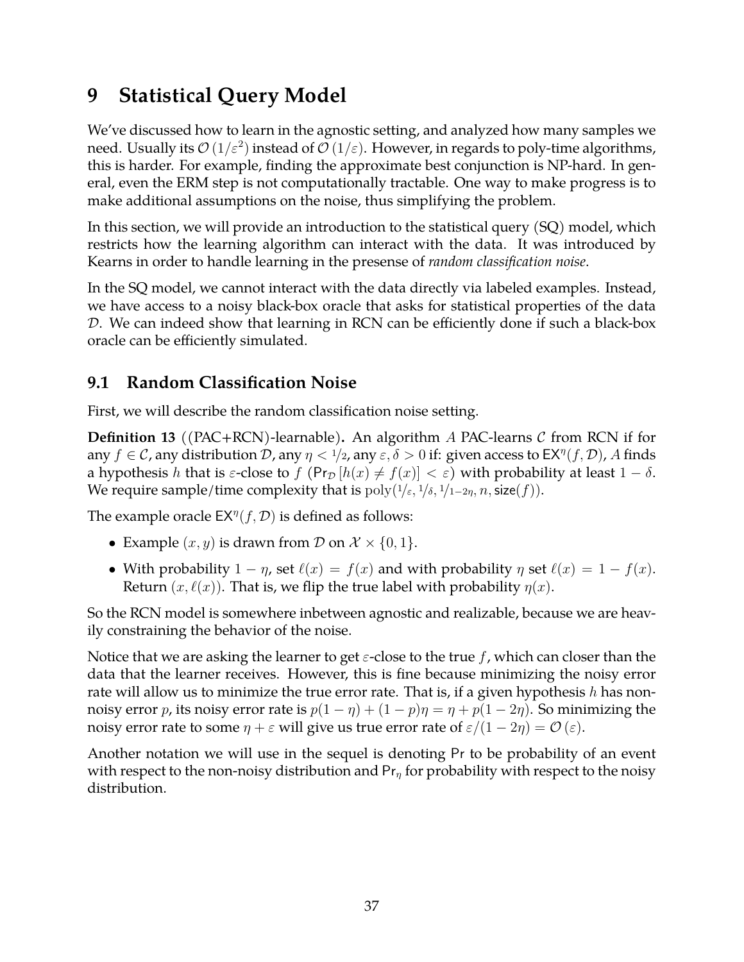# **9 Statistical Query Model**

We've discussed how to learn in the agnostic setting, and analyzed how many samples we need. Usually its  $\mathcal{O}\left(1/\varepsilon^2\right)$  instead of  $\mathcal{O}\left(1/\varepsilon\right)$ . However, in regards to poly-time algorithms, this is harder. For example, finding the approximate best conjunction is NP-hard. In general, even the ERM step is not computationally tractable. One way to make progress is to make additional assumptions on the noise, thus simplifying the problem.

In this section, we will provide an introduction to the statistical query (SQ) model, which restricts how the learning algorithm can interact with the data. It was introduced by Kearns in order to handle learning in the presense of *random classification noise*.

In the SQ model, we cannot interact with the data directly via labeled examples. Instead, we have access to a noisy black-box oracle that asks for statistical properties of the data D. We can indeed show that learning in RCN can be efficiently done if such a black-box oracle can be efficiently simulated.

## **9.1 Random Classification Noise**

First, we will describe the random classification noise setting.

**Definition 13** ((PAC+RCN)-learnable). An algorithm A PAC-learns C from RCN if for any  $f\in\mathcal C$ , any distribution  $\mathcal D$ , any  $\eta< 1/2$ , any  $\varepsilon, \delta>0$  if: given access to  $\mathsf{EX}^\eta(f,\mathcal D)$ ,  $A$  finds a hypothesis h that is  $\varepsilon$ -close to  $f$  (Pr<sub>D</sub>  $[h(x) \neq f(x)] < \varepsilon$ ) with probability at least  $1 - \delta$ . We require sample/time complexity that is  $\text{poly}(1/\varepsilon, 1/\delta, 1/1-2\eta, n, \text{size}(f)).$ 

The example oracle  $EX^{\eta}(f, \mathcal{D})$  is defined as follows:

- Example  $(x, y)$  is drawn from  $D$  on  $\mathcal{X} \times \{0, 1\}$ .
- With probability  $1 \eta$ , set  $\ell(x) = f(x)$  and with probability  $\eta$  set  $\ell(x) = 1 f(x)$ . Return  $(x, \ell(x))$ . That is, we flip the true label with probability  $\eta(x)$ .

So the RCN model is somewhere inbetween agnostic and realizable, because we are heavily constraining the behavior of the noise.

Notice that we are asking the learner to get  $\varepsilon$ -close to the true f, which can closer than the data that the learner receives. However, this is fine because minimizing the noisy error rate will allow us to minimize the true error rate. That is, if a given hypothesis  $h$  has nonnoisy error p, its noisy error rate is  $p(1 - \eta) + (1 - p)\eta = \eta + p(1 - 2\eta)$ . So minimizing the noisy error rate to some  $\eta + \varepsilon$  will give us true error rate of  $\varepsilon/(1 - 2\eta) = \mathcal{O}(\varepsilon)$ .

Another notation we will use in the sequel is denoting Pr to be probability of an event with respect to the non-noisy distribution and  $Pr_n$  for probability with respect to the noisy distribution.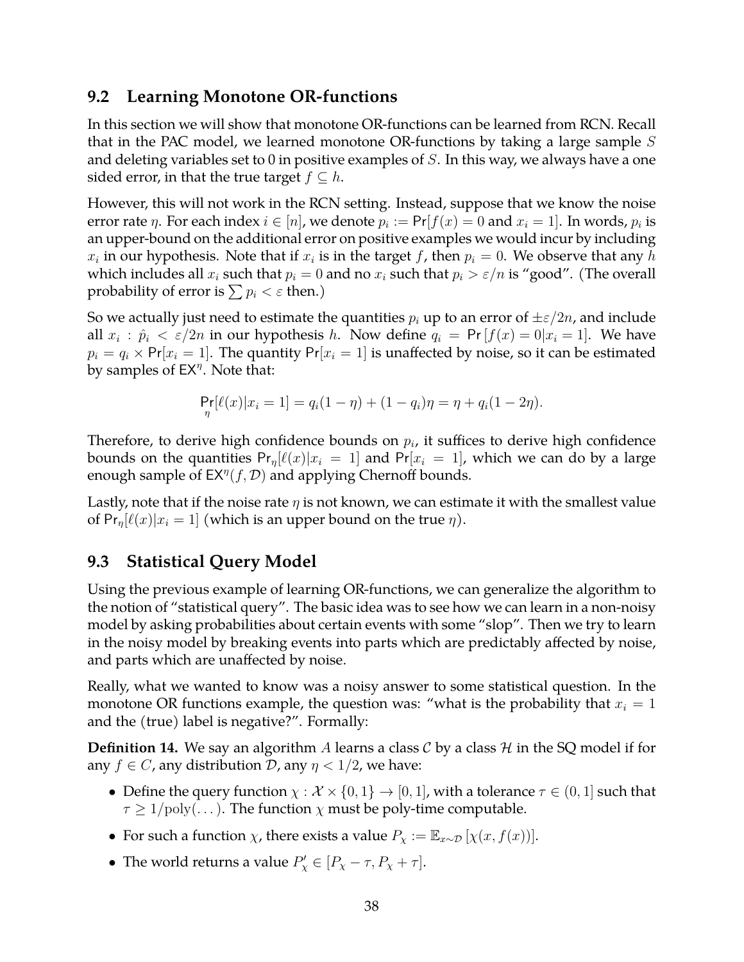## **9.2 Learning Monotone OR-functions**

In this section we will show that monotone OR-functions can be learned from RCN. Recall that in the PAC model, we learned monotone OR-functions by taking a large sample  $S$ and deleting variables set to 0 in positive examples of  $S$ . In this way, we always have a one sided error, in that the true target  $f \subseteq h$ .

However, this will not work in the RCN setting. Instead, suppose that we know the noise error rate  $\eta$ . For each index  $i \in [n]$ , we denote  $p_i := \mathsf{Pr}[f(x) = 0 \text{ and } x_i = 1]$ . In words,  $p_i$  is an upper-bound on the additional error on positive examples we would incur by including  $x_i$  in our hypothesis. Note that if  $x_i$  is in the target f, then  $p_i = 0$ . We observe that any h which includes all  $x_i$  such that  $p_i = 0$  and no  $x_i$  such that  $p_i > \varepsilon/n$  is "good". (The overall probability of error is  $\sum p_i < \varepsilon$  then.)

So we actually just need to estimate the quantities  $p_i$  up to an error of  $\pm \varepsilon/2n$ , and include all  $x_i$ :  $\hat{p}_i < \varepsilon/2n$  in our hypothesis h. Now define  $q_i = Pr[f(x) = 0|x_i = 1]$ . We have  $p_i = q_i \times Pr[x_i = 1]$ . The quantity  $Pr[x_i = 1]$  is unaffected by noise, so it can be estimated by samples of  $EX^{\eta}$ . Note that:

$$
\Pr_{\eta}[\ell(x)|x_i = 1] = q_i(1 - \eta) + (1 - q_i)\eta = \eta + q_i(1 - 2\eta).
$$

Therefore, to derive high confidence bounds on  $p_i$ , it suffices to derive high confidence bounds on the quantities  $Pr_n[\ell(x)|x_i = 1]$  and  $Pr[x_i = 1]$ , which we can do by a large enough sample of  $EX^{\eta}(f, \mathcal{D})$  and applying Chernoff bounds.

Lastly, note that if the noise rate  $\eta$  is not known, we can estimate it with the smallest value of  $Pr_n[\ell(x)|x_i = 1]$  (which is an upper bound on the true  $\eta$ ).

## **9.3 Statistical Query Model**

Using the previous example of learning OR-functions, we can generalize the algorithm to the notion of "statistical query". The basic idea was to see how we can learn in a non-noisy model by asking probabilities about certain events with some "slop". Then we try to learn in the noisy model by breaking events into parts which are predictably affected by noise, and parts which are unaffected by noise.

Really, what we wanted to know was a noisy answer to some statistical question. In the monotone OR functions example, the question was: "what is the probability that  $x_i = 1$ and the (true) label is negative?". Formally:

**Definition 14.** We say an algorithm A learns a class  $\mathcal{C}$  by a class  $\mathcal{H}$  in the SQ model if for any  $f \in C$ , any distribution D, any  $\eta < 1/2$ , we have:

- Define the query function  $\chi : \mathcal{X} \times \{0,1\} \to [0,1]$ , with a tolerance  $\tau \in (0,1]$  such that  $\tau \geq 1/\text{poly}(\dots)$ . The function  $\chi$  must be poly-time computable.
- For such a function  $\chi$ , there exists a value  $P_{\chi} := \mathbb{E}_{x \sim \mathcal{D}} [\chi(x, f(x))].$
- The world returns a value  $P'_\chi \in [P_\chi \tau, P_\chi + \tau]$ .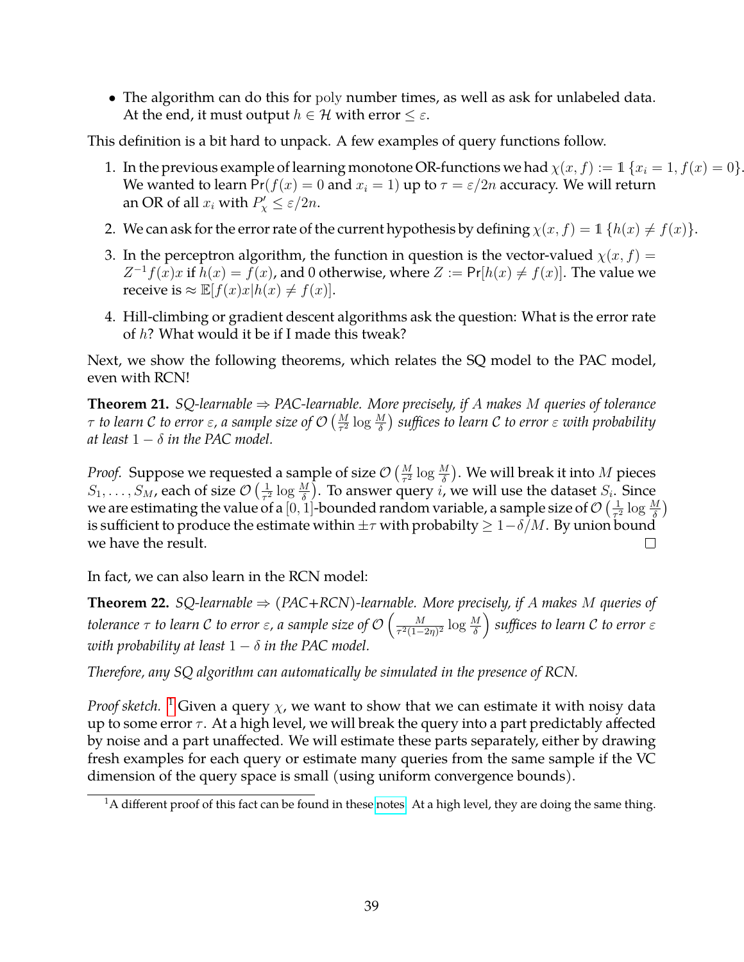• The algorithm can do this for poly number times, as well as ask for unlabeled data. At the end, it must output  $h \in \mathcal{H}$  with error  $\leq \varepsilon$ .

This definition is a bit hard to unpack. A few examples of query functions follow.

- 1. In the previous example of learning monotone OR-functions we had  $\chi(x, f) := 1$  { $x_i = 1, f(x) = 0$ }. We wanted to learn  $Pr(f(x) = 0 \text{ and } x_i = 1)$  up to  $\tau = \varepsilon/2n$  accuracy. We will return an OR of all  $x_i$  with  $P'_\chi \leq \varepsilon/2n$ .
- 2. We can ask for the error rate of the current hypothesis by defining  $\chi(x, f) = 1$  { $h(x) \neq f(x)$  }.
- 3. In the perceptron algorithm, the function in question is the vector-valued  $\chi(x, f) =$  $Z^{-1}f(x)x$  if  $h(x) = f(x)$ , and 0 otherwise, where  $Z := Pr[h(x) \neq f(x)]$ . The value we receive is  $\approx \mathbb{E}[f(x)x|h(x) \neq f(x)].$
- 4. Hill-climbing or gradient descent algorithms ask the question: What is the error rate of h? What would it be if I made this tweak?

Next, we show the following theorems, which relates the SQ model to the PAC model, even with RCN!

**Theorem 21.** *SQ-learnable*  $⇒$  *PAC-learnable. More precisely, if A makes M queries of tolerance*  $\tau$  to learn  ${\cal C}$  to error  $\varepsilon$ , a sample size of  ${\cal O}\left(\frac{M}{\tau^2}\log\frac{M}{\delta}\right)$  suffices to learn  ${\cal C}$  to error  $\varepsilon$  with probability *at least*  $1 - \delta$  *in the PAC model.* 

*Proof.* Suppose we requested a sample of size  $\mathcal{O}\left(\frac{M}{\tau^2}\log\frac{M}{\delta}\right)$ . We will break it into  $M$  pieces  $S_1,\ldots,S_M$ , each of size  $\mathcal{O}\left(\frac{1}{\tau^2}\right)$  $\frac{1}{\tau^2} \log \frac{M}{\delta}$ ). To answer query *i*, we will use the dataset  $S_i$ . Since we are estimating the value of a  $[0,1]$ -bounded random variable, a sample size of  $\mathcal{O}(\frac{1}{\tau^2})$  $rac{1}{\tau^2} \log \frac{M}{\delta}$ is sufficient to produce the estimate within  $\pm\tau$  with probabilty  $\geq 1-\delta/M$ . By union bound we have the result.  $\Box$ 

In fact, we can also learn in the RCN model:

**Theorem 22.** *SQ-learnable*  $⇒$  *(PAC+RCN)-learnable. More precisely, if A makes M queries of tolerance*  $\tau$  *to learn C to error*  $\varepsilon$ *, a sample size of O*  $\Big(\frac{M}{\tau^2(1-\tau)}\Big)$  $\frac{M}{\tau^2(1-2\eta)^2}\log\frac{M}{\delta}\Big)$  suffices to learn  ${\cal C}$  to error  $\varepsilon$ *with probability at least*  $1 - \delta$  *in the PAC model.* 

*Therefore, any SQ algorithm can automatically be simulated in the presence of RCN.*

*Proof sketch.* <sup>[1](#page-38-0)</sup> Given a query  $\chi$ , we want to show that we can estimate it with noisy data up to some error  $\tau$ . At a high level, we will break the query into a part predictably affected by noise and a part unaffected. We will estimate these parts separately, either by drawing fresh examples for each query or estimate many queries from the same sample if the VC dimension of the query space is small (using uniform convergence bounds).

<span id="page-38-0"></span> $1A$  different proof of this fact can be found in these [notes.](http://www.cs.cmu.edu/~avrim/ML07/lect1207.pdf) At a high level, they are doing the same thing.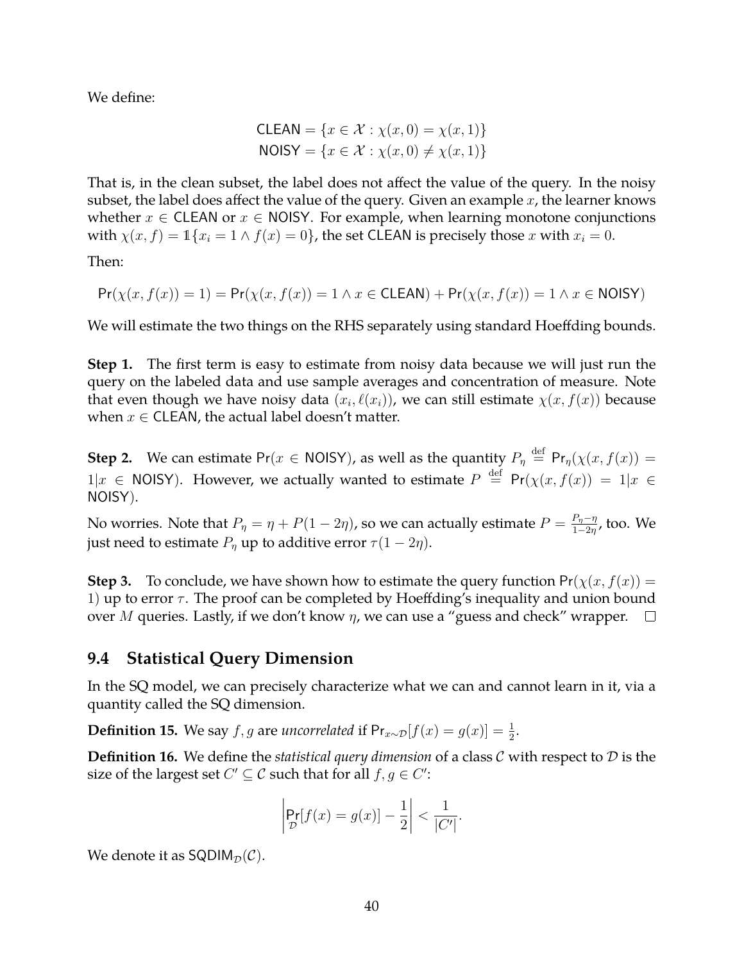We define:

$$
CLEAN = \{x \in \mathcal{X} : \chi(x,0) = \chi(x,1)\}
$$
  
NOISY = \{x \in \mathcal{X} : \chi(x,0) \neq \chi(x,1)\}\

That is, in the clean subset, the label does not affect the value of the query. In the noisy subset, the label does affect the value of the query. Given an example  $x$ , the learner knows whether  $x \in \text{CLEAN}$  or  $x \in \text{NOISY}$ . For example, when learning monotone conjunctions with  $\chi(x, f) = \mathbb{1}\{x_i = 1 \land f(x) = 0\}$ , the set CLEAN is precisely those x with  $x_i = 0$ .

Then:

$$
Pr(\chi(x, f(x)) = 1) = Pr(\chi(x, f(x)) = 1 \land x \in \text{CLEAN}) + Pr(\chi(x, f(x)) = 1 \land x \in \text{NOISY})
$$

We will estimate the two things on the RHS separately using standard Hoeffding bounds.

**Step 1.** The first term is easy to estimate from noisy data because we will just run the query on the labeled data and use sample averages and concentration of measure. Note that even though we have noisy data  $(x_i, \ell(x_i))$ , we can still estimate  $\chi(x, f(x))$  because when  $x \in \mathsf{CLEAN}$ , the actual label doesn't matter.

**Step 2.** We can estimate Pr( $x \in$  NOISY), as well as the quantity  $P_{\eta} \stackrel{\text{def}}{=} \mathsf{Pr}_{\eta}(\chi(x, f(x))) =$  $1|x \in$  NOISY). However, we actually wanted to estimate  $P \stackrel{\text{def}}{=} Pr(\chi(x, f(x)) = 1|x \in$ NOISY).

No worries. Note that  $P_{\eta} = \eta + P(1-2\eta)$ , so we can actually estimate  $P = \frac{P_{\eta} - \eta}{1-2\eta}$  $\frac{F_{\eta}-\eta}{1-2\eta}$ , too. We just need to estimate  $P_n$  up to additive error  $\tau(1-2\eta)$ .

**Step 3.** To conclude, we have shown how to estimate the query function  $Pr(\chi(x, f(x)))$  = 1) up to error  $\tau$ . The proof can be completed by Hoeffding's inequality and union bound over M queries. Lastly, if we don't know  $\eta$ , we can use a "guess and check" wrapper.  $\Box$ 

### **9.4 Statistical Query Dimension**

In the SQ model, we can precisely characterize what we can and cannot learn in it, via a quantity called the SQ dimension.

**Definition 15.** We say *f*, *g* are *uncorrelated* if  $Pr_{x \sim \mathcal{D}}[f(x) = g(x)] = \frac{1}{2}$ .

**Definition 16.** We define the *statistical query dimension* of a class C with respect to D is the size of the largest set  $C' \subseteq \mathcal{C}$  such that for all  $f, g \in C'$ :

$$
\left|\Pr_{\mathcal{D}}[f(x) = g(x)] - \frac{1}{2}\right| < \frac{1}{|C'|}.
$$

We denote it as  $SQDIM_{\mathcal{D}}(\mathcal{C})$ .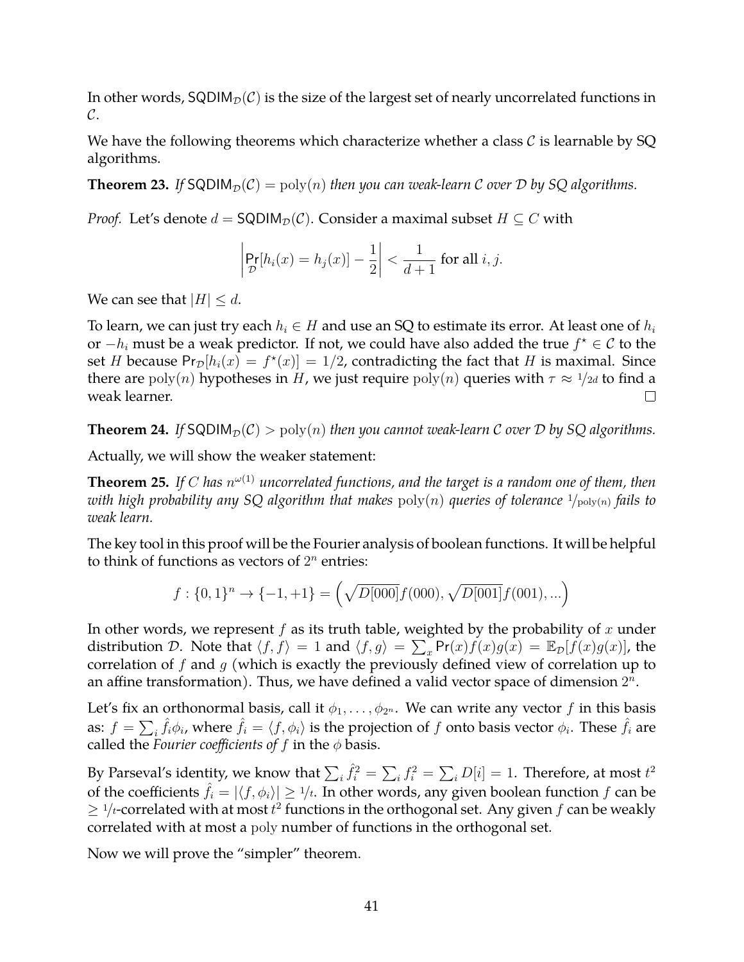In other words,  $SQDIM<sub>D</sub>(C)$  is the size of the largest set of nearly uncorrelated functions in  $\mathcal{C}.$ 

We have the following theorems which characterize whether a class  $\mathcal C$  is learnable by SQ algorithms.

**Theorem 23.** If SQDIM<sub>D</sub>(C) = poly(n) *then you can weak-learn* C *over* D by SQ algorithms.

*Proof.* Let's denote  $d = \mathsf{SQDIM}_\mathcal{D}(\mathcal{C})$ . Consider a maximal subset  $H \subseteq \mathcal{C}$  with

$$
\left|\Pr_{\mathcal{D}}[h_i(x) = h_j(x)] - \frac{1}{2}\right| < \frac{1}{d+1} \text{ for all } i, j.
$$

We can see that  $|H| \le d$ .

To learn, we can just try each  $h_i \in H$  and use an SQ to estimate its error. At least one of  $h_i$ or  $-h_i$  must be a weak predictor. If not, we could have also added the true  $f^* \in \mathcal{C}$  to the set H because  $Pr_{\mathcal{D}}[h_i(x) = f^*(x)] = 1/2$ , contradicting the fact that H is maximal. Since there are  $poly(n)$  hypotheses in H, we just require  $poly(n)$  queries with  $\tau \approx 1/2d$  to find a weak learner.  $\Box$ 

**Theorem 24.** If SQDIM<sub>D</sub> $(C)$  > poly $(n)$  *then you cannot weak-learn* C *over* D by SQ algorithms.

Actually, we will show the weaker statement:

**Theorem 25.** If  $C$  has  $n^{\omega(1)}$  uncorrelated functions, and the target is a random one of them, then *with high probability any SQ algorithm that makes*  $poly(n)$  *queries of tolerance*  $\frac{1}{poly(n)}$  *fails to weak learn.*

The key tool in this proof will be the Fourier analysis of boolean functions. It will be helpful to think of functions as vectors of  $2^n$  entries:

$$
f: \{0, 1\}^n \to \{-1, +1\} = \left(\sqrt{D[000]}f(000), \sqrt{D[001]}f(001), ...\right)
$$

In other words, we represent  $f$  as its truth table, weighted by the probability of  $x$  under distribution D. Note that  $\langle f, f \rangle = 1$  and  $\langle f, g \rangle = \sum_{x} Pr(x) f(x) g(x) = \mathbb{E}_{\mathcal{D}}[f(x)g(x)]$ , the correlation of  $f$  and  $g$  (which is exactly the previously defined view of correlation up to an affine transformation). Thus, we have defined a valid vector space of dimension  $2^n$ .

Let's fix an orthonormal basis, call it  $\phi_1, \ldots, \phi_{2^n}$ . We can write any vector f in this basis as:  $f=\sum_i \hat f_i\phi_i$ , where  $\hat f_i=\langle f,\phi_i\rangle$  is the projection of  $f$  onto basis vector  $\phi_i.$  These  $\hat f_i$  are called the *Fourier coefficients of*  $f$  in the  $\phi$  basis.

By Parseval's identity, we know that  $\sum_i \hat{f}_i^2 = \sum_i f_i^2 = \sum_i D[i] = 1$ . Therefore, at most  $t^2$ of the coefficients  $\hat{f}_i = |\langle f, \phi_i \rangle| \ge 1/t$ . In other words, any given boolean function f can be  $\geq$  1/*t*-correlated with at most  $t^2$  functions in the orthogonal set. Any given f can be weakly correlated with at most a poly number of functions in the orthogonal set.

Now we will prove the "simpler" theorem.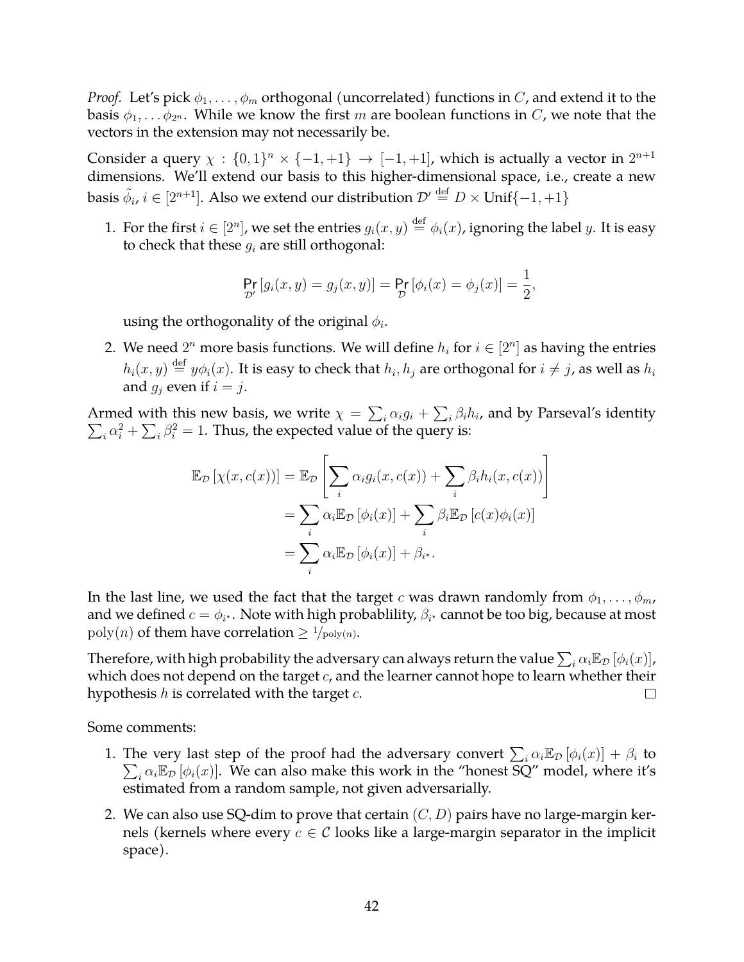*Proof.* Let's pick  $\phi_1, \ldots, \phi_m$  orthogonal (uncorrelated) functions in C, and extend it to the basis  $\phi_1, \ldots \phi_{2^n}$ . While we know the first m are boolean functions in C, we note that the vectors in the extension may not necessarily be.

Consider a query  $\chi : \{0,1\}^n \times \{-1,+1\} \to [-1,+1]$ , which is actually a vector in  $2^{n+1}$ dimensions. We'll extend our basis to this higher-dimensional space, i.e., create a new basis  $\tilde{\phi}_i$ ,  $i\in[2^{n+1}]$ . Also we extend our distribution  $\mathcal{D}'\stackrel{\mathrm{def}}{=}D\times\textsf{Unif}\{-1,+1\}$ 

1. For the first  $i\in[2^n]$ , we set the entries  $g_i(x,y)\stackrel{\rm def}{=} \phi_i(x)$ , ignoring the label  $y$ . It is easy to check that these  $q_i$  are still orthogonal:

$$
\Pr_{\mathcal{D}'}[g_i(x, y) = g_j(x, y)] = \Pr_{\mathcal{D}}[\phi_i(x) = \phi_j(x)] = \frac{1}{2},
$$

using the orthogonality of the original  $\phi_i$ .

2. We need  $2^n$  more basis functions. We will define  $h_i$  for  $i \in [2^n]$  as having the entries  $h_i(x,y) \stackrel{\rm def}{=} y \phi_i(x).$  It is easy to check that  $h_i, h_j$  are orthogonal for  $i \neq j$ , as well as  $h_i$ and  $g_i$  even if  $i = j$ .

Armed with this new basis, we write  $\chi=\sum_i\alpha_ig_i+\sum_i\beta_ih_i$ , and by Parseval's identity  $\sum_i \alpha_i^2 + \sum_i \beta_i^2 = 1$ . Thus, the expected value of the query is:

$$
\mathbb{E}_{\mathcal{D}}[\chi(x, c(x))] = \mathbb{E}_{\mathcal{D}}\left[\sum_{i} \alpha_{i} g_{i}(x, c(x)) + \sum_{i} \beta_{i} h_{i}(x, c(x))\right]
$$

$$
= \sum_{i} \alpha_{i} \mathbb{E}_{\mathcal{D}}[\phi_{i}(x)] + \sum_{i} \beta_{i} \mathbb{E}_{\mathcal{D}}[c(x)\phi_{i}(x)]
$$

$$
= \sum_{i} \alpha_{i} \mathbb{E}_{\mathcal{D}}[\phi_{i}(x)] + \beta_{i}.
$$

In the last line, we used the fact that the target c was drawn randomly from  $\phi_1, \ldots, \phi_m$ , and we defined  $c=\phi_{i^{\star}}.$  Note with high probablility,  $\beta_{i^{\star}}$  cannot be too big, because at most  $poly(n)$  of them have correlation  $\geq \frac{1}{poly(n)}$ .

Therefore, with high probability the adversary can always return the value  $\sum_i \alpha_i \mathbb{E}_{\cal D}\left[\phi_i(x)\right]$ , which does not depend on the target  $c$ , and the learner cannot hope to learn whether their hypothesis  $h$  is correlated with the target  $c$ .  $\Box$ 

Some comments:

- 1. The very last step of the proof had the adversary convert  $\sum_i \alpha_i \mathbb{E}_{\mathcal{D}} [\phi_i(x)] + \beta_i$  to  $\sum_i \alpha_i \mathbb{E}_{\mathcal{D}} [\phi_i(x)]$ . We can also make this work in the "honest  $\overline{SQ}$ " model, where it's estimated from a random sample, not given adversarially.
- 2. We can also use SQ-dim to prove that certain  $(C, D)$  pairs have no large-margin kernels (kernels where every  $c \in \mathcal{C}$  looks like a large-margin separator in the implicit space).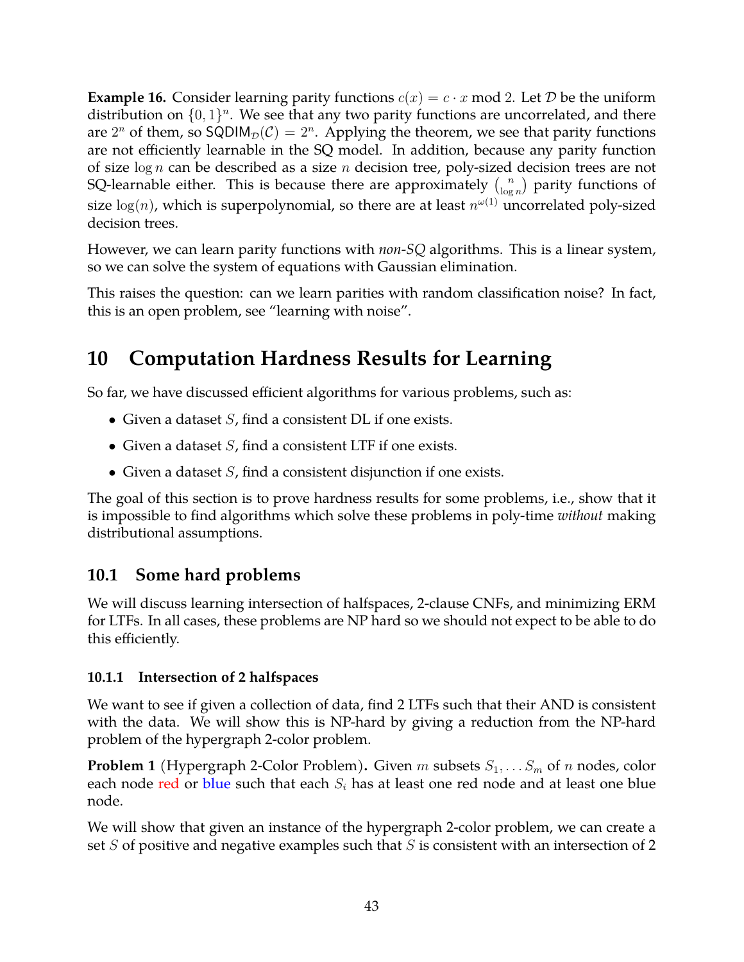**Example 16.** Consider learning parity functions  $c(x) = c \cdot x \mod 2$ . Let D be the uniform distribution on  $\{0,1\}^n$ . We see that any two parity functions are uncorrelated, and there are  $2^n$  of them, so SQDIM $_{\mathcal{D}}(\mathcal{C}) = 2^n$ . Applying the theorem, we see that parity functions are not efficiently learnable in the SQ model. In addition, because any parity function of size  $\log n$  can be described as a size n decision tree, poly-sized decision trees are not SQ-learnable either. This is because there are approximately  $\binom{n}{\log n}$  $\binom{n}{\log n}$  parity functions of size  $\log(n)$ , which is superpolynomial, so there are at least  $n^{\omega(1)}$  uncorrelated poly-sized decision trees.

However, we can learn parity functions with *non-SQ* algorithms. This is a linear system, so we can solve the system of equations with Gaussian elimination.

This raises the question: can we learn parities with random classification noise? In fact, this is an open problem, see "learning with noise".

# **10 Computation Hardness Results for Learning**

So far, we have discussed efficient algorithms for various problems, such as:

- Given a dataset  $S$ , find a consistent DL if one exists.
- Given a dataset  $S$ , find a consistent LTF if one exists.
- Given a dataset  $S$ , find a consistent disjunction if one exists.

The goal of this section is to prove hardness results for some problems, i.e., show that it is impossible to find algorithms which solve these problems in poly-time *without* making distributional assumptions.

## **10.1 Some hard problems**

We will discuss learning intersection of halfspaces, 2-clause CNFs, and minimizing ERM for LTFs. In all cases, these problems are NP hard so we should not expect to be able to do this efficiently.

## **10.1.1 Intersection of 2 halfspaces**

We want to see if given a collection of data, find 2 LTFs such that their AND is consistent with the data. We will show this is NP-hard by giving a reduction from the NP-hard problem of the hypergraph 2-color problem.

**Problem 1** (Hypergraph 2-Color Problem). Given m subsets  $S_1, \ldots, S_m$  of n nodes, color each node red or blue such that each  $S_i$  has at least one red node and at least one blue node.

We will show that given an instance of the hypergraph 2-color problem, we can create a set  $S$  of positive and negative examples such that  $S$  is consistent with an intersection of 2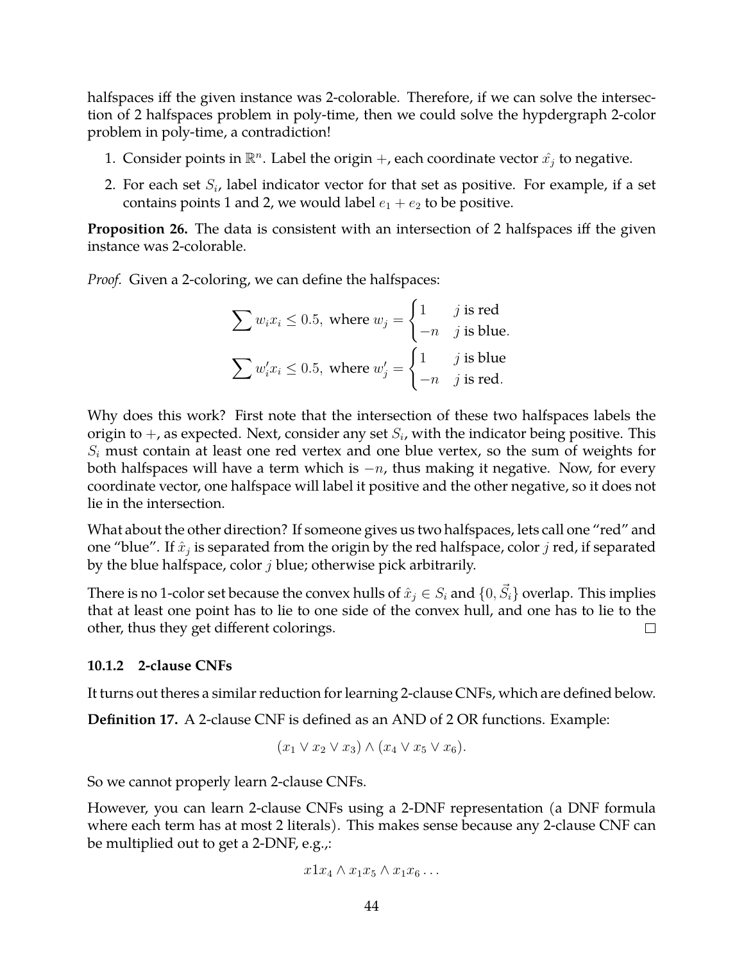halfspaces iff the given instance was 2-colorable. Therefore, if we can solve the intersection of 2 halfspaces problem in poly-time, then we could solve the hypdergraph 2-color problem in poly-time, a contradiction!

- 1. Consider points in  $\mathbb{R}^n$ . Label the origin  $+$ , each coordinate vector  $\hat{x_j}$  to negative.
- 2. For each set  $S_i$ , label indicator vector for that set as positive. For example, if a set contains points 1 and 2, we would label  $e_1 + e_2$  to be positive.

**Proposition 26.** The data is consistent with an intersection of 2 halfspaces iff the given instance was 2-colorable.

*Proof.* Given a 2-coloring, we can define the halfspaces:

$$
\sum w_i x_i \le 0.5, \text{ where } w_j = \begin{cases} 1 & j \text{ is red} \\ -n & j \text{ is blue.} \end{cases}
$$

$$
\sum w'_i x_i \le 0.5, \text{ where } w'_j = \begin{cases} 1 & j \text{ is blue} \\ -n & j \text{ is red.} \end{cases}
$$

Why does this work? First note that the intersection of these two halfspaces labels the origin to  $+$ , as expected. Next, consider any set  $S_i$ , with the indicator being positive. This  $S_i$  must contain at least one red vertex and one blue vertex, so the sum of weights for both halfspaces will have a term which is  $-n$ , thus making it negative. Now, for every coordinate vector, one halfspace will label it positive and the other negative, so it does not lie in the intersection.

What about the other direction? If someone gives us two halfspaces, lets call one "red" and one "blue". If  $\hat{x}_j$  is separated from the origin by the red halfspace, color  $j$  red, if separated by the blue halfspace, color  $j$  blue; otherwise pick arbitrarily.

There is no 1-color set because the convex hulls of  $\hat{x}_j \in S_i$  and  $\{0, \vec{S_i}\}$  overlap. This implies that at least one point has to lie to one side of the convex hull, and one has to lie to the other, thus they get different colorings.  $\Box$ 

### **10.1.2 2-clause CNFs**

It turns out theres a similar reduction for learning 2-clause CNFs, which are defined below.

**Definition 17.** A 2-clause CNF is defined as an AND of 2 OR functions. Example:

$$
(x_1 \vee x_2 \vee x_3) \wedge (x_4 \vee x_5 \vee x_6).
$$

So we cannot properly learn 2-clause CNFs.

However, you can learn 2-clause CNFs using a 2-DNF representation (a DNF formula where each term has at most 2 literals). This makes sense because any 2-clause CNF can be multiplied out to get a 2-DNF, e.g.,:

$$
x1x_4 \wedge x_1x_5 \wedge x_1x_6 \dots
$$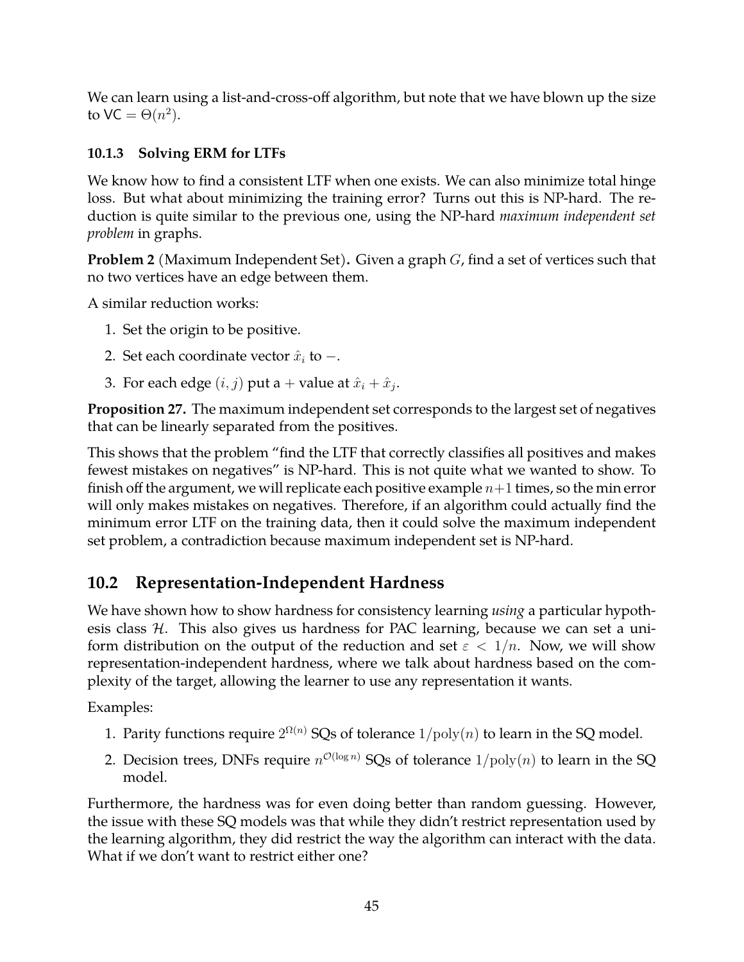We can learn using a list-and-cross-off algorithm, but note that we have blown up the size to VC =  $\Theta(n^2)$ .

## **10.1.3 Solving ERM for LTFs**

We know how to find a consistent LTF when one exists. We can also minimize total hinge loss. But what about minimizing the training error? Turns out this is NP-hard. The reduction is quite similar to the previous one, using the NP-hard *maximum independent set problem* in graphs.

**Problem 2** (Maximum Independent Set)**.** Given a graph G, find a set of vertices such that no two vertices have an edge between them.

A similar reduction works:

- 1. Set the origin to be positive.
- 2. Set each coordinate vector  $\hat{x}_i$  to  $-$ .
- 3. For each edge  $(i, j)$  put a + value at  $\hat{x}_i + \hat{x}_j$ .

**Proposition 27.** The maximum independent set corresponds to the largest set of negatives that can be linearly separated from the positives.

This shows that the problem "find the LTF that correctly classifies all positives and makes fewest mistakes on negatives" is NP-hard. This is not quite what we wanted to show. To finish off the argument, we will replicate each positive example  $n+1$  times, so the min error will only makes mistakes on negatives. Therefore, if an algorithm could actually find the minimum error LTF on the training data, then it could solve the maximum independent set problem, a contradiction because maximum independent set is NP-hard.

## **10.2 Representation-Independent Hardness**

We have shown how to show hardness for consistency learning *using* a particular hypothesis class  $H$ . This also gives us hardness for PAC learning, because we can set a uniform distribution on the output of the reduction and set  $\varepsilon < 1/n$ . Now, we will show representation-independent hardness, where we talk about hardness based on the complexity of the target, allowing the learner to use any representation it wants.

Examples:

- 1. Parity functions require  $2^{\Omega(n)}$  SQs of tolerance  $1/\mathrm{poly}(n)$  to learn in the SQ model.
- 2. Decision trees, DNFs require  $n^{\mathcal{O}(\log n)}$  SQs of tolerance  $1/\mathrm{poly}(n)$  to learn in the SQ model.

Furthermore, the hardness was for even doing better than random guessing. However, the issue with these SQ models was that while they didn't restrict representation used by the learning algorithm, they did restrict the way the algorithm can interact with the data. What if we don't want to restrict either one?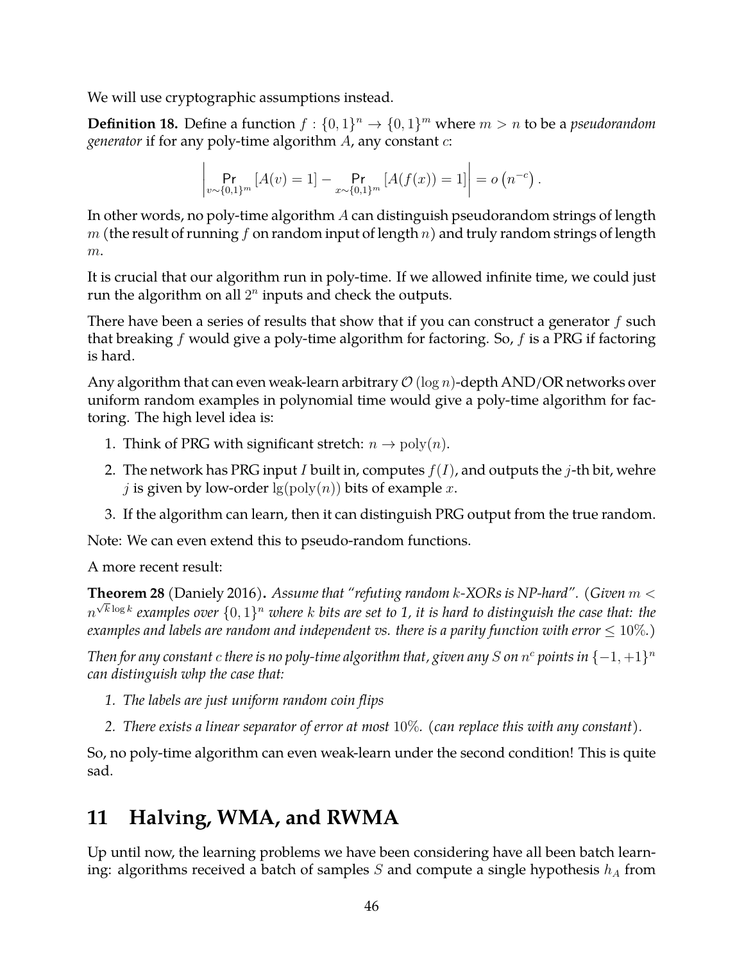We will use cryptographic assumptions instead.

**Definition 18.** Define a function  $f: \{0,1\}^n \to \{0,1\}^m$  where  $m > n$  to be a *pseudorandom generator* if for any poly-time algorithm A, any constant c:

$$
\left| \Pr_{v \sim \{0,1\}^m} \left[ A(v) = 1 \right] - \Pr_{x \sim \{0,1\}^m} \left[ A(f(x)) = 1 \right] \right| = o\left( n^{-c} \right).
$$

In other words, no poly-time algorithm A can distinguish pseudorandom strings of length  $m$  (the result of running f on random input of length  $n$ ) and truly random strings of length  $m$ .

It is crucial that our algorithm run in poly-time. If we allowed infinite time, we could just run the algorithm on all  $2^n$  inputs and check the outputs.

There have been a series of results that show that if you can construct a generator  $f$  such that breaking f would give a poly-time algorithm for factoring. So,  $f$  is a PRG if factoring is hard.

Any algorithm that can even weak-learn arbitrary  $\mathcal{O}(\log n)$ -depth AND/OR networks over uniform random examples in polynomial time would give a poly-time algorithm for factoring. The high level idea is:

- 1. Think of PRG with significant stretch:  $n \to \text{poly}(n)$ .
- 2. The network has PRG input I built in, computes  $f(I)$ , and outputs the j-th bit, wehre j is given by low-order  $\lg(\text{poly}(n))$  bits of example x.
- 3. If the algorithm can learn, then it can distinguish PRG output from the true random.

Note: We can even extend this to pseudo-random functions.

A more recent result:

**Theorem 28** (Daniely 2016)**.** *Assume that "refuting random* k*-XORs is NP-hard". (Given* m < √  $n^{\sqrt{k \log k}}$  examples over  $\{0,1\}^n$  where  $k$  bits are set to 1, it is hard to distinguish the case that: the *examples and labels are random and independent vs. there is a parity function with error*  $\leq 10\%$ .)

*Then for any constant*  $c$  *there is no poly-time algorithm that, given any*  $S$  *on*  $n^c$  *points in*  $\{-1, +1\}^n$ *can distinguish whp the case that:*

- *1. The labels are just uniform random coin flips*
- *2. There exists a linear separator of error at most* 10%*. (can replace this with any constant).*

So, no poly-time algorithm can even weak-learn under the second condition! This is quite sad.

# **11 Halving, WMA, and RWMA**

Up until now, the learning problems we have been considering have all been batch learning: algorithms received a batch of samples S and compute a single hypothesis  $h_A$  from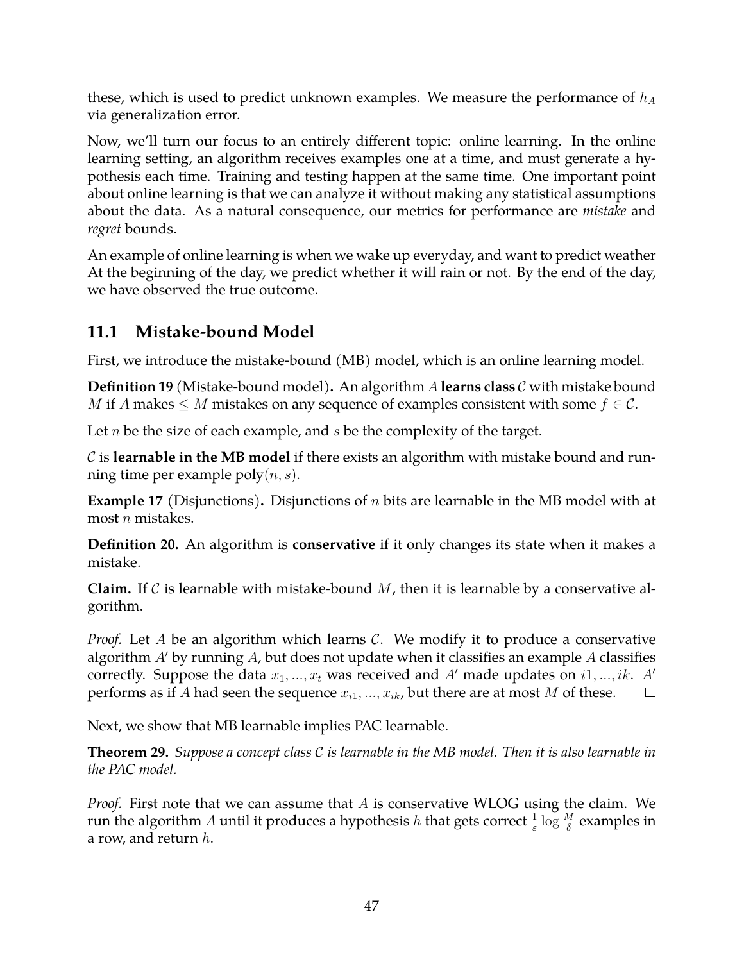these, which is used to predict unknown examples. We measure the performance of  $h_A$ via generalization error.

Now, we'll turn our focus to an entirely different topic: online learning. In the online learning setting, an algorithm receives examples one at a time, and must generate a hypothesis each time. Training and testing happen at the same time. One important point about online learning is that we can analyze it without making any statistical assumptions about the data. As a natural consequence, our metrics for performance are *mistake* and *regret* bounds.

An example of online learning is when we wake up everyday, and want to predict weather At the beginning of the day, we predict whether it will rain or not. By the end of the day, we have observed the true outcome.

## **11.1 Mistake-bound Model**

First, we introduce the mistake-bound (MB) model, which is an online learning model.

**Definition 19** (Mistake-bound model)**.** An algorithm A **learns class** C with mistake bound *M* if *A* makes  $\leq$  *M* mistakes on any sequence of examples consistent with some  $f \in C$ .

Let  $n$  be the size of each example, and  $s$  be the complexity of the target.

C is **learnable in the MB model** if there exists an algorithm with mistake bound and running time per example  $\text{poly}(n, s)$ .

**Example 17** (Disjunctions)**.** Disjunctions of n bits are learnable in the MB model with at most  $n$  mistakes.

**Definition 20.** An algorithm is **conservative** if it only changes its state when it makes a mistake.

**Claim.** If C is learnable with mistake-bound  $M$ , then it is learnable by a conservative algorithm.

*Proof.* Let A be an algorithm which learns C. We modify it to produce a conservative algorithm  $A'$  by running  $A$ , but does not update when it classifies an example  $A$  classifies correctly. Suppose the data  $x_1, ..., x_t$  was received and A' made updates on i1, ..., ik. A' performs as if A had seen the sequence  $x_{i1}, ..., x_{ik}$ , but there are at most M of these.  $\Box$ 

Next, we show that MB learnable implies PAC learnable.

**Theorem 29.** *Suppose a concept class* C *is learnable in the MB model. Then it is also learnable in the PAC model.*

*Proof.* First note that we can assume that A is conservative WLOG using the claim. We run the algorithm  $A$  until it produces a hypothesis  $h$  that gets correct  $\frac{1}{\varepsilon} \log \frac{M}{\delta}$  examples in a row, and return  $h$ .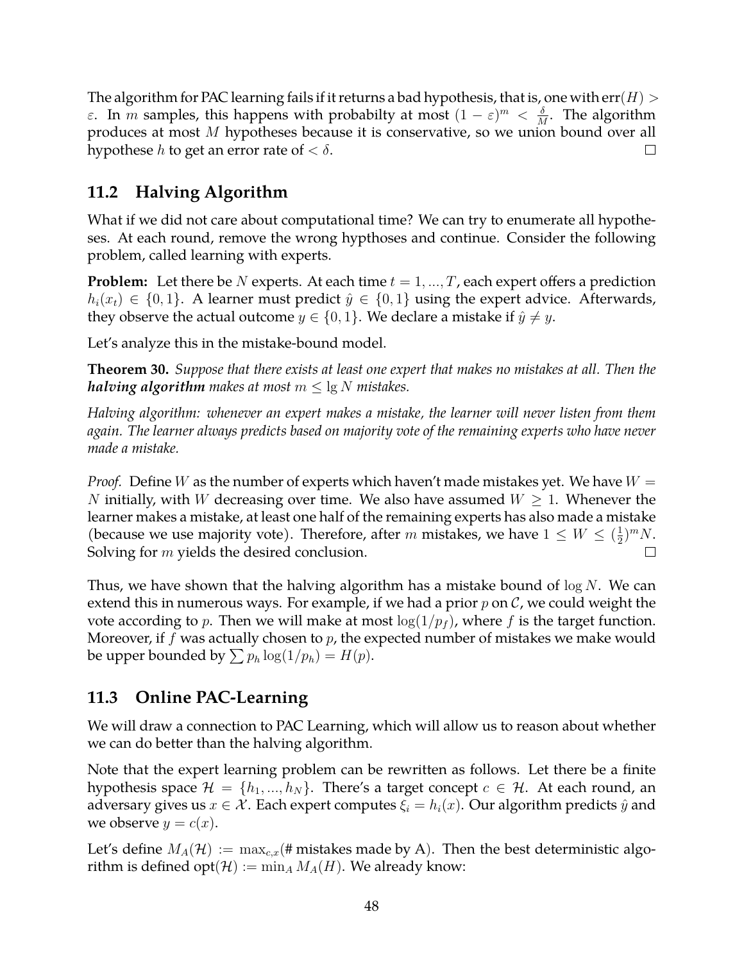The algorithm for PAC learning fails if it returns a bad hypothesis, that is, one with  $err(H)$  > ε. In *m* samples, this happens with probabilty at most  $(1 - \varepsilon)^m < \frac{\delta}{h}$  $\frac{\delta}{M}$ . The algorithm produces at most M hypotheses because it is conservative, so we union bound over all hypothese *h* to get an error rate of  $< \delta$ .  $\Box$ 

## **11.2 Halving Algorithm**

What if we did not care about computational time? We can try to enumerate all hypotheses. At each round, remove the wrong hypthoses and continue. Consider the following problem, called learning with experts.

**Problem:** Let there be N experts. At each time  $t = 1, ..., T$ , each expert offers a prediction  $h_i(x_t) \in \{0,1\}$ . A learner must predict  $\hat{y} \in \{0,1\}$  using the expert advice. Afterwards, they observe the actual outcome  $y \in \{0, 1\}$ . We declare a mistake if  $\hat{y} \neq y$ .

Let's analyze this in the mistake-bound model.

**Theorem 30.** *Suppose that there exists at least one expert that makes no mistakes at all. Then the halving algorithm makes at most*  $m \leq \lg N$  *mistakes.* 

*Halving algorithm: whenever an expert makes a mistake, the learner will never listen from them again. The learner always predicts based on majority vote of the remaining experts who have never made a mistake.*

*Proof.* Define W as the number of experts which haven't made mistakes yet. We have  $W =$ N initially, with W decreasing over time. We also have assumed  $W \geq 1$ . Whenever the learner makes a mistake, at least one half of the remaining experts has also made a mistake (because we use majority vote). Therefore, after m mistakes, we have  $1 \leq W \leq (\frac{1}{2})$  $(\frac{1}{2})^m N$ . Solving for  $m$  yields the desired conclusion.  $\Box$ 

Thus, we have shown that the halving algorithm has a mistake bound of  $\log N$ . We can extend this in numerous ways. For example, if we had a prior  $p$  on  $\mathcal{C}$ , we could weight the vote according to p. Then we will make at most  $log(1/p_f)$ , where f is the target function. Moreover, if  $f$  was actually chosen to  $p$ , the expected number of mistakes we make would be upper bounded by  $\sum p_h \log(1/p_h) = H(p)$ .

## **11.3 Online PAC-Learning**

We will draw a connection to PAC Learning, which will allow us to reason about whether we can do better than the halving algorithm.

Note that the expert learning problem can be rewritten as follows. Let there be a finite hypothesis space  $\mathcal{H} = \{h_1, ..., h_N\}$ . There's a target concept  $c \in \mathcal{H}$ . At each round, an adversary gives us  $x \in \mathcal{X}$ . Each expert computes  $\xi_i = h_i(x)$ . Our algorithm predicts  $\hat{y}$  and we observe  $y = c(x)$ .

Let's define  $M_A(\mathcal{H}) := \max_{c,x}(\# \text{mistakes made by A}).$  Then the best deterministic algorithm is defined  $opt(\mathcal{H}) := \min_A M_A(H)$ . We already know: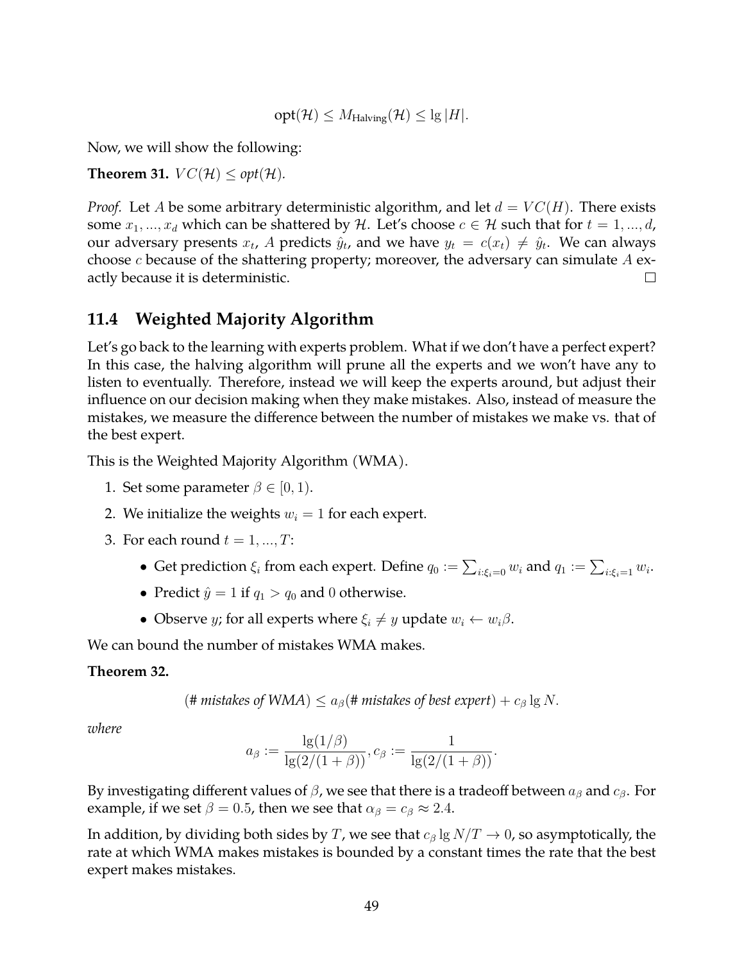$$
opt(\mathcal{H}) \leq M_{\text{Halving}}(\mathcal{H}) \leq \lg |H|.
$$

Now, we will show the following:

**Theorem 31.**  $VC(\mathcal{H}) \leq opt(\mathcal{H})$ .

*Proof.* Let A be some arbitrary deterministic algorithm, and let  $d = VC(H)$ . There exists some  $x_1, ..., x_d$  which can be shattered by H. Let's choose  $c \in \mathcal{H}$  such that for  $t = 1, ..., d$ , our adversary presents  $x_t$ , A predicts  $\hat{y}_t$ , and we have  $y_t = c(x_t) \neq \hat{y}_t$ . We can always choose  $c$  because of the shattering property; moreover, the adversary can simulate  $A$  exactly because it is deterministic.  $\Box$ 

### **11.4 Weighted Majority Algorithm**

Let's go back to the learning with experts problem. What if we don't have a perfect expert? In this case, the halving algorithm will prune all the experts and we won't have any to listen to eventually. Therefore, instead we will keep the experts around, but adjust their influence on our decision making when they make mistakes. Also, instead of measure the mistakes, we measure the difference between the number of mistakes we make vs. that of the best expert.

This is the Weighted Majority Algorithm (WMA).

- 1. Set some parameter  $\beta \in [0, 1)$ .
- 2. We initialize the weights  $w_i = 1$  for each expert.
- 3. For each round  $t = 1, ..., T$ :
	- $\bullet\,$  Get prediction  $\xi_i$  from each expert. Define  $q_0:=\sum_{i:\xi_i=0}w_i$  and  $q_1:=\sum_{i:\xi_i=1}w_i.$
	- Predict  $\hat{y} = 1$  if  $q_1 > q_0$  and 0 otherwise.
	- Observe *y*; for all experts where  $\xi_i \neq y$  update  $w_i \leftarrow w_i \beta$ .

We can bound the number of mistakes WMA makes.

#### **Theorem 32.**

$$
(
$$
# mistakes of WMA $)$  ≤  $aβ$ (# mistakes of best expert) +  $cβ$ lg N.

*where*

$$
a_{\beta} := \frac{\lg(1/\beta)}{\lg(2/(1+\beta))}, c_{\beta} := \frac{1}{\lg(2/(1+\beta))}.
$$

By investigating different values of  $\beta$ , we see that there is a tradeoff between  $a_{\beta}$  and  $c_{\beta}$ . For example, if we set  $\beta = 0.5$ , then we see that  $\alpha_{\beta} = c_{\beta} \approx 2.4$ .

In addition, by dividing both sides by T, we see that  $c_\beta \lg N/T \to 0$ , so asymptotically, the rate at which WMA makes mistakes is bounded by a constant times the rate that the best expert makes mistakes.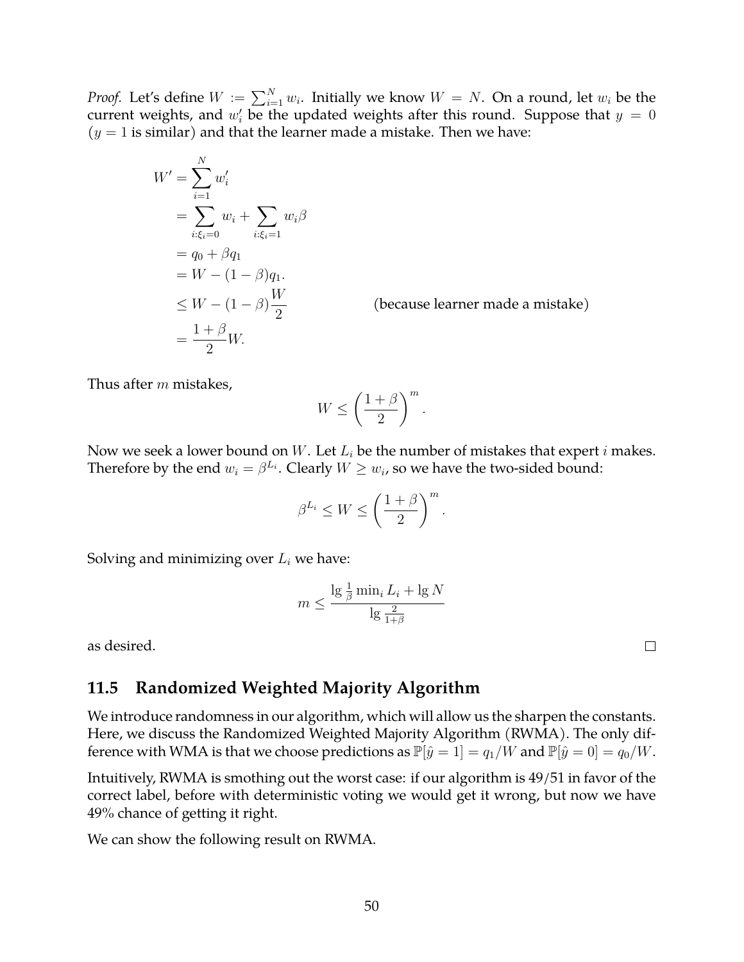*Proof.* Let's define  $W := \sum_{i=1}^{N} w_i$ . Initially we know  $W = N$ . On a round, let  $w_i$  be the current weights, and  $w_i'$  be the updated weights after this round. Suppose that  $y = 0$  $(y = 1$  is similar) and that the learner made a mistake. Then we have:

$$
W' = \sum_{i=1}^{N} w'_i
$$
  
= 
$$
\sum_{i:\xi_i=0}^{N} w_i + \sum_{i:\xi_i=1}^{N} w_i \beta
$$
  
= 
$$
q_0 + \beta q_1
$$
  
= 
$$
W - (1 - \beta) q_1.
$$
  

$$
\leq W - (1 - \beta) \frac{W}{2}
$$
  
= 
$$
\frac{1 + \beta}{2} W.
$$

(because learner made a mistake)

Thus after m mistakes,

$$
W \le \left(\frac{1+\beta}{2}\right)^m.
$$

Now we seek a lower bound on  $W$ . Let  $L_i$  be the number of mistakes that expert  $i$  makes. Therefore by the end  $w_i = \beta^{L_i}$ . Clearly  $W \geq w_i$ , so we have the two-sided bound:

$$
\beta^{L_i} \le W \le \left(\frac{1+\beta}{2}\right)^m.
$$

Solving and minimizing over  $L_i$  we have:

$$
m \le \frac{\lg \frac{1}{\beta} \min_{i} L_i + \lg N}{\lg \frac{2}{1+\beta}}
$$

as desired.

### **11.5 Randomized Weighted Majority Algorithm**

We introduce randomness in our algorithm, which will allow us the sharpen the constants. Here, we discuss the Randomized Weighted Majority Algorithm (RWMA). The only difference with WMA is that we choose predictions as  $\mathbb{P}[\hat{y} = 1] = q_1/W$  and  $\mathbb{P}[\hat{y} = 0] = q_0/W$ .

Intuitively, RWMA is smothing out the worst case: if our algorithm is 49/51 in favor of the correct label, before with deterministic voting we would get it wrong, but now we have 49% chance of getting it right.

We can show the following result on RWMA.

 $\Box$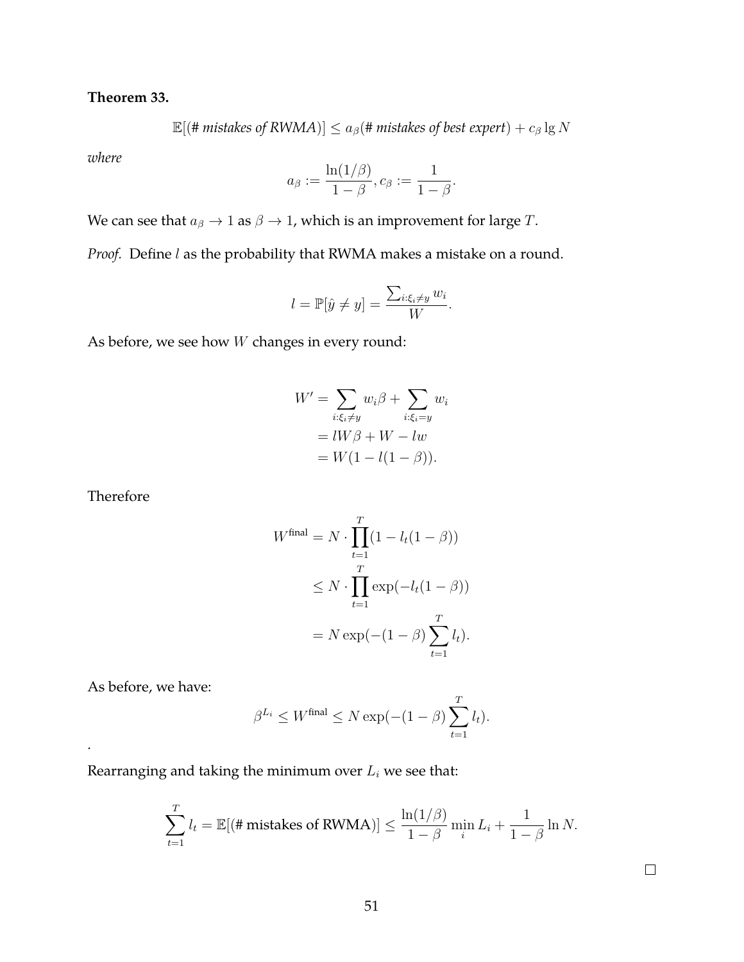**Theorem 33.**

 $\mathbb{E}[(\text{# mistakes of RWMA})] \le a_{\beta}(\text{# mistakes of best expert}) + c_{\beta} \lg N$ 

*where*

$$
a_{\beta}:=\frac{\ln(1/\beta)}{1-\beta}, c_{\beta}:=\frac{1}{1-\beta}.
$$

We can see that  $a_{\beta} \rightarrow 1$  as  $\beta \rightarrow 1$ , which is an improvement for large T.

*Proof.* Define *l* as the probability that RWMA makes a mistake on a round.

$$
l = \mathbb{P}[\hat{y} \neq y] = \frac{\sum_{i:\xi_i \neq y} w_i}{W}.
$$

As before, we see how W changes in every round:

$$
W' = \sum_{i:\xi_i \neq y} w_i \beta + \sum_{i:\xi_i = y} w_i
$$
  
=  $lW\beta + W - lw$   
=  $W(1 - l(1 - \beta)).$ 

Therefore

$$
W^{\text{final}} = N \cdot \prod_{t=1}^{T} (1 - l_t(1 - \beta))
$$
  
\n
$$
\leq N \cdot \prod_{t=1}^{T} \exp(-l_t(1 - \beta))
$$
  
\n
$$
= N \exp(-(1 - \beta) \sum_{t=1}^{T} l_t).
$$

As before, we have:

.

$$
\beta^{L_i} \le W^{\text{final}} \le N \exp(-(1-\beta) \sum_{t=1}^T l_t).
$$

Rearranging and taking the minimum over  $L_i$  we see that:

$$
\sum_{t=1}^{T} l_t = \mathbb{E}[(\# \text{mistakes of RWMA})] \le \frac{\ln(1/\beta)}{1-\beta} \min_i L_i + \frac{1}{1-\beta} \ln N.
$$

 $\Box$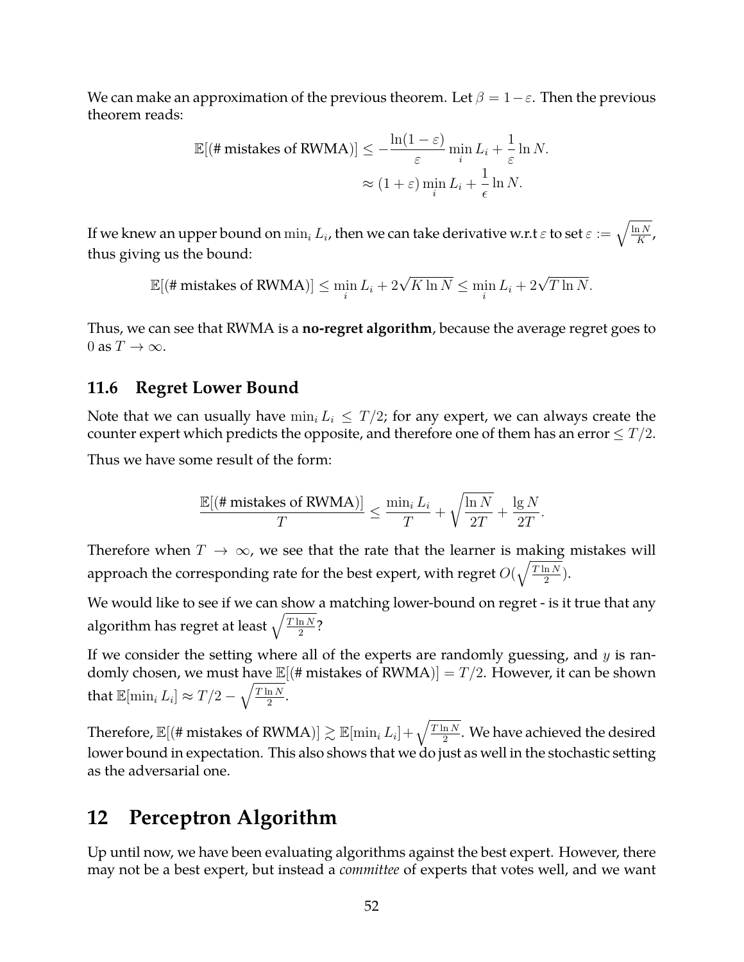We can make an approximation of the previous theorem. Let  $\beta = 1 - \varepsilon$ . Then the previous theorem reads:

$$
\mathbb{E}[(\#\text{mistakes of RWMA})] \le -\frac{\ln(1-\varepsilon)}{\varepsilon} \min_{i} L_i + \frac{1}{\varepsilon} \ln N.
$$

$$
\approx (1+\varepsilon) \min_{i} L_i + \frac{1}{\varepsilon} \ln N.
$$

If we knew an upper bound on  $\min_i L_i$ , then we can take derivative w.r.t  $\varepsilon$  to set  $\varepsilon:=\sqrt{\frac{\ln N}{K}}$  $\frac{1}{K}$ , thus giving us the bound:

$$
\mathbb{E}[(\text{\# mistakes of RWMA})] \le \min_i L_i + 2\sqrt{K \ln N} \le \min_i L_i + 2\sqrt{T \ln N}.
$$

Thus, we can see that RWMA is a **no-regret algorithm**, because the average regret goes to 0 as  $T \to \infty$ .

#### **11.6 Regret Lower Bound**

Note that we can usually have  $\min_i L_i \leq T/2$ ; for any expert, we can always create the counter expert which predicts the opposite, and therefore one of them has an error  $\leq T/2$ .

Thus we have some result of the form:

$$
\frac{\mathbb{E}[(\#\text{mistakes of RWMA})]}{T} \le \frac{\min_i L_i}{T} + \sqrt{\frac{\ln N}{2T}} + \frac{\lg N}{2T}.
$$

Therefore when  $T \to \infty$ , we see that the rate that the learner is making mistakes will approach the corresponding rate for the best expert, with regret  $O(\sqrt{\frac{T \ln N}{2}})$  $\frac{\ln N}{2}$ ).

We would like to see if we can show a matching lower-bound on regret - is it true that any algorithm has regret at least  $\sqrt{\frac{T \ln N}{2}}$  $\frac{\ln N}{2}$ ?

If we consider the setting where all of the experts are randomly guessing, and  $y$  is randomly chosen, we must have  $\mathbb{E}[(# \text{ mistakes of RWMA})] = T/2$ . However, it can be shown that  $\mathbb{E}[\min_i L_i] \approx T/2 - \sqrt{\frac{T \ln N}{2}}$  $\frac{\ln N}{2}$ .

Therefore,  $\mathbb{E}[(\# \text{mistakes of RWMA})] \gtrsim \mathbb{E}[\min_i L_i] + \sqrt{\frac{T \ln N}{2}}$  $\frac{\ln N}{2}$ . We have achieved the desired lower bound in expectation. This also shows that we do just as well in the stochastic setting as the adversarial one.

## **12 Perceptron Algorithm**

Up until now, we have been evaluating algorithms against the best expert. However, there may not be a best expert, but instead a *committee* of experts that votes well, and we want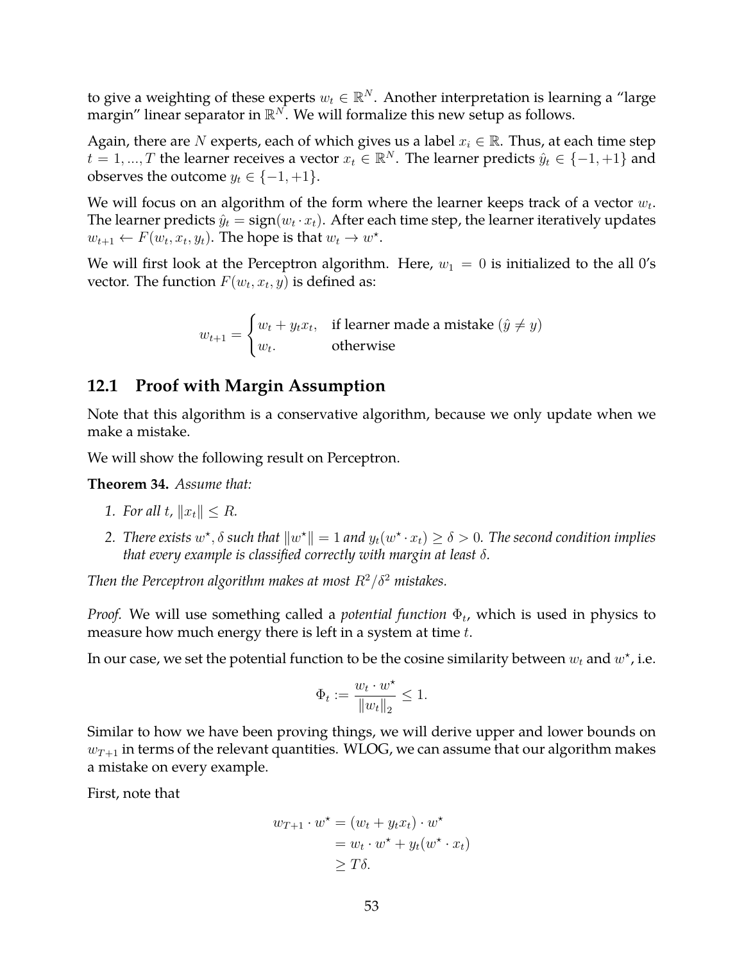to give a weighting of these experts  $w_t \in \mathbb{R}^N.$  Another interpretation is learning a "large margin" linear separator in  $\mathbb{R}^N$ . We will formalize this new setup as follows.

Again, there are N experts, each of which gives us a label  $x_i \in \mathbb{R}$ . Thus, at each time step  $t = 1, ..., T$  the learner receives a vector  $x_t \in \mathbb{R}^N$ . The learner predicts  $\hat{y}_t \in \{-1, +1\}$  and observes the outcome  $y_t \in \{-1, +1\}.$ 

We will focus on an algorithm of the form where the learner keeps track of a vector  $w_t$ . The learner predicts  $\hat{y}_t = \text{sign}(w_t \cdot x_t)$ . After each time step, the learner iteratively updates  $w_{t+1} \leftarrow F(w_t, x_t, y_t)$ . The hope is that  $w_t \to w^*$ .

We will first look at the Perceptron algorithm. Here,  $w_1 = 0$  is initialized to the all 0's vector. The function  $F(w_t, x_t, y)$  is defined as:

$$
w_{t+1} = \begin{cases} w_t + y_t x_t, & \text{if learner made a mistake } (\hat{y} \neq y) \\ w_t, & \text{otherwise} \end{cases}
$$

### **12.1 Proof with Margin Assumption**

Note that this algorithm is a conservative algorithm, because we only update when we make a mistake.

We will show the following result on Perceptron.

**Theorem 34.** *Assume that:*

- *1. For all t,*  $||x_t|| \leq R$ *.*
- 2. There exists  $w^*$ ,  $\delta$  such that  $||w^*|| = 1$  and  $y_t(w^* \cdot x_t) \ge \delta > 0$ . The second condition implies *that every example is classified correctly with margin at least* δ*.*

*Then the Perceptron algorithm makes at most*  $R^2/\delta^2$  *mistakes.* 

*Proof.* We will use something called a *potential function*  $\Phi_t$ , which is used in physics to measure how much energy there is left in a system at time  $t$ .

In our case, we set the potential function to be the cosine similarity between  $w_t$  and  $w^*$ , i.e.

$$
\Phi_t := \frac{w_t \cdot w^\star}{\|w_t\|_2} \le 1.
$$

Similar to how we have been proving things, we will derive upper and lower bounds on  $w_{T+1}$  in terms of the relevant quantities. WLOG, we can assume that our algorithm makes a mistake on every example.

First, note that

$$
w_{T+1} \cdot w^* = (w_t + y_t x_t) \cdot w^*
$$
  
=  $w_t \cdot w^* + y_t (w^* \cdot x_t)$   
 $\geq T\delta$ .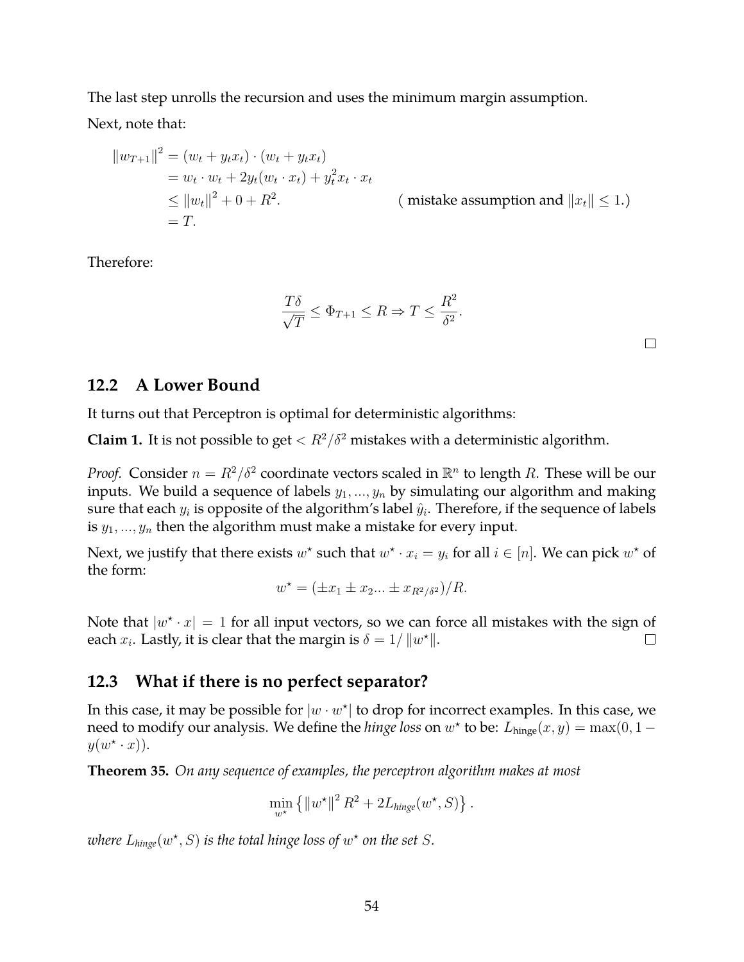The last step unrolls the recursion and uses the minimum margin assumption.

Next, note that:

$$
||w_{T+1}||^2 = (w_t + y_t x_t) \cdot (w_t + y_t x_t)
$$
  
=  $w_t \cdot w_t + 2y_t (w_t \cdot x_t) + y_t^2 x_t \cdot x_t$   
 $\le ||w_t||^2 + 0 + R^2.$  (mistake assumption and  $||x_t|| \le 1$ .)  
= T.

Therefore:

$$
\frac{T\delta}{\sqrt{T}} \le \Phi_{T+1} \le R \Rightarrow T \le \frac{R^2}{\delta^2}.
$$

 $\Box$ 

### **12.2 A Lower Bound**

It turns out that Perceptron is optimal for deterministic algorithms:

**Claim 1.** It is not possible to get  $\langle R^2/\delta^2$  mistakes with a deterministic algorithm.

*Proof.* Consider  $n = R^2/\delta^2$  coordinate vectors scaled in  $\mathbb{R}^n$  to length R. These will be our inputs. We build a sequence of labels  $y_1, ..., y_n$  by simulating our algorithm and making sure that each  $y_i$  is opposite of the algorithm's label  $\hat{y}_i.$  Therefore, if the sequence of labels is  $y_1, ..., y_n$  then the algorithm must make a mistake for every input.

Next, we justify that there exists  $w^*$  such that  $w^* \cdot x_i = y_i$  for all  $i \in [n]$ . We can pick  $w^*$  of the form:

$$
w^* = (\pm x_1 \pm x_2 ... \pm x_{R^2/\delta^2})/R.
$$

Note that  $|w^* \cdot x| = 1$  for all input vectors, so we can force all mistakes with the sign of each  $x_i$ . Lastly, it is clear that the margin is  $\delta = 1/||w^*||$ .  $\Box$ 

## **12.3 What if there is no perfect separator?**

In this case, it may be possible for  $|w \cdot w^\star|$  to drop for incorrect examples. In this case, we need to modify our analysis. We define the *hinge loss* on  $w^*$  to be:  $L_{hinge}(x, y) = \max(0, 1 - y)$  $y(w^{\star} \cdot x)$ .

**Theorem 35.** *On any sequence of examples, the perceptron algorithm makes at most*

$$
\min_{w^*} \left\{ \left\| w^{\star} \right\|^2 R^2 + 2L_{\text{hinge}}(w^{\star}, S) \right\}.
$$

where  $L_{hinge}(w^*, S)$  is the total hinge loss of  $w^*$  on the set  $S$ .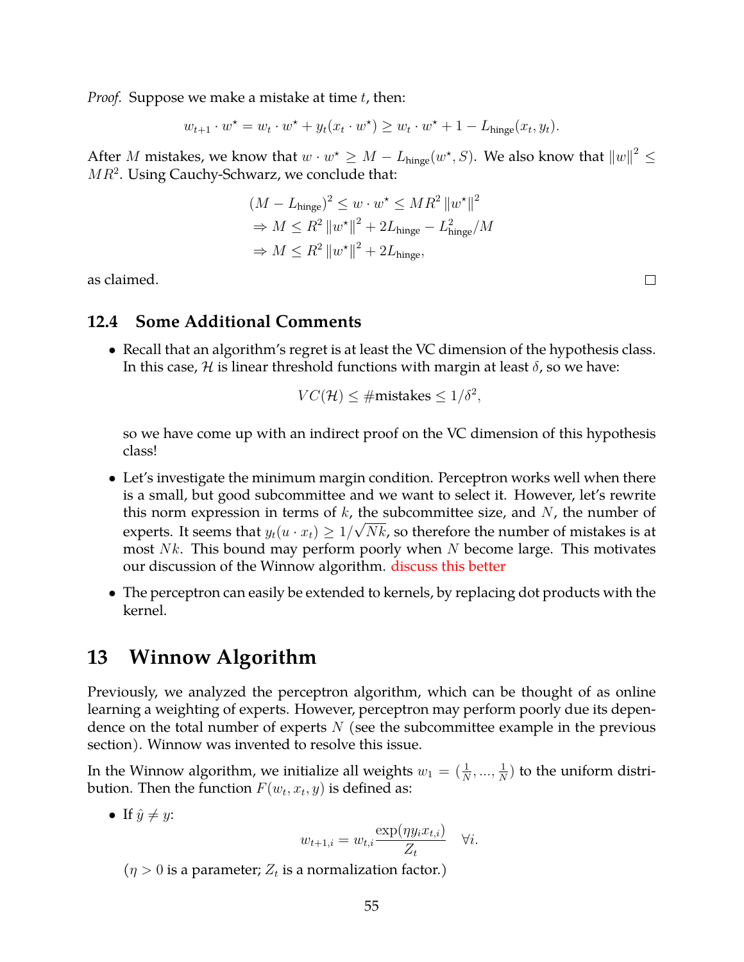*Proof.* Suppose we make a mistake at time t, then:

$$
w_{t+1} \cdot w^\star = w_t \cdot w^\star + y_t(x_t \cdot w^\star) \ge w_t \cdot w^\star + 1 - L_{\text{hinge}}(x_t, y_t).
$$

After  $M$  mistakes, we know that  $w\cdot w^\star \geq M-L_{\text{hinge}}(w^\star, S).$  We also know that  $\left\|w\right\|^2\leq$  $MR^2$ . Using Cauchy-Schwarz, we conclude that:

$$
(M - Lhinge)2 \le w \cdot w^* \le MR2 ||w^*||2
$$
  
\n
$$
\Rightarrow M \le R2 ||w^*||2 + 2Lhinge - L2hinge/M
$$
  
\n
$$
\Rightarrow M \le R2 ||w^*||2 + 2Lhinge,
$$

as claimed.

#### **12.4 Some Additional Comments**

• Recall that an algorithm's regret is at least the VC dimension of the hypothesis class. In this case,  $H$  is linear threshold functions with margin at least  $\delta$ , so we have:

$$
VC(\mathcal{H}) \leq \# \text{mistakes} \leq 1/\delta^2,
$$

so we have come up with an indirect proof on the VC dimension of this hypothesis class!

- Let's investigate the minimum margin condition. Perceptron works well when there is a small, but good subcommittee and we want to select it. However, let's rewrite this norm expression in terms of  $k$ , the subcommittee size, and  $N$ , the number of experts. It seems that  $y_t(u \cdot x_t) \geq 1/\sqrt{Nk}$ , so therefore the number of mistakes is at most  $Nk$ . This bound may perform poorly when N become large. This motivates our discussion of the Winnow algorithm. discuss this better
- The perceptron can easily be extended to kernels, by replacing dot products with the kernel.

## **13 Winnow Algorithm**

Previously, we analyzed the perceptron algorithm, which can be thought of as online learning a weighting of experts. However, perceptron may perform poorly due its dependence on the total number of experts  $N$  (see the subcommittee example in the previous section). Winnow was invented to resolve this issue.

In the Winnow algorithm, we initialize all weights  $w_1 = (\frac{1}{N},...,\frac{1}{N})$  $\frac{1}{N}$ ) to the uniform distribution. Then the function  $F(w_t,x_t,y)$  is defined as:

• If  $\hat{y} \neq y$ :

$$
w_{t+1,i} = w_{t,i} \frac{\exp(\eta y_i x_{t,i})}{Z_t} \quad \forall i.
$$

 $(\eta > 0$  is a parameter;  $Z_t$  is a normalization factor.)

 $\Box$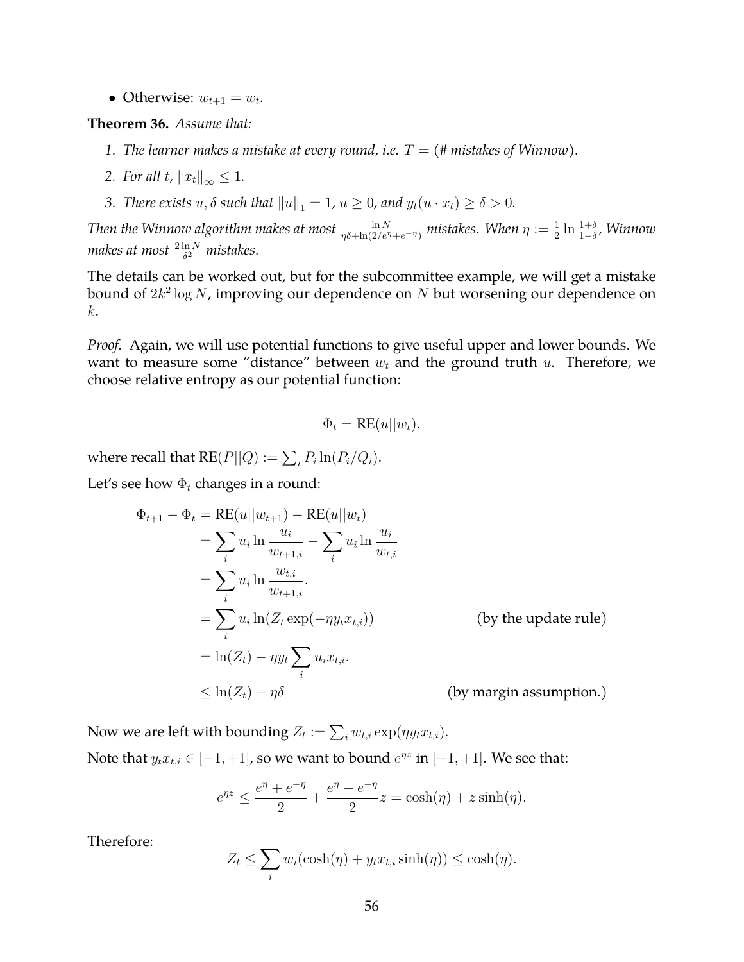• Otherwise:  $w_{t+1} = w_t$ .

**Theorem 36.** *Assume that:*

- *1. The learner makes a mistake at every round, i.e.*  $T = (\text{\# mistakes of Winnow}).$
- *2. For all t*,  $||x_t||_{\infty} \leq 1$ *.*
- *3. There exists*  $u, \delta$  *such that*  $||u||_1 = 1$ ,  $u \ge 0$ , and  $y_t(u \cdot x_t) \ge \delta > 0$ .

Then the Winnow algorithm makes at most  $\frac{\ln N}{\eta\delta+\ln(2/e^{\eta}+e^{-\eta})}$  mistakes. When  $\eta:=\frac{1}{2}\ln\frac{1+\delta}{1-\delta}$ , Winnow makes at most  $\frac{2\ln N}{\delta^2}$  mistakes.

The details can be worked out, but for the subcommittee example, we will get a mistake bound of  $2k^2\log N$ , improving our dependence on  $N$  but worsening our dependence on k.

*Proof.* Again, we will use potential functions to give useful upper and lower bounds. We want to measure some "distance" between  $w_t$  and the ground truth  $u$ . Therefore, we choose relative entropy as our potential function:

$$
\Phi_t = \text{RE}(u||w_t).
$$

where recall that  $\mathsf{RE}(P||Q) := \sum_i P_i \ln(P_i/Q_i).$ 

Let's see how  $\Phi_t$  changes in a round:

$$
\Phi_{t+1} - \Phi_t = \text{RE}(u||w_{t+1}) - \text{RE}(u||w_t)
$$
\n
$$
= \sum_i u_i \ln \frac{u_i}{w_{t+1,i}} - \sum_i u_i \ln \frac{u_i}{w_{t,i}}
$$
\n
$$
= \sum_i u_i \ln \frac{w_{t,i}}{w_{t+1,i}}.
$$
\n
$$
= \sum_i u_i \ln(Z_t \exp(-\eta y_t x_{t,i})) \qquad \text{(by the update rule)}
$$
\n
$$
= \ln(Z_t) - \eta y_t \sum_i u_i x_{t,i}.
$$
\n
$$
\leq \ln(Z_t) - \eta \delta \qquad \text{(by margin assumption.)}
$$

Now we are left with bounding  $Z_t := \sum_i w_{t,i} \exp(\eta y_t x_{t,i}).$ Note that  $y_t x_{t,i} \in [-1, +1]$ , so we want to bound  $e^{\eta z}$  in  $[-1, +1]$ . We see that:

$$
e^{\eta z} \le \frac{e^{\eta} + e^{-\eta}}{2} + \frac{e^{\eta} - e^{-\eta}}{2} z = \cosh(\eta) + z \sinh(\eta).
$$

Therefore:

$$
Z_t \leq \sum_i w_i(\cosh(\eta) + y_t x_{t,i} \sinh(\eta)) \leq \cosh(\eta).
$$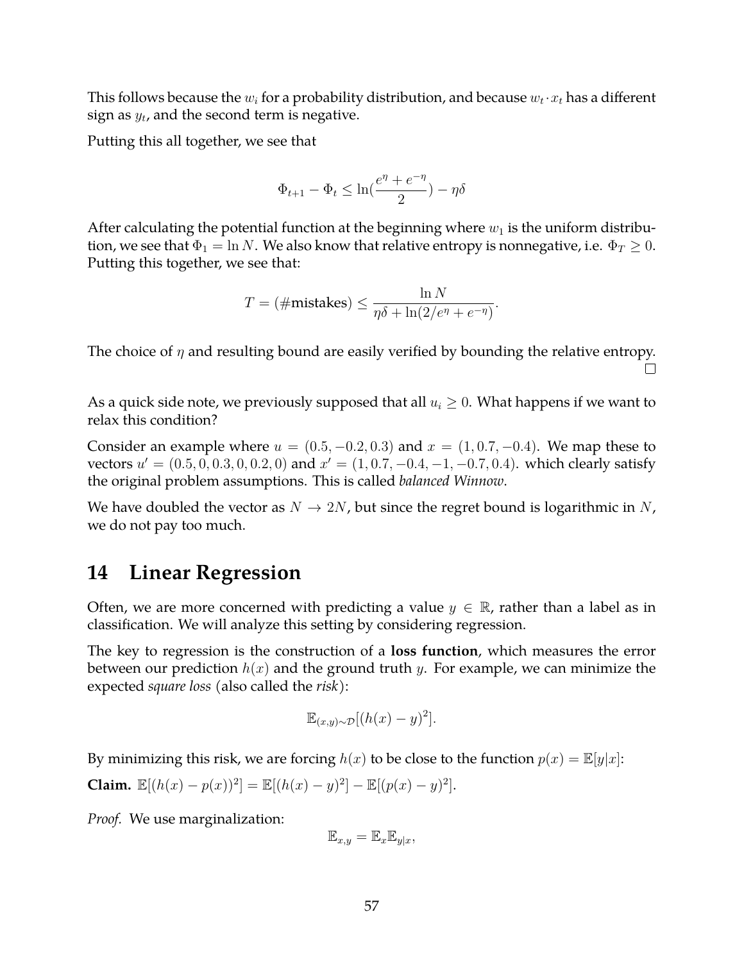This follows because the  $w_i$  for a probability distribution, and because  $w_t \!\cdot\! x_t$  has a different sign as  $y_t$ , and the second term is negative.

Putting this all together, we see that

$$
\Phi_{t+1} - \Phi_t \leq \ln(\frac{e^\eta+e^{-\eta}}{2}) - \eta \delta
$$

After calculating the potential function at the beginning where  $w_1$  is the uniform distribution, we see that  $\Phi_1 = \ln N$ . We also know that relative entropy is nonnegative, i.e.  $\Phi_T \geq 0$ . Putting this together, we see that:

$$
T = (\# \text{mistakes}) \le \frac{\ln N}{\eta \delta + \ln(2/e^{\eta} + e^{-\eta})}.
$$

The choice of  $\eta$  and resulting bound are easily verified by bounding the relative entropy.  $\Box$ 

As a quick side note, we previously supposed that all  $u_i \geq 0$ . What happens if we want to relax this condition?

Consider an example where  $u = (0.5, -0.2, 0.3)$  and  $x = (1, 0.7, -0.4)$ . We map these to vectors  $u' = (0.5, 0, 0.3, 0, 0.2, 0)$  and  $x' = (1, 0.7, -0.4, -1, -0.7, 0.4)$ . which clearly satisfy the original problem assumptions. This is called *balanced Winnow*.

We have doubled the vector as  $N \to 2N$ , but since the regret bound is logarithmic in N, we do not pay too much.

## **14 Linear Regression**

Often, we are more concerned with predicting a value  $y \in \mathbb{R}$ , rather than a label as in classification. We will analyze this setting by considering regression.

The key to regression is the construction of a **loss function**, which measures the error between our prediction  $h(x)$  and the ground truth y. For example, we can minimize the expected *square loss* (also called the *risk*):

$$
\mathbb{E}_{(x,y)\sim\mathcal{D}}[(h(x)-y)^2].
$$

By minimizing this risk, we are forcing  $h(x)$  to be close to the function  $p(x) = \mathbb{E}[y|x]$ :

**Claim.** 
$$
\mathbb{E}[(h(x) - p(x))^2] = \mathbb{E}[(h(x) - y)^2] - \mathbb{E}[(p(x) - y)^2].
$$

*Proof.* We use marginalization:

$$
\mathbb{E}_{x,y} = \mathbb{E}_x \mathbb{E}_{y|x},
$$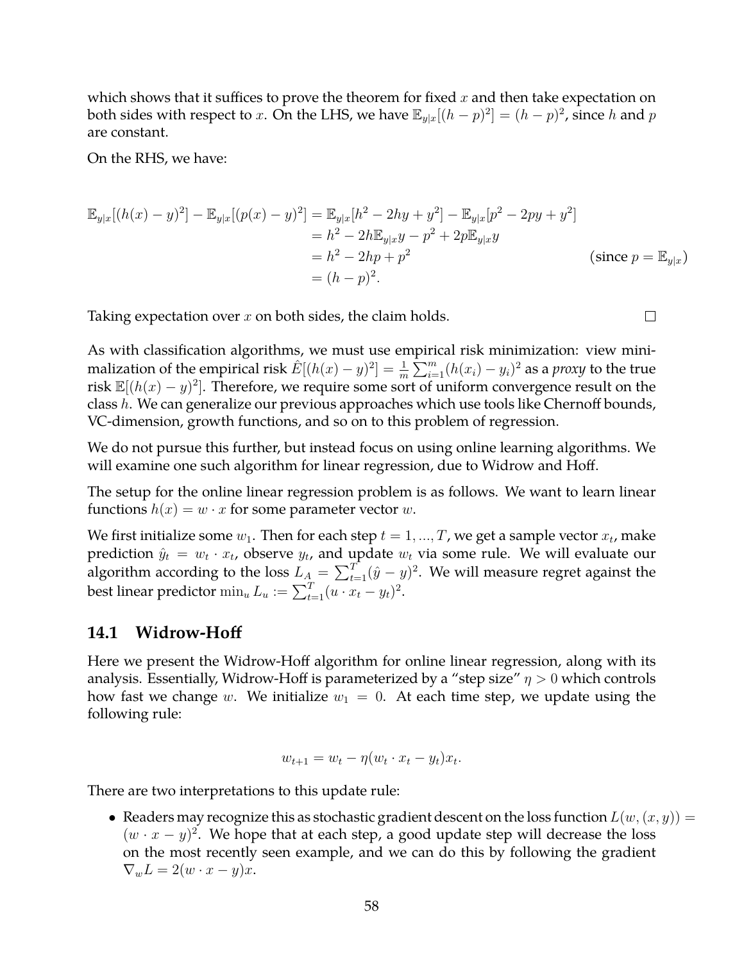which shows that it suffices to prove the theorem for fixed  $x$  and then take expectation on both sides with respect to x. On the LHS, we have  $\mathbb{E}_{y|x}[(h-p)^2] = (h-p)^2$ , since h and p are constant.

On the RHS, we have:

$$
\mathbb{E}_{y|x}[(h(x) - y)^2] - \mathbb{E}_{y|x}[(p(x) - y)^2] = \mathbb{E}_{y|x}[h^2 - 2hy + y^2] - \mathbb{E}_{y|x}[p^2 - 2py + y^2]
$$
  
\n
$$
= h^2 - 2h\mathbb{E}_{y|x}y - p^2 + 2p\mathbb{E}_{y|x}y
$$
  
\n
$$
= h^2 - 2hp + p^2
$$
  
\n
$$
= (h - p)^2.
$$
 (since  $p = \mathbb{E}_{y|x})$ 

 $\Box$ 

Taking expectation over  $x$  on both sides, the claim holds.

As with classification algorithms, we must use empirical risk minimization: view minimalization of the empirical risk  $\hat{E}[(h(x)-y)^2]=\frac{1}{m}\sum_{i=1}^m(h(x_i)-y_i)^2$  as a *proxy* to the true risk  $\mathbb{E}[(h(x) - y)^2]$ . Therefore, we require some sort of uniform convergence result on the class h. We can generalize our previous approaches which use tools like Chernoff bounds, VC-dimension, growth functions, and so on to this problem of regression.

We do not pursue this further, but instead focus on using online learning algorithms. We will examine one such algorithm for linear regression, due to Widrow and Hoff.

The setup for the online linear regression problem is as follows. We want to learn linear functions  $h(x) = w \cdot x$  for some parameter vector w.

We first initialize some  $w_1$ . Then for each step  $t = 1, ..., T$ , we get a sample vector  $x_t$ , make prediction  $\hat{y}_t = w_t \cdot x_t$ , observe  $y_t$ , and update  $w_t$  via some rule. We will evaluate our algorithm according to the loss  $L_A = \sum_{t=1}^{T} (\hat{y} - y)^2$ . We will measure regret against the best linear predictor  $\min_u L_u := \sum_{t=1}^T (u \cdot x_t - y_t)^2$ .

## **14.1 Widrow-Hoff**

Here we present the Widrow-Hoff algorithm for online linear regression, along with its analysis. Essentially, Widrow-Hoff is parameterized by a "step size"  $\eta > 0$  which controls how fast we change w. We initialize  $w_1 = 0$ . At each time step, we update using the following rule:

$$
w_{t+1} = w_t - \eta (w_t \cdot x_t - y_t) x_t.
$$

There are two interpretations to this update rule:

• Readers may recognize this as stochastic gradient descent on the loss function  $L(w,(x,y)) =$  $(w \cdot x - y)^2$ . We hope that at each step, a good update step will decrease the loss on the most recently seen example, and we can do this by following the gradient  $\nabla_w L = 2(w \cdot x - y)x.$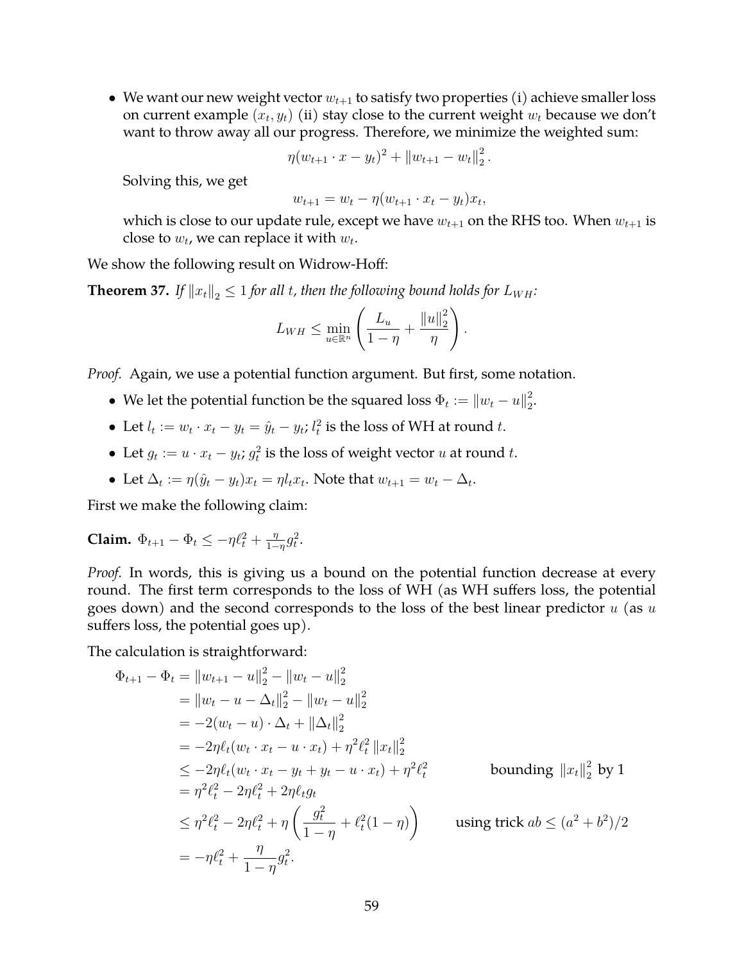• We want our new weight vector  $w_{t+1}$  to satisfy two properties (i) achieve smaller loss on current example  $(x_t, y_t)$  (ii) stay close to the current weight  $w_t$  because we don't want to throw away all our progress. Therefore, we minimize the weighted sum:

$$
\eta(w_{t+1} \cdot x - y_t)^2 + ||w_{t+1} - w_t||_2^2.
$$

Solving this, we get

$$
w_{t+1} = w_t - \eta (w_{t+1} \cdot x_t - y_t) x_t,
$$

which is close to our update rule, except we have  $w_{t+1}$  on the RHS too. When  $w_{t+1}$  is close to  $w_t$ , we can replace it with  $w_t$ .

We show the following result on Widrow-Hoff:

**Theorem 37.** *If*  $||x_t||_2 \leq 1$  *for all t, then the following bound holds for*  $L_{WH}$ *:* 

$$
L_{WH} \leq \min_{u \in \mathbb{R}^n} \left( \frac{L_u}{1-\eta} + \frac{\|u\|_2^2}{\eta} \right).
$$

*Proof.* Again, we use a potential function argument. But first, some notation.

- We let the potential function be the squared loss  $\Phi_t := \|w_t u\|_2^2$  $\frac{2}{2}$ .
- Let  $l_t := w_t \cdot x_t y_t = \hat{y}_t y_t$ ;  $l_t^2$  is the loss of WH at round t.
- Let  $g_t := u \cdot x_t y_t$ ;  $g_t^2$  is the loss of weight vector u at round t.
- Let  $\Delta_t := \eta(\hat{y}_t y_t)x_t = \eta l_t x_t$ . Note that  $w_{t+1} = w_t \Delta_t$ .

First we make the following claim:

**Claim.**  $\Phi_{t+1} - \Phi_t \leq -\eta \ell_t^2 + \frac{\eta}{1-\eta}$  $\frac{\eta}{1-\eta}g_t^2$ .

*Proof.* In words, this is giving us a bound on the potential function decrease at every round. The first term corresponds to the loss of WH (as WH suffers loss, the potential goes down) and the second corresponds to the loss of the best linear predictor  $u$  (as  $u$ suffers loss, the potential goes up).

The calculation is straightforward:

$$
\Phi_{t+1} - \Phi_t = \|w_{t+1} - u\|_2^2 - \|w_t - u\|_2^2
$$
  
\n
$$
= \|w_t - u - \Delta_t\|_2^2 - \|w_t - u\|_2^2
$$
  
\n
$$
= -2(w_t - u) \cdot \Delta_t + \|\Delta_t\|_2^2
$$
  
\n
$$
= -2\eta \ell_t (w_t \cdot x_t - u \cdot x_t) + \eta^2 \ell_t^2 \|x_t\|_2^2
$$
  
\n
$$
\leq -2\eta \ell_t (w_t \cdot x_t - y_t + y_t - u \cdot x_t) + \eta^2 \ell_t^2
$$
 bounding  $||x_t||_2^2$  by 1  
\n
$$
= \eta^2 \ell_t^2 - 2\eta \ell_t^2 + 2\eta \ell_t g_t
$$
  
\n
$$
\leq \eta^2 \ell_t^2 - 2\eta \ell_t^2 + \eta \left( \frac{g_t^2}{1 - \eta} + \ell_t^2 (1 - \eta) \right)
$$
 using trick  $ab \leq (a^2 + b^2)/2$   
\n
$$
= -\eta \ell_t^2 + \frac{\eta}{1 - \eta} g_t^2.
$$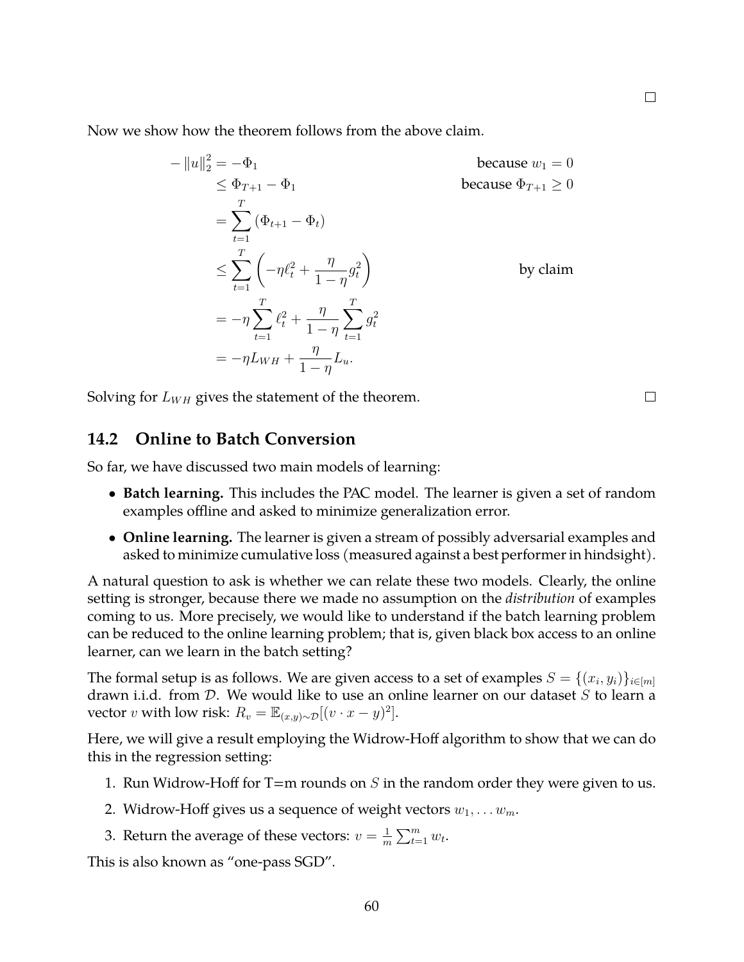Now we show how the theorem follows from the above claim.

$$
-\|u\|_2^2 = -\Phi_1
$$
  
\n
$$
\leq \Phi_{T+1} - \Phi_1
$$
  
\n
$$
= \sum_{t=1}^T (\Phi_{t+1} - \Phi_t)
$$
  
\n
$$
\leq \sum_{t=1}^T \left( -\eta \ell_t^2 + \frac{\eta}{1-\eta} g_t^2 \right)
$$
  
\n
$$
= -\eta \sum_{t=1}^T \ell_t^2 + \frac{\eta}{1-\eta} \sum_{t=1}^T g_t^2
$$
  
\nby claim  
\n
$$
= -\eta L_{WH} + \frac{\eta}{1-\eta} L_u.
$$

Solving for  $L_{WH}$  gives the statement of the theorem.

### **14.2 Online to Batch Conversion**

So far, we have discussed two main models of learning:

- **Batch learning.** This includes the PAC model. The learner is given a set of random examples offline and asked to minimize generalization error.
- **Online learning.** The learner is given a stream of possibly adversarial examples and asked to minimize cumulative loss (measured against a best performer in hindsight).

A natural question to ask is whether we can relate these two models. Clearly, the online setting is stronger, because there we made no assumption on the *distribution* of examples coming to us. More precisely, we would like to understand if the batch learning problem can be reduced to the online learning problem; that is, given black box access to an online learner, can we learn in the batch setting?

The formal setup is as follows. We are given access to a set of examples  $S = \{(x_i, y_i)\}_{i \in [m]}$ drawn i.i.d. from  $D$ . We would like to use an online learner on our dataset  $S$  to learn a vector v with low risk:  $R_v = \mathbb{E}_{(x,y)\sim\mathcal{D}}[(v \cdot x - y)^2]$ .

Here, we will give a result employing the Widrow-Hoff algorithm to show that we can do this in the regression setting:

- 1. Run Widrow-Hoff for T=m rounds on  $S$  in the random order they were given to us.
- 2. Widrow-Hoff gives us a sequence of weight vectors  $w_1, \ldots w_m$ .
- 3. Return the average of these vectors:  $v = \frac{1}{n}$  $\frac{1}{m}\sum_{t=1}^m w_t.$

This is also known as "one-pass SGD".

60

 $\Box$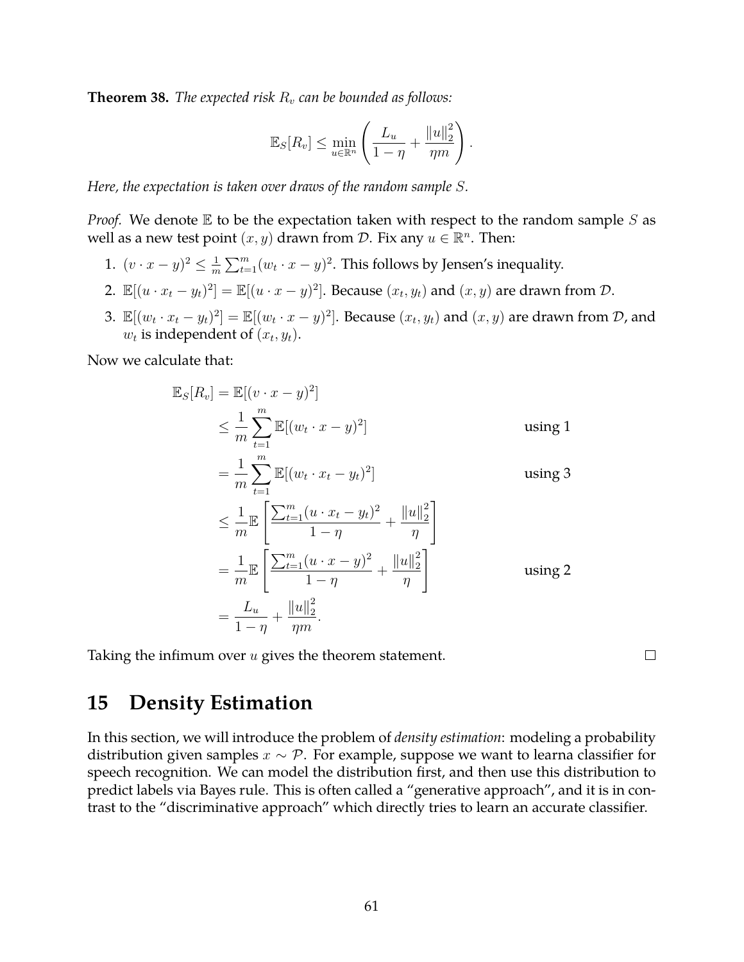**Theorem 38.** *The expected risk*  $R_v$  *can be bounded as follows:* 

$$
\mathbb{E}_S[R_v] \le \min_{u \in \mathbb{R}^n} \left( \frac{L_u}{1-\eta} + \frac{\|u\|_2^2}{\eta m} \right).
$$

*Here, the expectation is taken over draws of the random sample* S*.*

*Proof.* We denote  $E$  to be the expectation taken with respect to the random sample  $S$  as well as a new test point  $(x, y)$  drawn from  $D$ . Fix any  $u \in \mathbb{R}^n$ . Then:

- 1.  $(v \cdot x y)^2 \leq \frac{1}{m}$  $\frac{1}{m}\sum_{t=1}^{m} (w_t \cdot x - y)^2$ . This follows by Jensen's inequality.
- 2.  $\mathbb{E}[(u \cdot x_t y_t)^2] = \mathbb{E}[(u \cdot x y)^2]$ . Because  $(x_t, y_t)$  and  $(x, y)$  are drawn from  $\mathcal{D}$ .
- 3.  $\mathbb{E}[(w_t \cdot x_t y_t)^2] = \mathbb{E}[(w_t \cdot x y)^2]$ . Because  $(x_t, y_t)$  and  $(x, y)$  are drawn from  $\mathcal{D}$ , and  $w_t$  is independent of  $(x_t, y_t)$ .

Now we calculate that:

$$
\mathbb{E}_{S}[R_{v}] = \mathbb{E}[(v \cdot x - y)^{2}]
$$
\n
$$
\leq \frac{1}{m} \sum_{t=1}^{m} \mathbb{E}[(w_{t} \cdot x - y)^{2}]
$$
\nusing 1\n
$$
= \frac{1}{m} \sum_{t=1}^{m} \mathbb{E}[(w_{t} \cdot x_{t} - y_{t})^{2}]
$$
\nusing 3\n
$$
\leq \frac{1}{m} \mathbb{E} \left[ \frac{\sum_{t=1}^{m} (u \cdot x_{t} - y_{t})^{2}}{1 - \eta} + \frac{||u||_{2}^{2}}{\eta} \right]
$$
\n
$$
= \frac{1}{m} \mathbb{E} \left[ \frac{\sum_{t=1}^{m} (u \cdot x - y)^{2}}{1 - \eta} + \frac{||u||_{2}^{2}}{\eta} \right]
$$
\n
$$
= \frac{L_{u}}{1 - \eta} + \frac{||u||_{2}^{2}}{\eta m}.
$$

Taking the infimum over  $u$  gives the theorem statement.

 $\Box$ 

## **15 Density Estimation**

In this section, we will introduce the problem of *density estimation*: modeling a probability distribution given samples  $x \sim \mathcal{P}$ . For example, suppose we want to learna classifier for speech recognition. We can model the distribution first, and then use this distribution to predict labels via Bayes rule. This is often called a "generative approach", and it is in contrast to the "discriminative approach" which directly tries to learn an accurate classifier.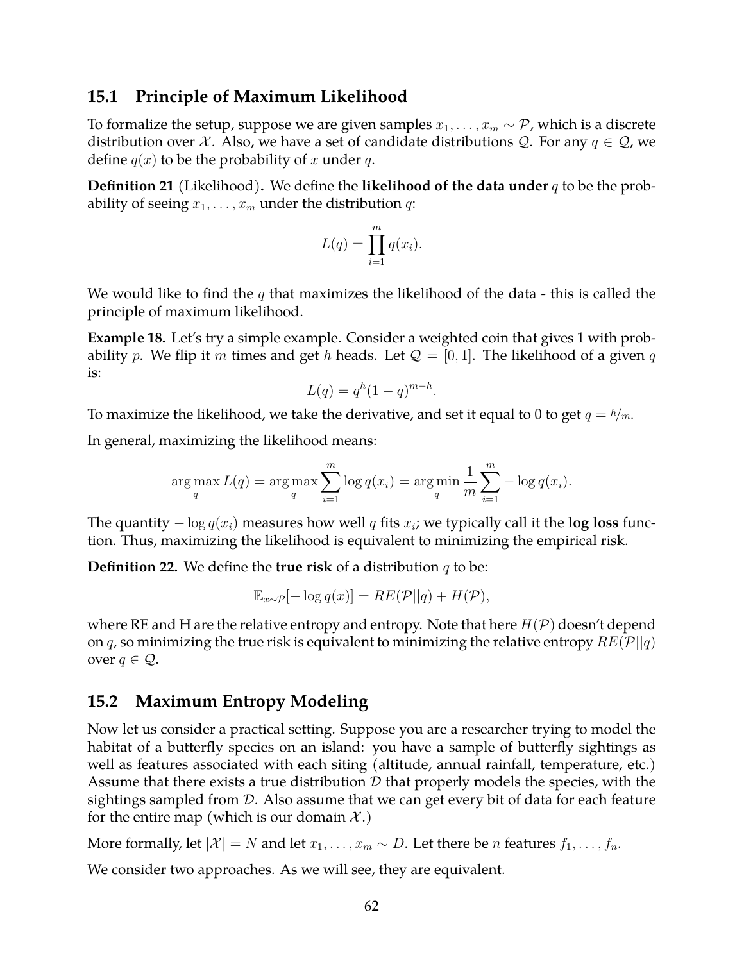### **15.1 Principle of Maximum Likelihood**

To formalize the setup, suppose we are given samples  $x_1, \ldots, x_m \sim \mathcal{P}$ , which is a discrete distribution over  $X$ . Also, we have a set of candidate distributions  $Q$ . For any  $q \in Q$ , we define  $q(x)$  to be the probability of x under q.

**Definition 21** (Likelihood)**.** We define the **likelihood of the data under** q to be the probability of seeing  $x_1, \ldots, x_m$  under the distribution  $q$ :

$$
L(q) = \prod_{i=1}^{m} q(x_i).
$$

We would like to find the  $q$  that maximizes the likelihood of the data - this is called the principle of maximum likelihood.

**Example 18.** Let's try a simple example. Consider a weighted coin that gives 1 with probability p. We flip it m times and get h heads. Let  $\mathcal{Q} = [0, 1]$ . The likelihood of a given q is:

$$
L(q) = qh(1 - q)m-h.
$$

To maximize the likelihood, we take the derivative, and set it equal to 0 to get  $q = h/m$ .

In general, maximizing the likelihood means:

$$
\arg\max_{q} L(q) = \arg\max_{q} \sum_{i=1}^{m} \log q(x_i) = \arg\min_{q} \frac{1}{m} \sum_{i=1}^{m} -\log q(x_i).
$$

The quantity  $-\log q(x_i)$  measures how well  $q$  fits  $x_i$ ; we typically call it the  $\log$  loss function. Thus, maximizing the likelihood is equivalent to minimizing the empirical risk.

**Definition 22.** We define the **true risk** of a distribution q to be:

$$
\mathbb{E}_{x \sim \mathcal{P}}[-\log q(x)] = RE(\mathcal{P}||q) + H(\mathcal{P}),
$$

where RE and H are the relative entropy and entropy. Note that here  $H(\mathcal{P})$  doesn't depend on q, so minimizing the true risk is equivalent to minimizing the relative entropy  $RE(\mathcal{P}||q)$ over  $q \in \mathcal{Q}$ .

## **15.2 Maximum Entropy Modeling**

Now let us consider a practical setting. Suppose you are a researcher trying to model the habitat of a butterfly species on an island: you have a sample of butterfly sightings as well as features associated with each siting (altitude, annual rainfall, temperature, etc.) Assume that there exists a true distribution  $D$  that properly models the species, with the sightings sampled from D. Also assume that we can get every bit of data for each feature for the entire map (which is our domain  $\mathcal{X}$ .)

More formally, let  $|\mathcal{X}| = N$  and let  $x_1, \ldots, x_m \sim D$ . Let there be *n* features  $f_1, \ldots, f_n$ .

We consider two approaches. As we will see, they are equivalent.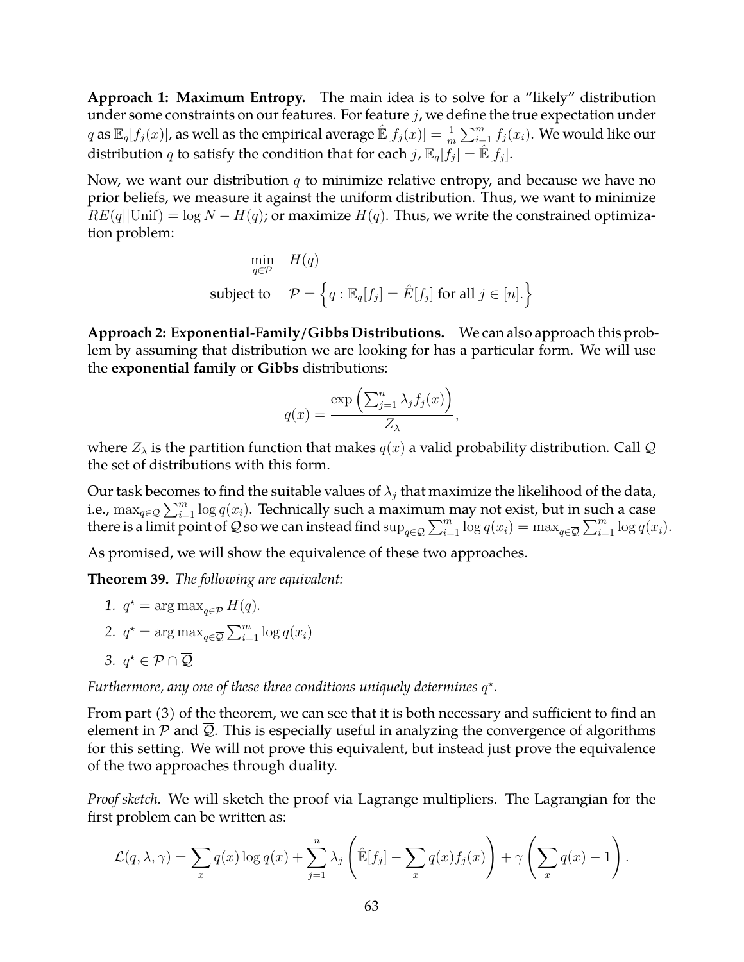**Approach 1: Maximum Entropy.** The main idea is to solve for a "likely" distribution under some constraints on our features. For feature  $j$ , we define the true expectation under  $q$  as  $\mathbb{E}_q[f_j(x)]$ , as well as the empirical average  $\mathbb{\hat{E}}[f_j(x)]=\frac{1}{m}\sum_{i=1}^mf_j(x_i).$  We would like our distribution  $q$  to satisfy the condition that for each  $j$  ,  $\mathbb{E}_{q}[f_j] = \mathbb{\hat{E}}[f_j].$ 

Now, we want our distribution  $q$  to minimize relative entropy, and because we have no prior beliefs, we measure it against the uniform distribution. Thus, we want to minimize  $RE(q||\text{Unif}) = \log N - H(q)$ ; or maximize  $H(q)$ . Thus, we write the constrained optimization problem:

$$
\min_{q \in \mathcal{P}} \quad H(q)
$$
\n
$$
\text{subject to} \quad \mathcal{P} = \left\{ q : \mathbb{E}_q[f_j] = \hat{E}[f_j] \text{ for all } j \in [n] \right\}
$$

**Approach 2: Exponential-Family/Gibbs Distributions.** We can also approach this problem by assuming that distribution we are looking for has a particular form. We will use the **exponential family** or **Gibbs** distributions:

$$
q(x) = \frac{\exp\left(\sum_{j=1}^n \lambda_j f_j(x)\right)}{Z_{\lambda}},
$$

where  $Z_{\lambda}$  is the partition function that makes  $q(x)$  a valid probability distribution. Call Q the set of distributions with this form.

Our task becomes to find the suitable values of  $\lambda_i$  that maximize the likelihood of the data, i.e.,  $\max_{q \in \mathcal{Q}} \sum_{i=1}^m \log q(x_i)$ . Technically such a maximum may not exist, but in such a case there is a limit point of Q so we can instead find  $\sup_{q\in\mathcal{Q}}\sum_{i=1}^m\log q(x_i)=\max_{q\in\overline{\mathcal{Q}}}\sum_{i=1}^m\log q(x_i)$ .

As promised, we will show the equivalence of these two approaches.

**Theorem 39.** *The following are equivalent:*

1.  $q^* = \arg \max_{q \in \mathcal{P}} H(q)$ . 2.  $q^* = \arg \max_{q \in \overline{Q}} \sum_{i=1}^m \log q(x_i)$ 

3.  $q^* \in \mathcal{P} \cap \overline{\mathcal{Q}}$ 

Furthermore, any one of these three conditions uniquely determines  $q^*$ .

From part (3) of the theorem, we can see that it is both necessary and sufficient to find an element in  $P$  and  $Q$ . This is especially useful in analyzing the convergence of algorithms for this setting. We will not prove this equivalent, but instead just prove the equivalence of the two approaches through duality.

*Proof sketch.* We will sketch the proof via Lagrange multipliers. The Lagrangian for the first problem can be written as:

$$
\mathcal{L}(q,\lambda,\gamma) = \sum_{x} q(x) \log q(x) + \sum_{j=1}^{n} \lambda_j \left( \hat{\mathbb{E}}[f_j] - \sum_{x} q(x) f_j(x) \right) + \gamma \left( \sum_{x} q(x) - 1 \right).
$$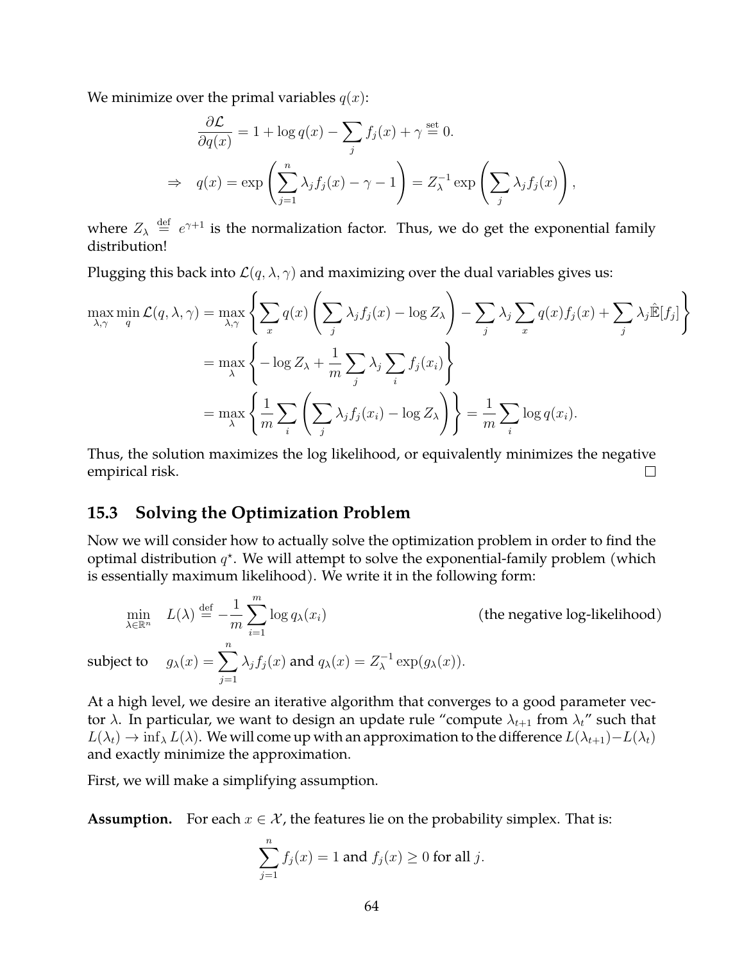We minimize over the primal variables  $q(x)$ :

$$
\frac{\partial \mathcal{L}}{\partial q(x)} = 1 + \log q(x) - \sum_{j} f_j(x) + \gamma \stackrel{\text{set}}{=} 0.
$$
  
\n
$$
\Rightarrow q(x) = \exp\left(\sum_{j=1}^n \lambda_j f_j(x) - \gamma - 1\right) = Z_{\lambda}^{-1} \exp\left(\sum_j \lambda_j f_j(x)\right),
$$

where  $Z_{\lambda} \stackrel{\text{def}}{=} e^{\gamma+1}$  is the normalization factor. Thus, we do get the exponential family distribution!

Plugging this back into  $\mathcal{L}(q, \lambda, \gamma)$  and maximizing over the dual variables gives us:

$$
\max_{\lambda,\gamma} \min_{q} \mathcal{L}(q,\lambda,\gamma) = \max_{\lambda,\gamma} \left\{ \sum_{x} q(x) \left( \sum_{j} \lambda_{j} f_{j}(x) - \log Z_{\lambda} \right) - \sum_{j} \lambda_{j} \sum_{x} q(x) f_{j}(x) + \sum_{j} \lambda_{j} \hat{\mathbb{E}}[f_{j}] \right\}
$$

$$
= \max_{\lambda} \left\{ -\log Z_{\lambda} + \frac{1}{m} \sum_{j} \lambda_{j} \sum_{i} f_{j}(x_{i}) \right\}
$$

$$
= \max_{\lambda} \left\{ \frac{1}{m} \sum_{i} \left( \sum_{j} \lambda_{j} f_{j}(x_{i}) - \log Z_{\lambda} \right) \right\} = \frac{1}{m} \sum_{i} \log q(x_{i}).
$$

Thus, the solution maximizes the log likelihood, or equivalently minimizes the negative empirical risk.  $\Box$ 

#### **15.3 Solving the Optimization Problem**

Now we will consider how to actually solve the optimization problem in order to find the optimal distribution  $q^*$ . We will attempt to solve the exponential-family problem (which is essentially maximum likelihood). We write it in the following form:

$$
\min_{\lambda \in \mathbb{R}^n} L(\lambda) \stackrel{\text{def}}{=} -\frac{1}{m} \sum_{i=1}^m \log q_\lambda(x_i) \quad \text{(the negative log-likelihood)}
$$
\n
$$
\text{subject to} \quad g_\lambda(x) = \sum_{j=1}^n \lambda_j f_j(x) \text{ and } q_\lambda(x) = Z_\lambda^{-1} \exp(g_\lambda(x)).
$$

At a high level, we desire an iterative algorithm that converges to a good parameter vector  $\lambda$ . In particular, we want to design an update rule "compute  $\lambda_{t+1}$  from  $\lambda_t$ " such that  $L(\lambda_t) \to \inf_\lambda L(\lambda)$ . We will come up with an approximation to the difference  $L(\lambda_{t+1})-L(\lambda_t)$ and exactly minimize the approximation.

First, we will make a simplifying assumption.

**Assumption.** For each  $x \in \mathcal{X}$ , the features lie on the probability simplex. That is:

$$
\sum_{j=1}^{n} f_j(x) = 1
$$
 and  $f_j(x) \ge 0$  for all j.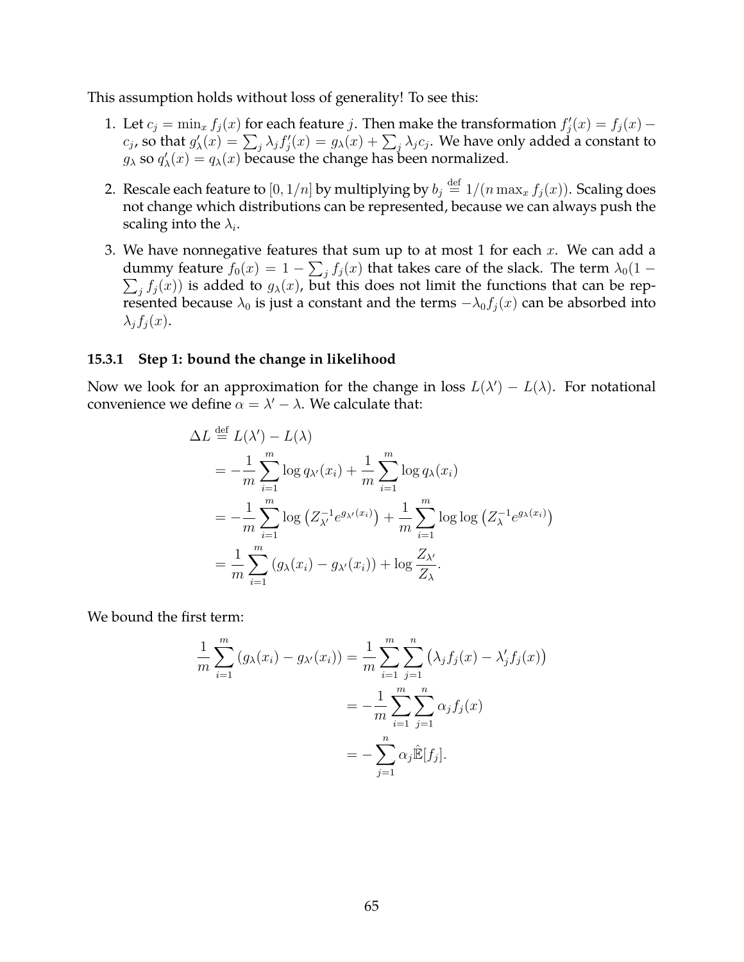This assumption holds without loss of generality! To see this:

- 1. Let  $c_j = \min_x f_j(x)$  for each feature j. Then make the transformation  $f'_j(x) = f_j(x)$   $c_j$ , so that  $g'_\lambda(x)=\sum_j \lambda_j f'_j(x)=g_\lambda(x)+\sum_j \lambda_j c_j.$  We have only added a constant to  $g_{\lambda}$  so  $q'_{\lambda}(x) = q_{\lambda}(x)$  because the change has been normalized.
- 2. Rescale each feature to  $[0,1/n]$  by multiplying by  $b_j \stackrel{\text{def}}{=} 1/(n\max_x f_j(x)).$  Scaling does not change which distributions can be represented, because we can always push the scaling into the  $\lambda_i.$
- 3. We have nonnegative features that sum up to at most 1 for each  $x$ . We can add a dummy feature  $f_0(x) = 1 - \sum_j f_j(x)$  that takes care of the slack. The term  $\lambda_0(1 \sum_j f_j(x)$ ) is added to  $g_\lambda(x)$ , but this does not limit the functions that can be represented because  $\lambda_0$  is just a constant and the terms  $-\lambda_0 f_j(x)$  can be absorbed into  $\lambda_i f_i(x)$ .

#### **15.3.1 Step 1: bound the change in likelihood**

Now we look for an approximation for the change in loss  $L(\lambda') - L(\lambda)$ . For notational convenience we define  $\alpha = \lambda' - \lambda$ . We calculate that:

$$
\Delta L \stackrel{\text{def}}{=} L(\lambda') - L(\lambda)
$$
  
=  $-\frac{1}{m} \sum_{i=1}^{m} \log q_{\lambda'}(x_i) + \frac{1}{m} \sum_{i=1}^{m} \log q_{\lambda}(x_i)$   
=  $-\frac{1}{m} \sum_{i=1}^{m} \log (Z_{\lambda'}^{-1} e^{g_{\lambda'}(x_i)}) + \frac{1}{m} \sum_{i=1}^{m} \log \log (Z_{\lambda}^{-1} e^{g_{\lambda}(x_i)})$   
=  $\frac{1}{m} \sum_{i=1}^{m} (g_{\lambda}(x_i) - g_{\lambda'}(x_i)) + \log \frac{Z_{\lambda'}}{Z_{\lambda}}.$ 

We bound the first term:

$$
\frac{1}{m} \sum_{i=1}^{m} (g_{\lambda}(x_i) - g_{\lambda'}(x_i)) = \frac{1}{m} \sum_{i=1}^{m} \sum_{j=1}^{n} (\lambda_j f_j(x) - \lambda'_j f_j(x))
$$

$$
= -\frac{1}{m} \sum_{i=1}^{m} \sum_{j=1}^{n} \alpha_j f_j(x)
$$

$$
= -\sum_{j=1}^{n} \alpha_j \hat{\mathbb{E}}[f_j].
$$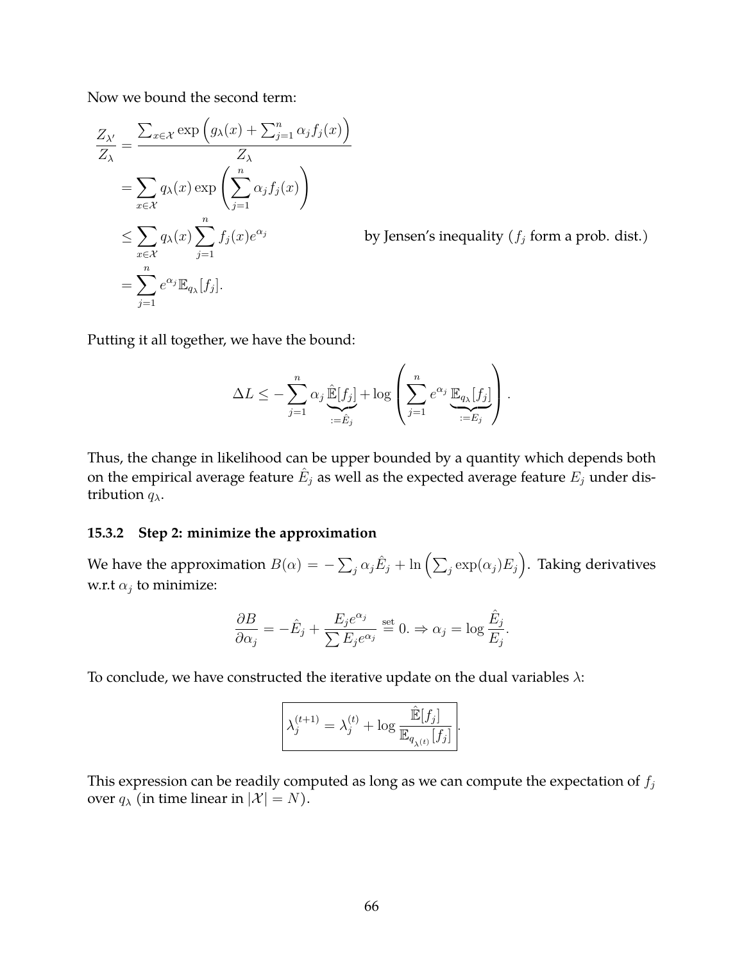Now we bound the second term:

$$
\frac{Z_{\lambda'}}{Z_{\lambda}} = \frac{\sum_{x \in \mathcal{X}} \exp \left( g_{\lambda}(x) + \sum_{j=1}^{n} \alpha_{j} f_{j}(x) \right)}{Z_{\lambda}}
$$
  
= 
$$
\sum_{x \in \mathcal{X}} q_{\lambda}(x) \exp \left( \sum_{j=1}^{n} \alpha_{j} f_{j}(x) \right)
$$
  

$$
\leq \sum_{x \in \mathcal{X}} q_{\lambda}(x) \sum_{j=1}^{n} f_{j}(x) e^{\alpha_{j}}
$$
  
= 
$$
\sum_{j=1}^{n} e^{\alpha_{j}} \mathbb{E}_{q_{\lambda}}[f_{j}].
$$

by Jensen's inequality ( $f_j$  form a prob. dist.)

Putting it all together, we have the bound:

$$
\Delta L \leq -\sum_{j=1}^n \alpha_j \underbrace{\hat{\mathbb{E}}[f_j]}_{:=\hat{E}_j} + \log \left( \sum_{j=1}^n e^{\alpha_j} \underbrace{\mathbb{E}_{q_\lambda}[f_j]}_{:=E_j} \right).
$$

Thus, the change in likelihood can be upper bounded by a quantity which depends both on the empirical average feature  $\hat{E}_j$  as well as the expected average feature  $E_j$  under distribution  $q_{\lambda}$ .

#### **15.3.2 Step 2: minimize the approximation**

We have the approximation  $B(\alpha)=-\sum_j\alpha_j\hat E_j+\ln\Big(\sum_j\exp(\alpha_j)E_j\Big).$  Taking derivatives w.r.t  $\alpha_j$  to minimize:

$$
\frac{\partial B}{\partial \alpha_j} = -\hat{E}_j + \frac{E_j e^{\alpha_j}}{\sum E_j e^{\alpha_j}} \stackrel{\text{set}}{=} 0. \Rightarrow \alpha_j = \log \frac{\hat{E}_j}{E_j}.
$$

To conclude, we have constructed the iterative update on the dual variables  $\lambda$ :

$$
\lambda_j^{(t+1)} = \lambda_j^{(t)} + \log \frac{\hat{\mathbb{E}}[f_j]}{\mathbb{E}_{q_{\lambda(t)}}[f_j]}
$$

.

This expression can be readily computed as long as we can compute the expectation of  $f_j$ over  $q_{\lambda}$  (in time linear in  $|\mathcal{X}| = N$ ).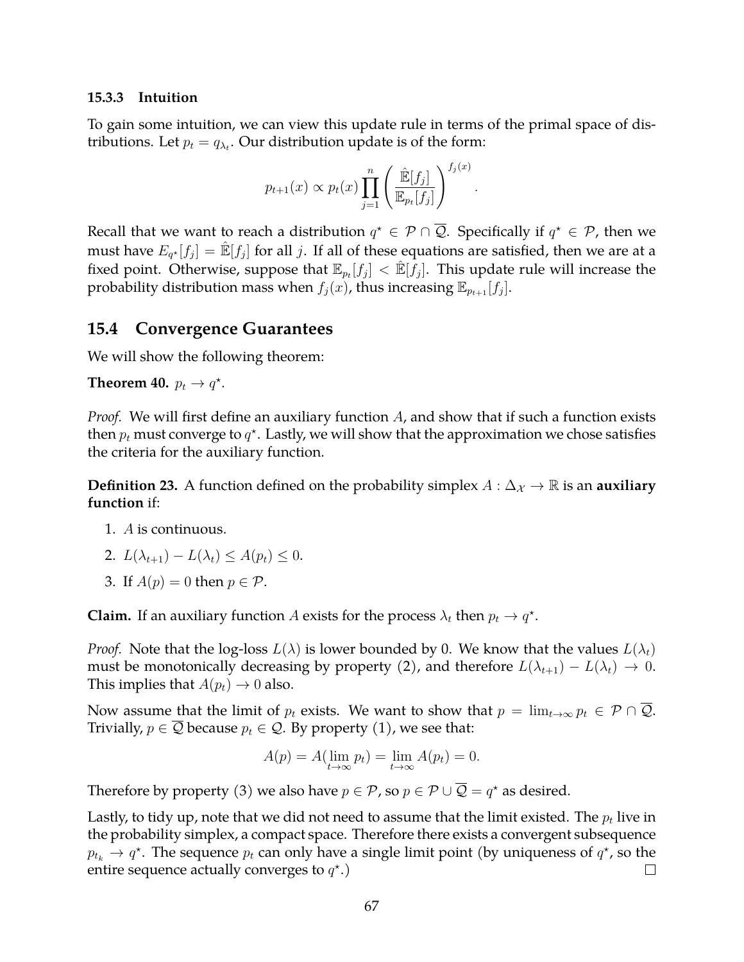#### **15.3.3 Intuition**

To gain some intuition, we can view this update rule in terms of the primal space of distributions. Let  $p_t = q_{\lambda_t}$ . Our distribution update is of the form:

$$
p_{t+1}(x) \propto p_t(x) \prod_{j=1}^n \left( \frac{\hat{\mathbb{E}}[f_j]}{\mathbb{E}_{p_t}[f_j]} \right)^{f_j(x)}.
$$

Recall that we want to reach a distribution  $q^{\star} \in \mathcal{P} \cap \overline{\mathcal{Q}}$ . Specifically if  $q^{\star} \in \mathcal{P}$ , then we must have  $E_{q^\star}[f_j]=\hat{\mathbb{E}}[f_j]$  for all  $j.$  If all of these equations are satisfied, then we are at a fixed point. Otherwise, suppose that  $\mathbb{E}_{p_t}[f_j] < \hat{\mathbb{E}}[f_j].$  This update rule will increase the probability distribution mass when  $f_j(x)$ , thus increasing  $\mathbb{E}_{p_{t+1}}[f_j]$ .

## **15.4 Convergence Guarantees**

We will show the following theorem:

**Theorem 40.**  $p_t \rightarrow q^*$ .

*Proof.* We will first define an auxiliary function A, and show that if such a function exists then  $p_t$  must converge to  $q^\star$ . Lastly, we will show that the approximation we chose satisfies the criteria for the auxiliary function.

**Definition 23.** A function defined on the probability simplex  $A: \Delta_{\mathcal{X}} \to \mathbb{R}$  is an **auxiliary function** if:

- 1. A is continuous.
- 2.  $L(\lambda_{t+1}) L(\lambda_t) \leq A(p_t) \leq 0.$
- 3. If  $A(p) = 0$  then  $p \in \mathcal{P}$ .

**Claim.** If an auxiliary function A exists for the process  $\lambda_t$  then  $p_t \to q^*$ .

*Proof.* Note that the log-loss  $L(\lambda)$  is lower bounded by 0. We know that the values  $L(\lambda_t)$ must be monotonically decreasing by property (2), and therefore  $L(\lambda_{t+1}) - L(\lambda_t) \rightarrow 0$ . This implies that  $A(p_t) \rightarrow 0$  also.

Now assume that the limit of  $p_t$  exists. We want to show that  $p = \lim_{t\to\infty} p_t \in \mathcal{P} \cap \overline{\mathcal{Q}}$ . Trivially,  $p \in \overline{Q}$  because  $p_t \in \mathcal{Q}$ . By property (1), we see that:

$$
A(p) = A(\lim_{t \to \infty} p_t) = \lim_{t \to \infty} A(p_t) = 0.
$$

Therefore by property (3) we also have  $p \in \mathcal{P}$ , so  $p \in \mathcal{P} \cup \overline{\mathcal{Q}} = q^*$  as desired.

Lastly, to tidy up, note that we did not need to assume that the limit existed. The  $p_t$  live in the probability simplex, a compact space. Therefore there exists a convergent subsequence  $p_{t_k} \to q^\star$ . The sequence  $p_t$  can only have a single limit point (by uniqueness of  $q^\star$ , so the entire sequence actually converges to  $q^*$ .)  $\Box$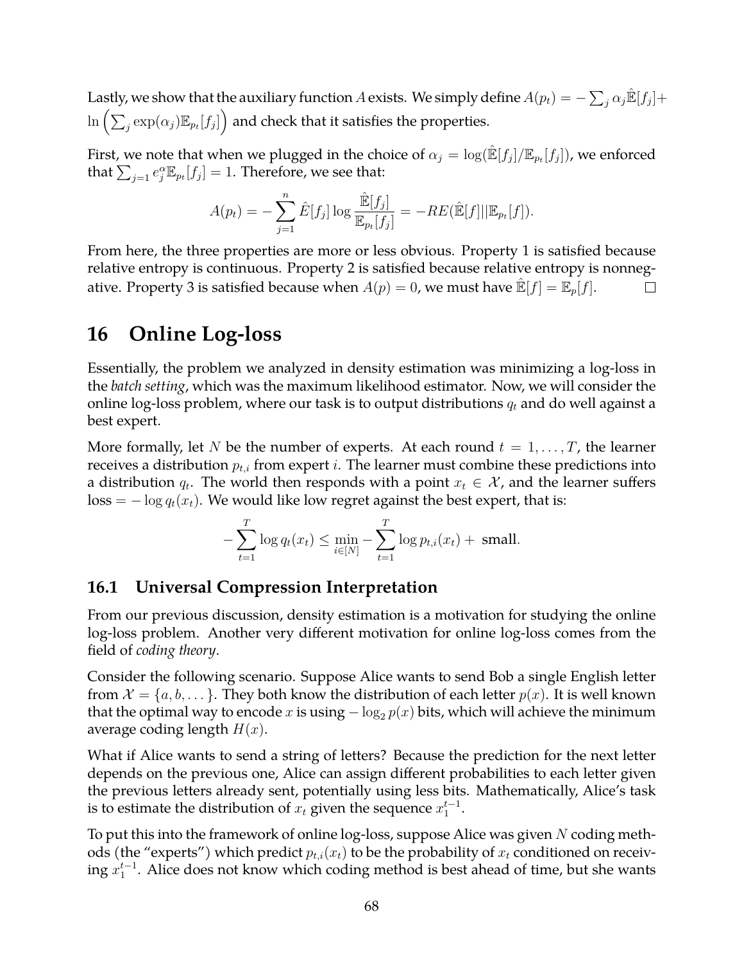Lastly, we show that the auxiliary function  $A$  exists. We simply define  $A(p_t)=-\sum_j \alpha_j \hat{\mathbb{E}}[f_j]+$  $\ln\left(\sum_j \exp(\alpha_j) \mathbb{E}_{p_t}[f_j]\right)$  and check that it satisfies the properties.

First, we note that when we plugged in the choice of  $\alpha_j = \log(\hat{\mathbb{E}}[f_j]/\mathbb{E}_{p_t}[f_j])$ , we enforced that  $\sum_{j=1} e_j^{\alpha} \mathbb{E}_{p_t}[f_j] = 1$ . Therefore, we see that:

$$
A(p_t) = -\sum_{j=1}^n \hat{E}[f_j] \log \frac{\hat{E}[f_j]}{\mathbb{E}_{p_t}[f_j]} = -RE(\hat{E}[f]||\mathbb{E}_{p_t}[f]).
$$

From here, the three properties are more or less obvious. Property 1 is satisfied because relative entropy is continuous. Property 2 is satisfied because relative entropy is nonnegative. Property 3 is satisfied because when  $A(p) = 0$ , we must have  $\mathbb{E}[f] = \mathbb{E}_p[f]$ .  $\Box$ 

## **16 Online Log-loss**

Essentially, the problem we analyzed in density estimation was minimizing a log-loss in the *batch setting*, which was the maximum likelihood estimator. Now, we will consider the online log-loss problem, where our task is to output distributions  $q_t$  and do well against a best expert.

More formally, let N be the number of experts. At each round  $t = 1, \ldots, T$ , the learner receives a distribution  $p_{t,i}$  from expert i. The learner must combine these predictions into a distribution  $q_t$ . The world then responds with a point  $x_t \in \mathcal{X}$ , and the learner suffers  $\cos s = -\log q_t(x_t)$ . We would like low regret against the best expert, that is:

$$
-\sum_{t=1}^{T} \log q_t(x_t) \le \min_{i \in [N]} -\sum_{t=1}^{T} \log p_{t,i}(x_t) + \text{ small.}
$$

## **16.1 Universal Compression Interpretation**

From our previous discussion, density estimation is a motivation for studying the online log-loss problem. Another very different motivation for online log-loss comes from the field of *coding theory*.

Consider the following scenario. Suppose Alice wants to send Bob a single English letter from  $\mathcal{X} = \{a, b, \dots\}$ . They both know the distribution of each letter  $p(x)$ . It is well known that the optimal way to encode x is using  $-\log_2 p(x)$  bits, which will achieve the minimum average coding length  $H(x)$ .

What if Alice wants to send a string of letters? Because the prediction for the next letter depends on the previous one, Alice can assign different probabilities to each letter given the previous letters already sent, potentially using less bits. Mathematically, Alice's task is to estimate the distribution of  $x_t$  given the sequence  $x_1^{t-1}$ .

To put this into the framework of online  $log$ -loss, suppose Alice was given  $N$  coding methods (the "experts") which predict  $p_{t,i}(x_t)$  to be the probability of  $x_t$  conditioned on receiving  $x_1^{t-1}$ . Alice does not know which coding method is best ahead of time, but she wants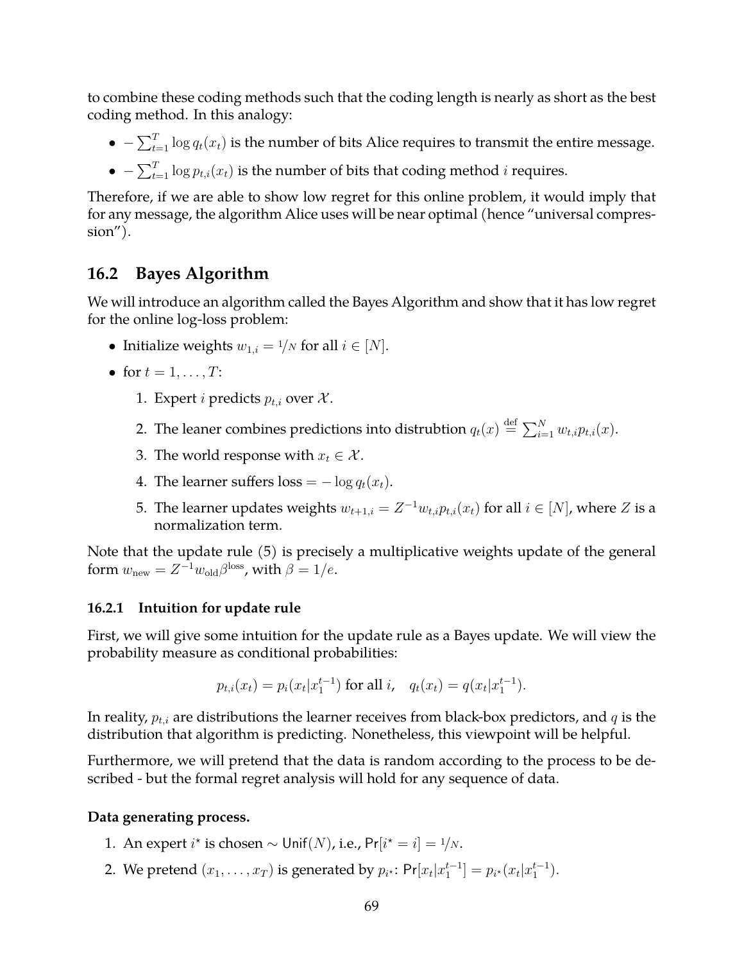to combine these coding methods such that the coding length is nearly as short as the best coding method. In this analogy:

- $\bullet$   $-\sum_{t=1}^{T} \log q_t(x_t)$  is the number of bits Alice requires to transmit the entire message.
- $\bullet$   $-\sum_{t=1}^{T} \log p_{t,i}(x_t)$  is the number of bits that coding method *i* requires.

Therefore, if we are able to show low regret for this online problem, it would imply that for any message, the algorithm Alice uses will be near optimal (hence "universal compres $sion'$ ).

## **16.2 Bayes Algorithm**

We will introduce an algorithm called the Bayes Algorithm and show that it has low regret for the online log-loss problem:

- Initialize weights  $w_{1,i} = \frac{1}{N}$  for all  $i \in [N]$ .
- for  $t = 1, \ldots, T$ :
	- 1. Expert *i* predicts  $p_{t,i}$  over  $\mathcal{X}$ .
	- 2. The leaner combines predictions into distrubtion  $q_t(x) \stackrel{\text{def}}{=} \sum_{i=1}^N w_{t,i} p_{t,i}(x).$
	- 3. The world response with  $x_t \in \mathcal{X}$ .
	- 4. The learner suffers  $loss = -\log q_t(x_t)$ .
	- 5. The learner updates weights  $w_{t+1,i} = Z^{-1} w_{t,i} p_{t,i}(x_t)$  for all  $i \in [N]$ , where  $Z$  is a normalization term.

Note that the update rule (5) is precisely a multiplicative weights update of the general form  $w_{\text{new}} = Z^{-1} w_{\text{old}} \beta^{\text{loss}}$ , with  $\beta = 1/e$ .

### **16.2.1 Intuition for update rule**

First, we will give some intuition for the update rule as a Bayes update. We will view the probability measure as conditional probabilities:

$$
p_{t,i}(x_t) = p_i(x_t|x_1^{t-1}) \text{ for all } i, \quad q_t(x_t) = q(x_t|x_1^{t-1}).
$$

In reality,  $p_{t,i}$  are distributions the learner receives from black-box predictors, and  $q$  is the distribution that algorithm is predicting. Nonetheless, this viewpoint will be helpful.

Furthermore, we will pretend that the data is random according to the process to be described - but the formal regret analysis will hold for any sequence of data.

### **Data generating process.**

- 1. An expert  $i^*$  is chosen  $\sim$  Unif $(N)$ , i.e., Pr $[i^* = i] = \frac{1}{N}$ .
- 2. We pretend  $(x_1, ..., x_T)$  is generated by  $p_{i^*}$ :  $Pr[x_t | x_1^{t-1}] = p_{i^*}(x_t | x_1^{t-1})$ .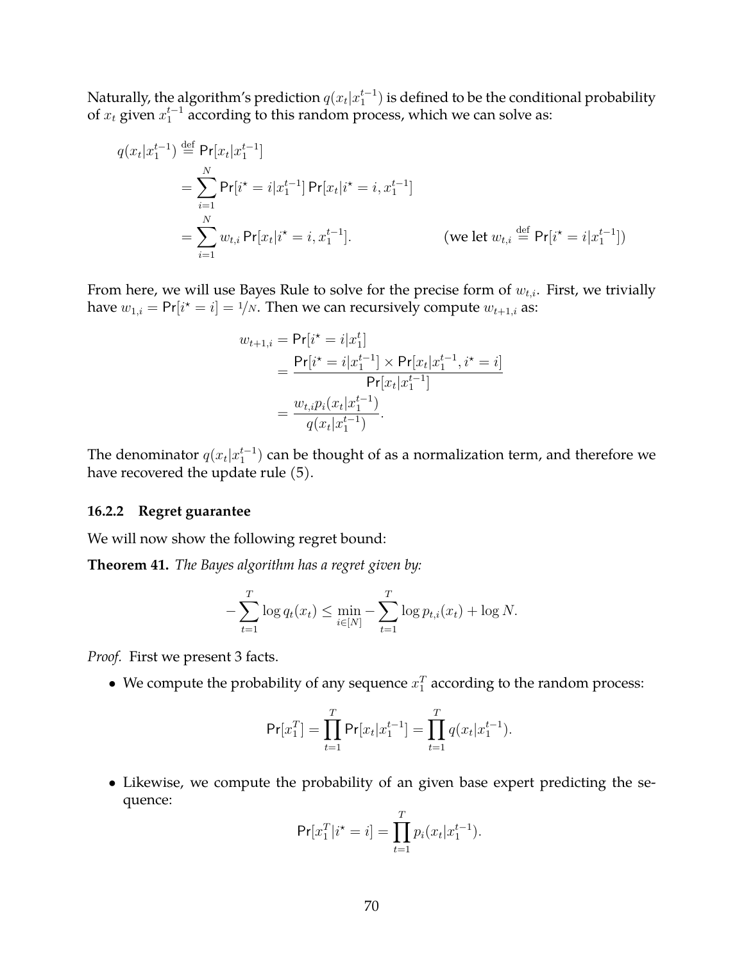Naturally, the algorithm's prediction  $q(x_t|x_1^{t-1})$  is defined to be the conditional probability of  $x_t$  given  $x_1^{t-1}$  according to this random process, which we can solve as:

$$
q(x_t|x_1^{t-1}) \stackrel{\text{def}}{=} \Pr[x_t|x_1^{t-1}]
$$
  
\n
$$
= \sum_{i=1}^N \Pr[i^* = i|x_1^{t-1}] \Pr[x_t|i^* = i, x_1^{t-1}]
$$
  
\n
$$
= \sum_{i=1}^N w_{t,i} \Pr[x_t|i^* = i, x_1^{t-1}]. \qquad \text{(we let } w_{t,i} \stackrel{\text{def}}{=} \Pr[i^* = i|x_1^{t-1}])
$$

From here, we will use Bayes Rule to solve for the precise form of  $w_{t,i}$ . First, we trivially have  $w_{1,i} = Pr[i^* = i] = \frac{1}{N}$ . Then we can recursively compute  $w_{t+1,i}$  as:

$$
w_{t+1,i} = \Pr[i^* = i | x_1^t]
$$
  
= 
$$
\frac{\Pr[i^* = i | x_1^{t-1}] \times \Pr[x_t | x_1^{t-1}, i^* = i]}{\Pr[x_t | x_1^{t-1}]} = \frac{w_{t,i} p_i(x_t | x_1^{t-1})}{q(x_t | x_1^{t-1})}.
$$

The denominator  $q(x_t|x_1^{t-1})$  can be thought of as a normalization term, and therefore we have recovered the update rule (5).

#### **16.2.2 Regret guarantee**

We will now show the following regret bound:

**Theorem 41.** *The Bayes algorithm has a regret given by:*

$$
-\sum_{t=1}^{T} \log q_t(x_t) \le \min_{i \in [N]} -\sum_{t=1}^{T} \log p_{t,i}(x_t) + \log N.
$$

*Proof.* First we present 3 facts.

• We compute the probability of any sequence  $x_1^T$  according to the random process:

$$
\Pr[x_1^T] = \prod_{t=1}^T \Pr[x_t | x_1^{t-1}] = \prod_{t=1}^T q(x_t | x_1^{t-1}).
$$

• Likewise, we compute the probability of an given base expert predicting the sequence:

$$
Pr[x_1^T | i^* = i] = \prod_{t=1}^T p_i(x_t | x_1^{t-1}).
$$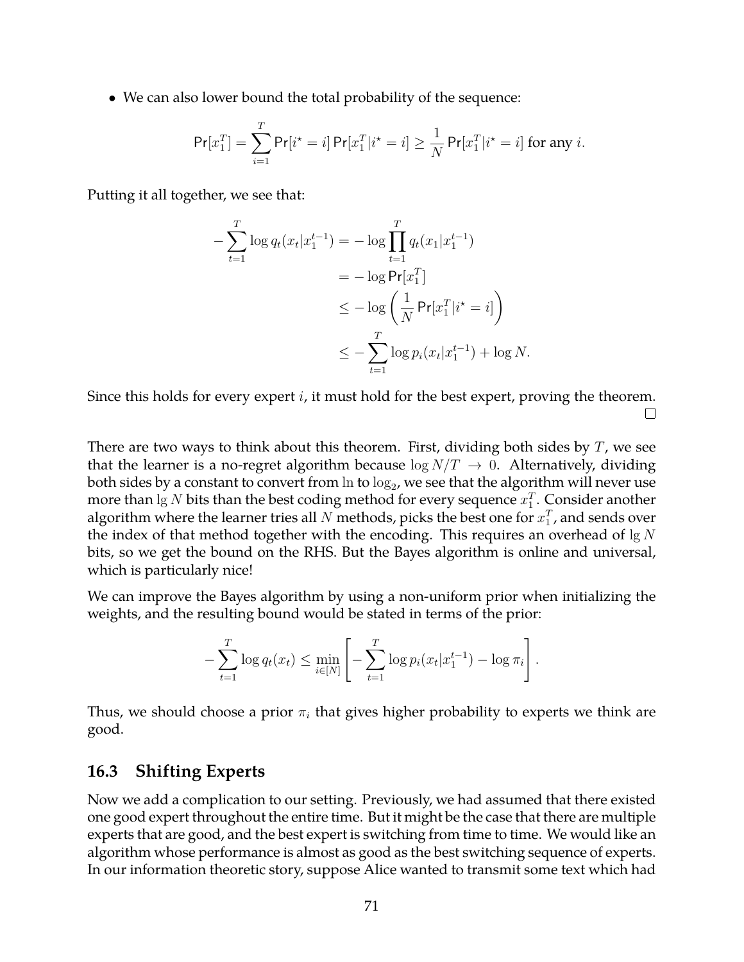• We can also lower bound the total probability of the sequence:

$$
\Pr[x_1^T] = \sum_{i=1}^T \Pr[i^* = i] \Pr[x_1^T | i^* = i] \ge \frac{1}{N} \Pr[x_1^T | i^* = i] \text{ for any } i.
$$

Putting it all together, we see that:

$$
-\sum_{t=1}^{T} \log q_t(x_t|x_1^{t-1}) = -\log \prod_{t=1}^{T} q_t(x_1|x_1^{t-1})
$$
  
=  $-\log \Pr[x_1^T]$   

$$
\leq -\log \left(\frac{1}{N} \Pr[x_1^T|i^* = i]\right)
$$
  

$$
\leq -\sum_{t=1}^{T} \log p_i(x_t|x_1^{t-1}) + \log N.
$$

Since this holds for every expert  $i$ , it must hold for the best expert, proving the theorem.  $\Box$ 

There are two ways to think about this theorem. First, dividing both sides by  $T$ , we see that the learner is a no-regret algorithm because  $\log N/T \rightarrow 0$ . Alternatively, dividing both sides by a constant to convert from  $\ln$  to  $\log_2$ , we see that the algorithm will never use more than  $\lg N$  bits than the best coding method for every sequence  $x_1^T.$  Consider another algorithm where the learner tries all  $N$  methods, picks the best one for  $x_1^T$ , and sends over the index of that method together with the encoding. This requires an overhead of  $\lg N$ bits, so we get the bound on the RHS. But the Bayes algorithm is online and universal, which is particularly nice!

We can improve the Bayes algorithm by using a non-uniform prior when initializing the weights, and the resulting bound would be stated in terms of the prior:

$$
-\sum_{t=1}^T \log q_t(x_t) \le \min_{i\in[N]} \left[ -\sum_{t=1}^T \log p_i(x_t|x_1^{t-1}) - \log \pi_i \right].
$$

Thus, we should choose a prior  $\pi_i$  that gives higher probability to experts we think are good.

### **16.3 Shifting Experts**

Now we add a complication to our setting. Previously, we had assumed that there existed one good expert throughout the entire time. But it might be the case that there are multiple experts that are good, and the best expert is switching from time to time. We would like an algorithm whose performance is almost as good as the best switching sequence of experts. In our information theoretic story, suppose Alice wanted to transmit some text which had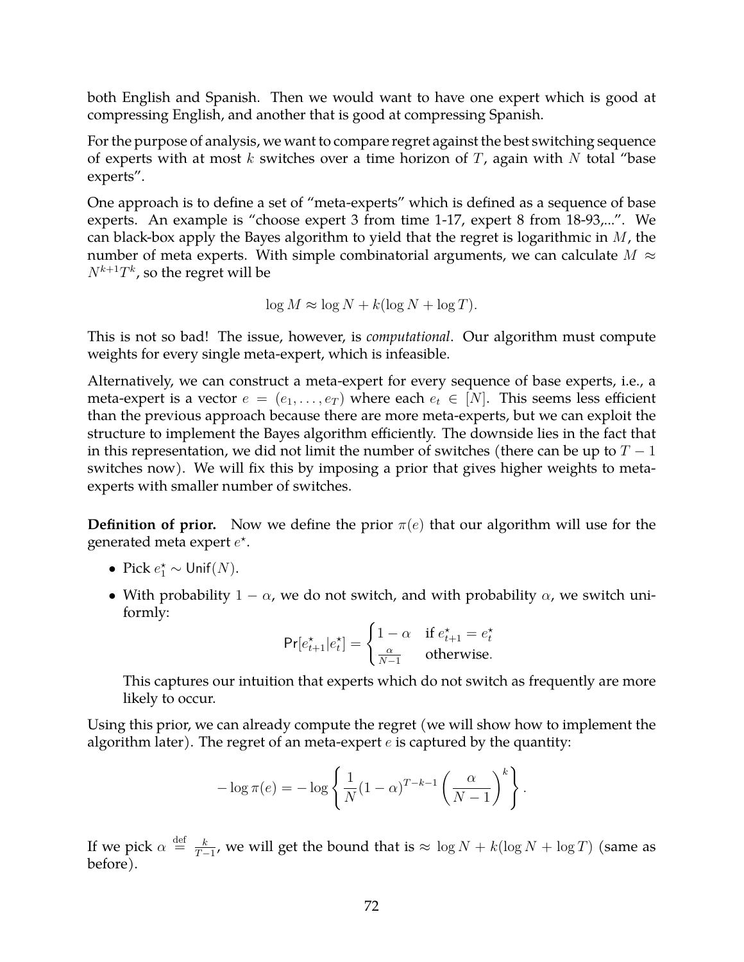both English and Spanish. Then we would want to have one expert which is good at compressing English, and another that is good at compressing Spanish.

For the purpose of analysis, we want to compare regret against the best switching sequence of experts with at most k switches over a time horizon of  $T$ , again with  $N$  total "base experts".

One approach is to define a set of "meta-experts" which is defined as a sequence of base experts. An example is "choose expert 3 from time 1-17, expert 8 from 18-93,...". We can black-box apply the Bayes algorithm to yield that the regret is logarithmic in  $M$ , the number of meta experts. With simple combinatorial arguments, we can calculate  $M \approx$  $N^{k+1}T^{k}$ , so the regret will be

$$
\log M \approx \log N + k(\log N + \log T).
$$

This is not so bad! The issue, however, is *computational*. Our algorithm must compute weights for every single meta-expert, which is infeasible.

Alternatively, we can construct a meta-expert for every sequence of base experts, i.e., a meta-expert is a vector  $e = (e_1, \ldots, e_T)$  where each  $e_t \in [N]$ . This seems less efficient than the previous approach because there are more meta-experts, but we can exploit the structure to implement the Bayes algorithm efficiently. The downside lies in the fact that in this representation, we did not limit the number of switches (there can be up to  $T - 1$ switches now). We will fix this by imposing a prior that gives higher weights to metaexperts with smaller number of switches.

**Definition of prior.** Now we define the prior  $\pi(e)$  that our algorithm will use for the generated meta expert  $e^*$ .

- Pick  $e_1^* \sim \text{Unif}(N)$ .
- With probability  $1 \alpha$ , we do not switch, and with probability  $\alpha$ , we switch uniformly:

$$
\Pr[e_{t+1}^{\star}|e_t^{\star}] = \begin{cases} 1 - \alpha & \text{if } e_{t+1}^{\star} = e_t^{\star} \\ \frac{\alpha}{N-1} & \text{otherwise.} \end{cases}
$$

This captures our intuition that experts which do not switch as frequently are more likely to occur.

Using this prior, we can already compute the regret (we will show how to implement the algorithm later). The regret of an meta-expert  $e$  is captured by the quantity:

$$
-\log \pi(e) = -\log \left\{ \frac{1}{N} (1-\alpha)^{T-k-1} \left( \frac{\alpha}{N-1} \right)^k \right\}.
$$

If we pick  $\alpha \stackrel{\text{def}}{=} \frac{k}{T}$  $\frac{k}{T-1}$ , we will get the bound that is  $\approx \log N + k(\log N + \log T)$  (same as before).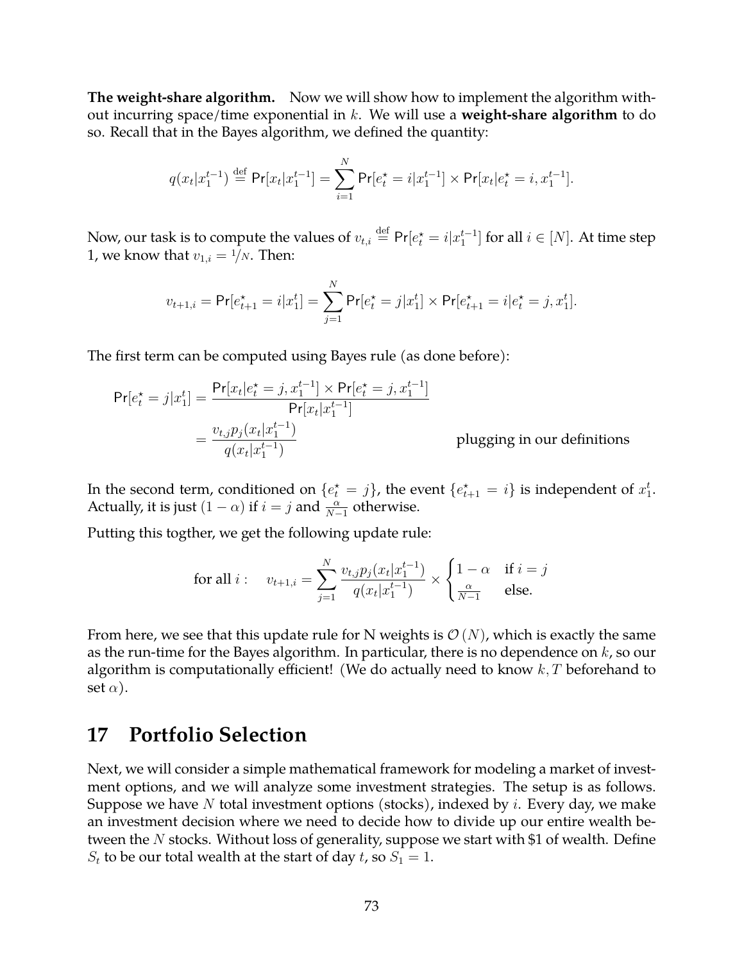**The weight-share algorithm.** Now we will show how to implement the algorithm without incurring space/time exponential in k. We will use a **weight-share algorithm** to do so. Recall that in the Bayes algorithm, we defined the quantity:

$$
q(x_t|x_1^{t-1}) \stackrel{\text{def}}{=} \Pr[x_t|x_1^{t-1}] = \sum_{i=1}^N \Pr[e_t^{\star} = i|x_1^{t-1}] \times \Pr[x_t|e_t^{\star} = i, x_1^{t-1}].
$$

Now, our task is to compute the values of  $v_{t,i} \stackrel{\text{def}}{=} \mathsf{Pr}[e_t^\star=i|x_1^{t-1}]$  for all  $i \in [N].$  At time step 1, we know that  $v_{1,i} = 1/N$ . Then:

$$
v_{t+1,i} = \Pr[e_{t+1}^{\star} = i | x_1^t] = \sum_{j=1}^{N} \Pr[e_t^{\star} = j | x_1^t] \times \Pr[e_{t+1}^{\star} = i | e_t^{\star} = j, x_1^t].
$$

The first term can be computed using Bayes rule (as done before):

$$
Pr[e_t^* = j | x_1^t] = \frac{Pr[x_t | e_t^* = j, x_1^{t-1}] \times Pr[e_t^* = j, x_1^{t-1}]}{Pr[x_t | x_1^{t-1}]} \\
= \frac{v_{t,j} p_j(x_t | x_1^{t-1})}{q(x_t | x_1^{t-1})} \qquad \text{plugging in our definitions}
$$

In the second term, conditioned on  $\{e_t^\star = j\}$ , the event  $\{e_{t+1}^\star = i\}$  is independent of  $x_1^t$ . Actually, it is just  $(1 - \alpha)$  if  $i = j$  and  $\frac{\alpha}{N-1}$  otherwise.

Putting this togther, we get the following update rule:

$$
\text{for all } i: \quad v_{t+1,i} = \sum_{j=1}^{N} \frac{v_{t,j} p_j(x_t | x_1^{t-1})}{q(x_t | x_1^{t-1})} \times \begin{cases} 1 - \alpha & \text{if } i = j \\ \frac{\alpha}{N-1} & \text{else.} \end{cases}
$$

From here, we see that this update rule for N weights is  $\mathcal{O}(N)$ , which is exactly the same as the run-time for the Bayes algorithm. In particular, there is no dependence on  $k$ , so our algorithm is computationally efficient! (We do actually need to know  $k$ , T beforehand to set  $\alpha$ ).

### **17 Portfolio Selection**

Next, we will consider a simple mathematical framework for modeling a market of investment options, and we will analyze some investment strategies. The setup is as follows. Suppose we have  $N$  total investment options (stocks), indexed by  $i$ . Every day, we make an investment decision where we need to decide how to divide up our entire wealth between the  $N$  stocks. Without loss of generality, suppose we start with \$1 of wealth. Define  $S_t$  to be our total wealth at the start of day t, so  $S_1 = 1$ .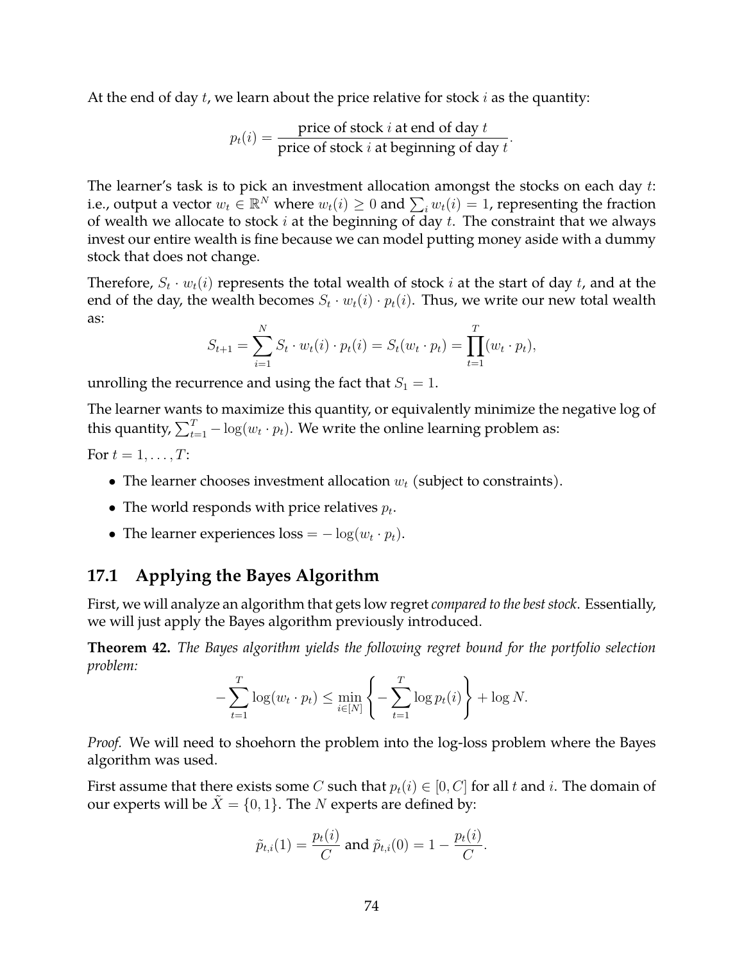At the end of day  $t$ , we learn about the price relative for stock  $i$  as the quantity:

$$
p_t(i) = \frac{\text{price of stock } i \text{ at end of day } t}{\text{price of stock } i \text{ at beginning of day } t}.
$$

The learner's task is to pick an investment allocation amongst the stocks on each day t: i.e., output a vector  $w_t \in \mathbb{R}^N$  where  $w_t(i) \geq 0$  and  $\sum_i w_t(i) = 1$ , representing the fraction of wealth we allocate to stock  $i$  at the beginning of day  $t$ . The constraint that we always invest our entire wealth is fine because we can model putting money aside with a dummy stock that does not change.

Therefore,  $S_t \cdot w_t(i)$  represents the total wealth of stock  $i$  at the start of day  $t$ , and at the end of the day, the wealth becomes  $S_t\cdot w_t(i)\cdot p_t(i)$ . Thus, we write our new total wealth as:

$$
S_{t+1} = \sum_{i=1}^{N} S_t \cdot w_t(i) \cdot p_t(i) = S_t(w_t \cdot p_t) = \prod_{t=1}^{T} (w_t \cdot p_t),
$$

unrolling the recurrence and using the fact that  $S_1 = 1$ .

The learner wants to maximize this quantity, or equivalently minimize the negative log of this quantity,  $\sum_{t=1}^T -\log (w_t \cdot p_t).$  We write the online learning problem as: For  $t = 1, \ldots, T$ :

- The learner chooses investment allocation  $w_t$  (subject to constraints).
- The world responds with price relatives  $p_t$ .
- The learner experiences  $loss = -log(w_t \cdot p_t)$ .

#### **17.1 Applying the Bayes Algorithm**

First, we will analyze an algorithm that gets low regret *compared to the best stock*. Essentially, we will just apply the Bayes algorithm previously introduced.

**Theorem 42.** *The Bayes algorithm yields the following regret bound for the portfolio selection problem:*

$$
-\sum_{t=1}^T \log(w_t \cdot p_t) \le \min_{i \in [N]} \left\{-\sum_{t=1}^T \log p_t(i)\right\} + \log N.
$$

*Proof.* We will need to shoehorn the problem into the log-loss problem where the Bayes algorithm was used.

First assume that there exists some C such that  $p_t(i) \in [0, C]$  for all t and i. The domain of our experts will be  $X = \{0, 1\}$ . The N experts are defined by:

$$
\tilde{p}_{t,i}(1) = \frac{p_t(i)}{C}
$$
 and  $\tilde{p}_{t,i}(0) = 1 - \frac{p_t(i)}{C}$ .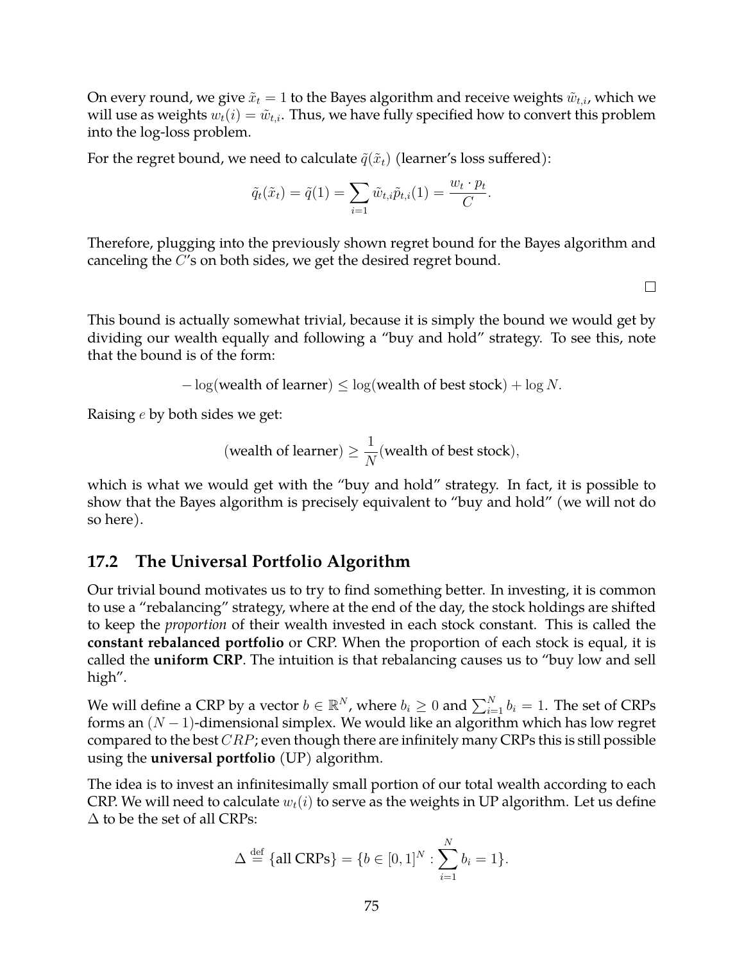On every round, we give  $\tilde{x}_t = 1$  to the Bayes algorithm and receive weights  $\tilde{w}_{t,i}$ , which we will use as weights  $w_t(i) = \tilde{w}_{t,i}$ . Thus, we have fully specified how to convert this problem into the log-loss problem.

For the regret bound, we need to calculate  $\tilde{q}(\tilde{x}_t)$  (learner's loss suffered):

$$
\tilde{q}_t(\tilde{x}_t) = \tilde{q}(1) = \sum_{i=1} \tilde{w}_{t,i} \tilde{p}_{t,i}(1) = \frac{w_t \cdot p_t}{C}.
$$

Therefore, plugging into the previously shown regret bound for the Bayes algorithm and canceling the C's on both sides, we get the desired regret bound.

 $\Box$ 

This bound is actually somewhat trivial, because it is simply the bound we would get by dividing our wealth equally and following a "buy and hold" strategy. To see this, note that the bound is of the form:

 $-\log$  (wealth of learner)  $\leq \log$  (wealth of best stock) +  $\log N$ .

Raising e by both sides we get:

(wealth of learner) 
$$
\geq \frac{1}{N}
$$
(wealth of best stock),

which is what we would get with the "buy and hold" strategy. In fact, it is possible to show that the Bayes algorithm is precisely equivalent to "buy and hold" (we will not do so here).

#### **17.2 The Universal Portfolio Algorithm**

Our trivial bound motivates us to try to find something better. In investing, it is common to use a "rebalancing" strategy, where at the end of the day, the stock holdings are shifted to keep the *proportion* of their wealth invested in each stock constant. This is called the **constant rebalanced portfolio** or CRP. When the proportion of each stock is equal, it is called the **uniform CRP**. The intuition is that rebalancing causes us to "buy low and sell high".

We will define a CRP by a vector  $b \in \mathbb{R}^N$ , where  $b_i \geq 0$  and  $\sum_{i=1}^N b_i = 1.$  The set of CRPs forms an  $(N-1)$ -dimensional simplex. We would like an algorithm which has low regret compared to the best  $CRP$ ; even though there are infinitely many CRPs this is still possible using the **universal portfolio** (UP) algorithm.

The idea is to invest an infinitesimally small portion of our total wealth according to each CRP. We will need to calculate  $w_t(i)$  to serve as the weights in UP algorithm. Let us define  $\Delta$  to be the set of all CRPs:

$$
\Delta \stackrel{\text{def}}{=} \{\text{all CRPs}\} = \{b \in [0, 1]^N : \sum_{i=1}^N b_i = 1\}.
$$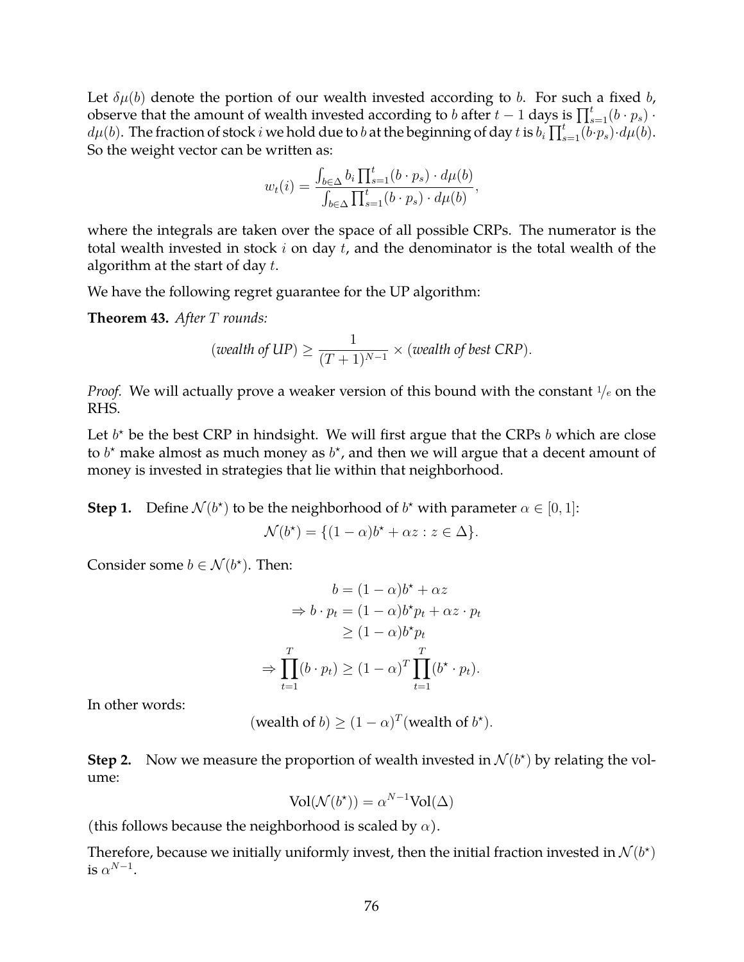Let  $\delta\mu(b)$  denote the portion of our wealth invested according to b. For such a fixed b, observe that the amount of wealth invested according to b after  $t-1$  days is  $\prod_{s=1}^{t} (b \cdot p_s)$ .  $d\mu(b)$ . The fraction of stock i we hold due to b at the beginning of day t is  $b_i \prod_{s=1}^{t} (b \cdot p_s) \cdot d\mu(b)$ . So the weight vector can be written as:

$$
w_t(i) = \frac{\int_{b \in \Delta} b_i \prod_{s=1}^t (b \cdot p_s) \cdot d\mu(b)}{\int_{b \in \Delta} \prod_{s=1}^t (b \cdot p_s) \cdot d\mu(b)},
$$

where the integrals are taken over the space of all possible CRPs. The numerator is the total wealth invested in stock  $i$  on day  $t$ , and the denominator is the total wealth of the algorithm at the start of day  $t$ .

We have the following regret guarantee for the UP algorithm:

**Theorem 43.** *After* T *rounds:*

(*wealth of UP*) 
$$
\geq \frac{1}{(T+1)^{N-1}} \times
$$
 (*wealth of best CRP*).

*Proof.* We will actually prove a weaker version of this bound with the constant  $\frac{1}{e}$  on the RHS.

Let  $b^*$  be the best CRP in hindsight. We will first argue that the CRPs  $b$  which are close to  $b^*$  make almost as much money as  $b^*$ , and then we will argue that a decent amount of money is invested in strategies that lie within that neighborhood.

**Step 1.** Define  $\mathcal{N}(b^*)$  to be the neighborhood of  $b^*$  with parameter  $\alpha \in [0,1]$ :

$$
\mathcal{N}(b^*) = \{ (1 - \alpha)b^* + \alpha z : z \in \Delta \}.
$$

Consider some  $b \in \mathcal{N}(b^{\star})$ . Then:

$$
b = (1 - \alpha)b^* + \alpha z
$$
  
\n
$$
\Rightarrow b \cdot p_t = (1 - \alpha)b^*p_t + \alpha z \cdot p_t
$$
  
\n
$$
\geq (1 - \alpha)b^*p_t
$$
  
\n
$$
\Rightarrow \prod_{t=1}^T (b \cdot p_t) \geq (1 - \alpha)^T \prod_{t=1}^T (b^* \cdot p_t).
$$

In other words:

(wealth of *b*) 
$$
\geq (1 - \alpha)^T
$$
(wealth of *b*<sup>\*</sup>).

**Step 2.** Now we measure the proportion of wealth invested in  $\mathcal{N}(b^*)$  by relating the volume:

$$
Vol(\mathcal{N}(b^*)) = \alpha^{N-1} Vol(\Delta)
$$

(this follows because the neighborhood is scaled by  $\alpha$ ).

Therefore, because we initially uniformly invest, then the initial fraction invested in  $\mathcal{N}(b^{\star})$ is  $\alpha^{N-1}$ .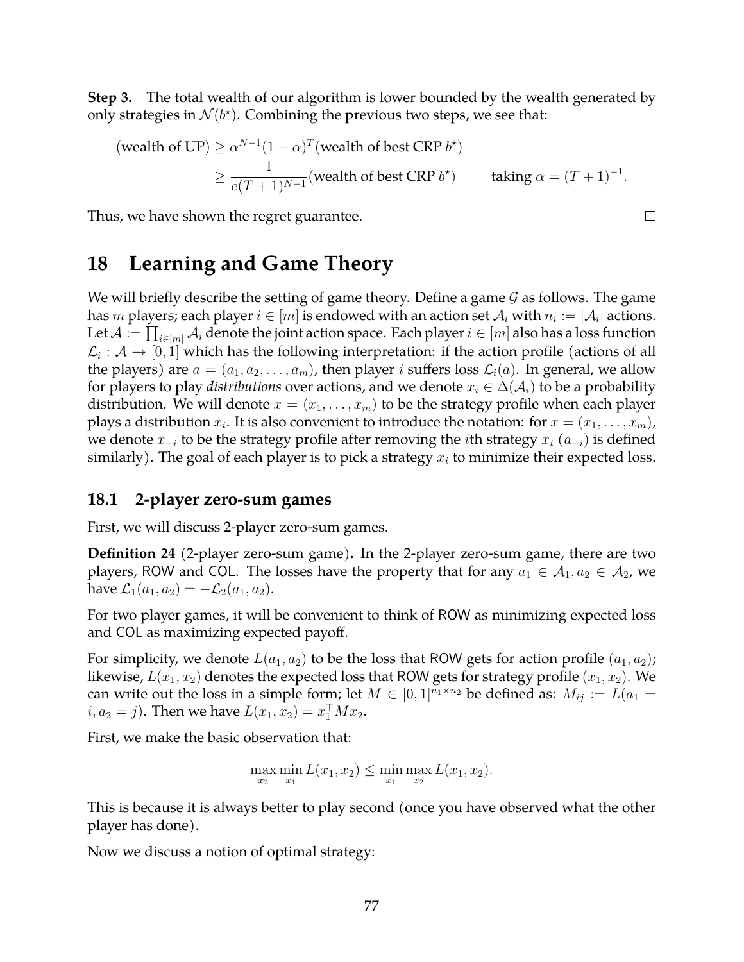**Step 3.** The total wealth of our algorithm is lower bounded by the wealth generated by only strategies in  $\mathcal{N}(b^{\star})$ . Combining the previous two steps, we see that:

(wealth of UP) 
$$
\ge \alpha^{N-1}(1-\alpha)^T
$$
(wealth of best CRP  $b^*$ )  
 $\ge \frac{1}{e(T+1)^{N-1}}$ (wealth of best CRP  $b^*$ ) taking  $\alpha = (T+1)^{-1}$ .

 $\Box$ 

Thus, we have shown the regret guarantee.

# **18 Learning and Game Theory**

We will briefly describe the setting of game theory. Define a game  $\mathcal G$  as follows. The game has  $m$  players; each player  $i\in[m]$  is endowed with an action set  $\mathcal{A}_i$  with  $n_i:=|\mathcal{A}_i|$  actions. Let  $\mathcal A:=\prod_{i\in [m]}\mathcal A_i$  denote the joint action space. Each player  $i\in [m]$  also has a loss function  $\mathcal{L}_i:\mathcal{A}\to[0,1]$  which has the following interpretation: if the action profile (actions of all the players) are  $a = (a_1, a_2, \ldots, a_m)$ , then player *i* suffers loss  $\mathcal{L}_i(a)$ . In general, we allow for players to play *distributions* over actions, and we denote  $x_i \in \Delta(\mathcal{A}_i)$  to be a probability distribution. We will denote  $x = (x_1, \ldots, x_m)$  to be the strategy profile when each player plays a distribution  $x_i.$  It is also convenient to introduce the notation: for  $x=(x_1,\ldots,x_m)$ , we denote  $x_{-i}$  to be the strategy profile after removing the *i*th strategy  $x_i$  ( $a_{-i}$ ) is defined similarly). The goal of each player is to pick a strategy  $x_i$  to minimize their expected loss.

#### **18.1 2-player zero-sum games**

First, we will discuss 2-player zero-sum games.

**Definition 24** (2-player zero-sum game)**.** In the 2-player zero-sum game, there are two players, ROW and COL. The losses have the property that for any  $a_1 \in A_1, a_2 \in A_2$ , we have  $\mathcal{L}_1(a_1, a_2) = -\mathcal{L}_2(a_1, a_2)$ .

For two player games, it will be convenient to think of ROW as minimizing expected loss and COL as maximizing expected payoff.

For simplicity, we denote  $L(a_1, a_2)$  to be the loss that ROW gets for action profile  $(a_1, a_2)$ ; likewise,  $L(x_1, x_2)$  denotes the expected loss that ROW gets for strategy profile  $(x_1, x_2)$ . We can write out the loss in a simple form; let  $M \in [0,1]^{n_1 \times n_2}$  be defined as:  $M_{ij} := L(a_1 =$  $i, a_2 = j$ ). Then we have  $L(x_1, x_2) = x_1^{\top} M x_2$ .

First, we make the basic observation that:

$$
\max_{x_2} \min_{x_1} L(x_1, x_2) \le \min_{x_1} \max_{x_2} L(x_1, x_2).
$$

This is because it is always better to play second (once you have observed what the other player has done).

Now we discuss a notion of optimal strategy: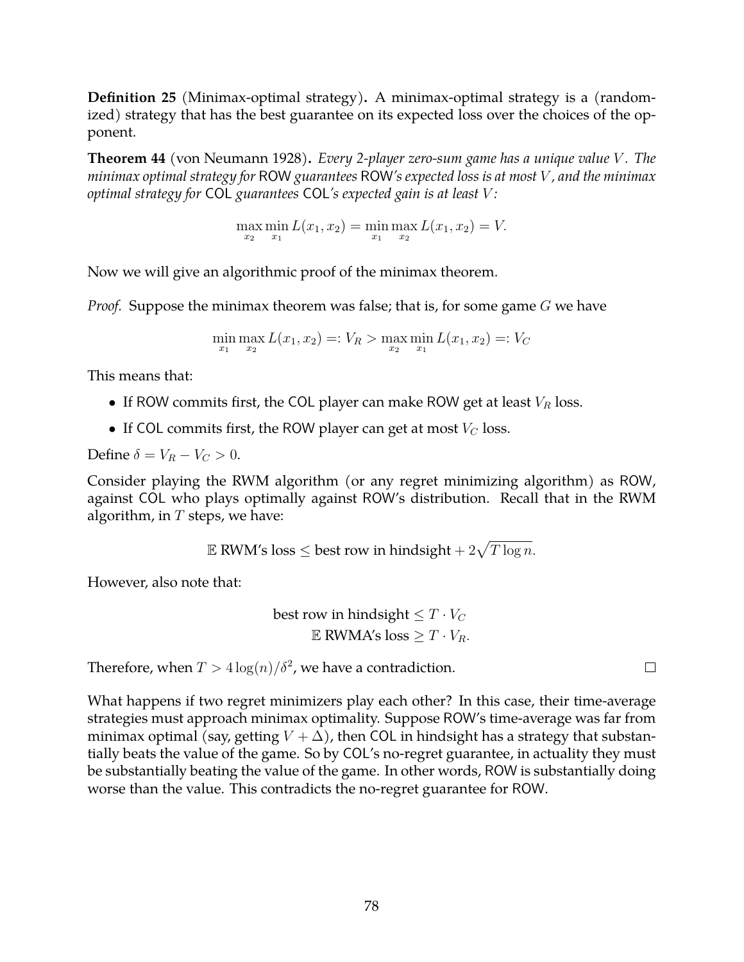**Definition 25** (Minimax-optimal strategy)**.** A minimax-optimal strategy is a (randomized) strategy that has the best guarantee on its expected loss over the choices of the opponent.

**Theorem 44** (von Neumann 1928)**.** *Every 2-player zero-sum game has a unique value* V *. The minimax optimal strategy for* ROW *guarantees* ROW*'s expected loss is at most* V *, and the minimax optimal strategy for* COL *guarantees* COL*'s expected gain is at least* V *:*

 $\max_{x_2} \min_{x_1} L(x_1, x_2) = \min_{x_1} \max_{x_2} L(x_1, x_2) = V.$ 

Now we will give an algorithmic proof of the minimax theorem.

*Proof.* Suppose the minimax theorem was false; that is, for some game G we have

$$
\min_{x_1} \max_{x_2} L(x_1, x_2) =: V_R > \max_{x_2} \min_{x_1} L(x_1, x_2) =: V_C
$$

This means that:

- If ROW commits first, the COL player can make ROW get at least  $V_R$  loss.
- If COL commits first, the ROW player can get at most  $V_C$  loss.

Define  $\delta = V_R - V_C > 0$ .

Consider playing the RWM algorithm (or any regret minimizing algorithm) as ROW, against COL who plays optimally against ROW's distribution. Recall that in the RWM algorithm, in  $T$  steps, we have:

 $\mathbb E$  RWM's loss  $\leq$  best row in hindsight  $+$   $2\sqrt{T \log n}.$ 

However, also note that:

best row in hindsight 
$$
\leq T \cdot V_C
$$
  
 $\mathbb{E}$  RWMA's loss  $\geq T \cdot V_R$ .

Therefore, when  $T > 4 \log(n) / \delta^2$ , we have a contradiction.

 $\Box$ 

What happens if two regret minimizers play each other? In this case, their time-average strategies must approach minimax optimality. Suppose ROW's time-average was far from minimax optimal (say, getting  $V + \Delta$ ), then COL in hindsight has a strategy that substantially beats the value of the game. So by COL's no-regret guarantee, in actuality they must be substantially beating the value of the game. In other words, ROW is substantially doing worse than the value. This contradicts the no-regret guarantee for ROW.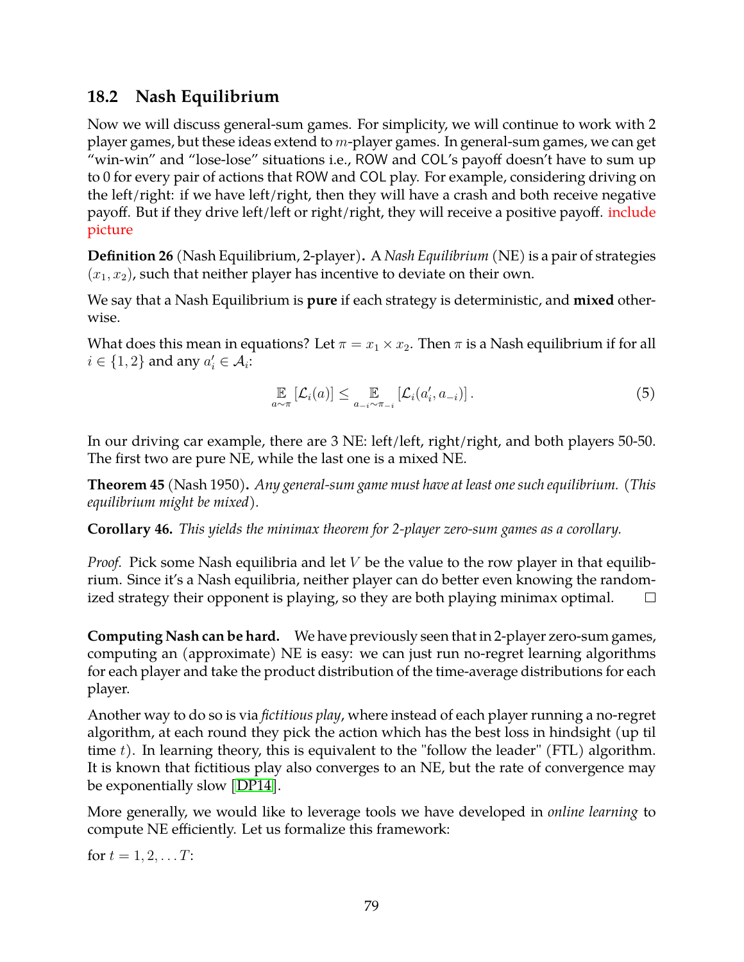### **18.2 Nash Equilibrium**

Now we will discuss general-sum games. For simplicity, we will continue to work with 2 player games, but these ideas extend to  $m$ -player games. In general-sum games, we can get "win-win" and "lose-lose" situations i.e., ROW and COL's payoff doesn't have to sum up to 0 for every pair of actions that ROW and COL play. For example, considering driving on the left/right: if we have left/right, then they will have a crash and both receive negative payoff. But if they drive left/left or right/right, they will receive a positive payoff. include picture

**Definition 26** (Nash Equilibrium, 2-player)**.** A *Nash Equilibrium* (NE) is a pair of strategies  $(x_1, x_2)$ , such that neither player has incentive to deviate on their own.

We say that a Nash Equilibrium is **pure** if each strategy is deterministic, and **mixed** otherwise.

What does this mean in equations? Let  $\pi = x_1 \times x_2$ . Then  $\pi$  is a Nash equilibrium if for all  $i \in \{1, 2\}$  and any  $a'_i \in \mathcal{A}_i$ :

$$
\mathbb{E}_{a \sim \pi} \left[ \mathcal{L}_i(a) \right] \leq \mathbb{E}_{a_{-i} \sim \pi_{-i}} \left[ \mathcal{L}_i(a'_i, a_{-i}) \right]. \tag{5}
$$

In our driving car example, there are 3 NE: left/left, right/right, and both players 50-50. The first two are pure NE, while the last one is a mixed NE.

**Theorem 45** (Nash 1950)**.** *Any general-sum game must have at least one such equilibrium. (This equilibrium might be mixed).*

**Corollary 46.** *This yields the minimax theorem for 2-player zero-sum games as a corollary.*

*Proof.* Pick some Nash equilibria and let *V* be the value to the row player in that equilibrium. Since it's a Nash equilibria, neither player can do better even knowing the randomized strategy their opponent is playing, so they are both playing minimax optimal.  $\Box$ 

**Computing Nash can be hard.** We have previously seen that in 2-player zero-sum games, computing an (approximate) NE is easy: we can just run no-regret learning algorithms for each player and take the product distribution of the time-average distributions for each player.

Another way to do so is via *fictitious play*, where instead of each player running a no-regret algorithm, at each round they pick the action which has the best loss in hindsight (up til time  $t$ ). In learning theory, this is equivalent to the "follow the leader" (FTL) algorithm. It is known that fictitious play also converges to an NE, but the rate of convergence may be exponentially slow [\[DP14\]](#page-82-0).

More generally, we would like to leverage tools we have developed in *online learning* to compute NE efficiently. Let us formalize this framework:

for  $t = 1, 2, \ldots T$ :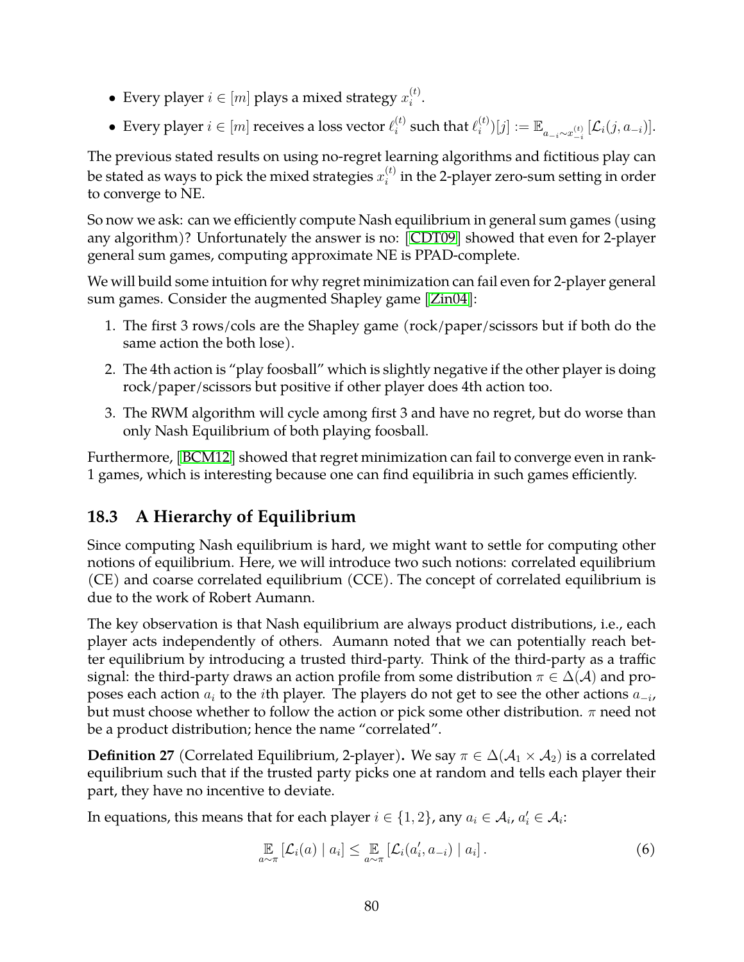- Every player  $i \in [m]$  plays a mixed strategy  $x_i^{(t)}$  $\binom{u}{i}$ .
- Every player  $i \in [m]$  receives a loss vector  $\ell_i^{(t)}$  $\binom{t}{i}$  such that  $\ell_i^{(t)}$  $\hat{u}^{(t)}[j] := \mathbb{E}_{a_{-i} \sim x_{-i}^{(t)}} \, [\mathcal{L}_i(j,a_{-i})].$

The previous stated results on using no-regret learning algorithms and fictitious play can be stated as ways to pick the mixed strategies  $x_i^{(t)}$  $i^{(t)}_i$  in the 2-player zero-sum setting in order to converge to NE.

So now we ask: can we efficiently compute Nash equilibrium in general sum games (using any algorithm)? Unfortunately the answer is no: [\[CDT09\]](#page-82-1) showed that even for 2-player general sum games, computing approximate NE is PPAD-complete.

We will build some intuition for why regret minimization can fail even for 2-player general sum games. Consider the augmented Shapley game [\[Zin04\]](#page-82-2):

- 1. The first 3 rows/cols are the Shapley game (rock/paper/scissors but if both do the same action the both lose).
- 2. The 4th action is "play foosball" which is slightly negative if the other player is doing rock/paper/scissors but positive if other player does 4th action too.
- 3. The RWM algorithm will cycle among first 3 and have no regret, but do worse than only Nash Equilibrium of both playing foosball.

Furthermore, [\[BCM12\]](#page-82-3) showed that regret minimization can fail to converge even in rank-1 games, which is interesting because one can find equilibria in such games efficiently.

## **18.3 A Hierarchy of Equilibrium**

Since computing Nash equilibrium is hard, we might want to settle for computing other notions of equilibrium. Here, we will introduce two such notions: correlated equilibrium (CE) and coarse correlated equilibrium (CCE). The concept of correlated equilibrium is due to the work of Robert Aumann.

The key observation is that Nash equilibrium are always product distributions, i.e., each player acts independently of others. Aumann noted that we can potentially reach better equilibrium by introducing a trusted third-party. Think of the third-party as a traffic signal: the third-party draws an action profile from some distribution  $\pi \in \Delta(\mathcal{A})$  and proposes each action  $a_i$  to the  $i$ th player. The players do not get to see the other actions  $a_{-i}$ , but must choose whether to follow the action or pick some other distribution.  $\pi$  need not be a product distribution; hence the name "correlated".

**Definition 27** (Correlated Equilibrium, 2-player). We say  $\pi \in \Delta(\mathcal{A}_1 \times \mathcal{A}_2)$  is a correlated equilibrium such that if the trusted party picks one at random and tells each player their part, they have no incentive to deviate.

In equations, this means that for each player  $i \in \{1,2\}$ , any  $a_i \in \mathcal{A}_i$ ,  $a'_i \in \mathcal{A}_i$ :

$$
\mathop{\mathbb{E}}_{a \sim \pi} [\mathcal{L}_i(a) \mid a_i] \leq \mathop{\mathbb{E}}_{a \sim \pi} [\mathcal{L}_i(a'_i, a_{-i}) \mid a_i]. \tag{6}
$$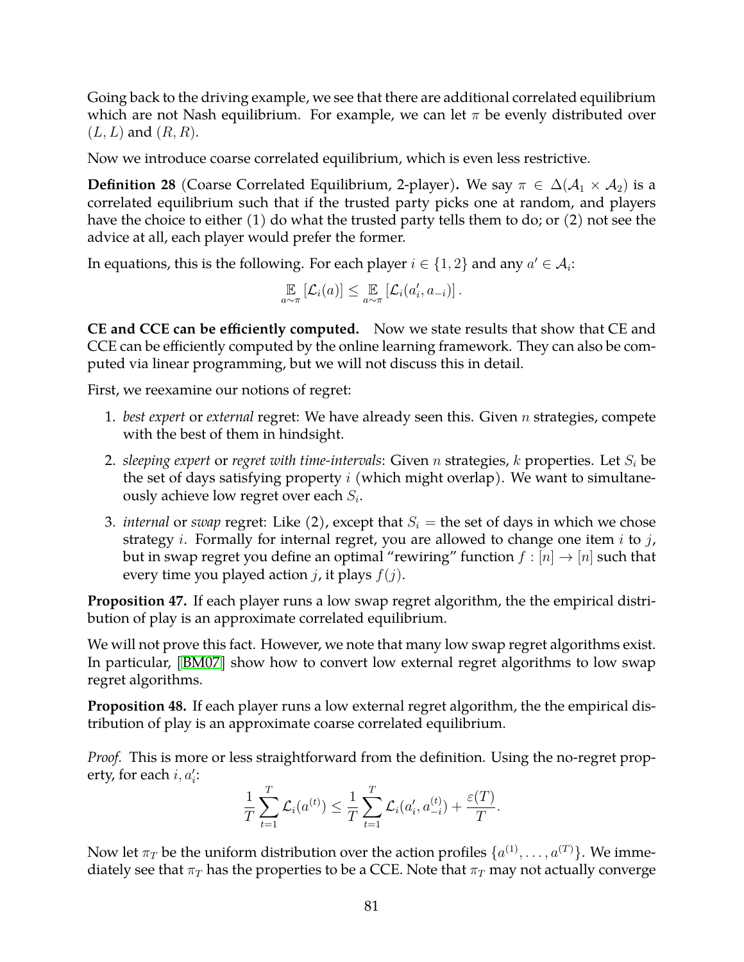Going back to the driving example, we see that there are additional correlated equilibrium which are not Nash equilibrium. For example, we can let  $\pi$  be evenly distributed over  $(L, L)$  and  $(R, R)$ .

Now we introduce coarse correlated equilibrium, which is even less restrictive.

**Definition 28** (Coarse Correlated Equilibrium, 2-player). We say  $\pi \in \Delta(\mathcal{A}_1 \times \mathcal{A}_2)$  is a correlated equilibrium such that if the trusted party picks one at random, and players have the choice to either (1) do what the trusted party tells them to do; or (2) not see the advice at all, each player would prefer the former.

In equations, this is the following. For each player  $i \in \{1,2\}$  and any  $a' \in \mathcal{A}_i$ :

$$
\mathop{\mathbb{E}}_{a\sim\pi}\left[\mathcal{L}_i(a)\right]\leq \mathop{\mathbb{E}}_{a\sim\pi}\left[\mathcal{L}_i(a'_i,a_{-i})\right].
$$

**CE and CCE can be efficiently computed.** Now we state results that show that CE and CCE can be efficiently computed by the online learning framework. They can also be computed via linear programming, but we will not discuss this in detail.

First, we reexamine our notions of regret:

- 1. *best expert* or *external* regret: We have already seen this. Given n strategies, compete with the best of them in hindsight.
- 2. *sleeping expert* or *regret with time-intervals*: Given *n* strategies, *k* properties. Let  $S_i$  be the set of days satisfying property  $i$  (which might overlap). We want to simultaneously achieve low regret over each  $S_i$ .
- 3. *internal* or *swap* regret: Like (2), except that  $S_i$  = the set of days in which we chose strategy *i*. Formally for internal regret, you are allowed to change one item *i* to *j*, but in swap regret you define an optimal "rewiring" function  $f : [n] \rightarrow [n]$  such that every time you played action *j*, it plays  $f(j)$ .

**Proposition 47.** If each player runs a low swap regret algorithm, the the empirical distribution of play is an approximate correlated equilibrium.

We will not prove this fact. However, we note that many low swap regret algorithms exist. In particular, [\[BM07\]](#page-82-4) show how to convert low external regret algorithms to low swap regret algorithms.

**Proposition 48.** If each player runs a low external regret algorithm, the the empirical distribution of play is an approximate coarse correlated equilibrium.

*Proof.* This is more or less straightforward from the definition. Using the no-regret property, for each  $i, a_i'$ :

$$
\frac{1}{T} \sum_{t=1}^{T} \mathcal{L}_i(a^{(t)}) \leq \frac{1}{T} \sum_{t=1}^{T} \mathcal{L}_i(a'_i, a_{-i}^{(t)}) + \frac{\varepsilon(T)}{T}.
$$

Now let  $\pi_T$  be the uniform distribution over the action profiles  $\{a^{(1)},\ldots,a^{(T)}\}.$  We immediately see that  $\pi_T$  has the properties to be a CCE. Note that  $\pi_T$  may not actually converge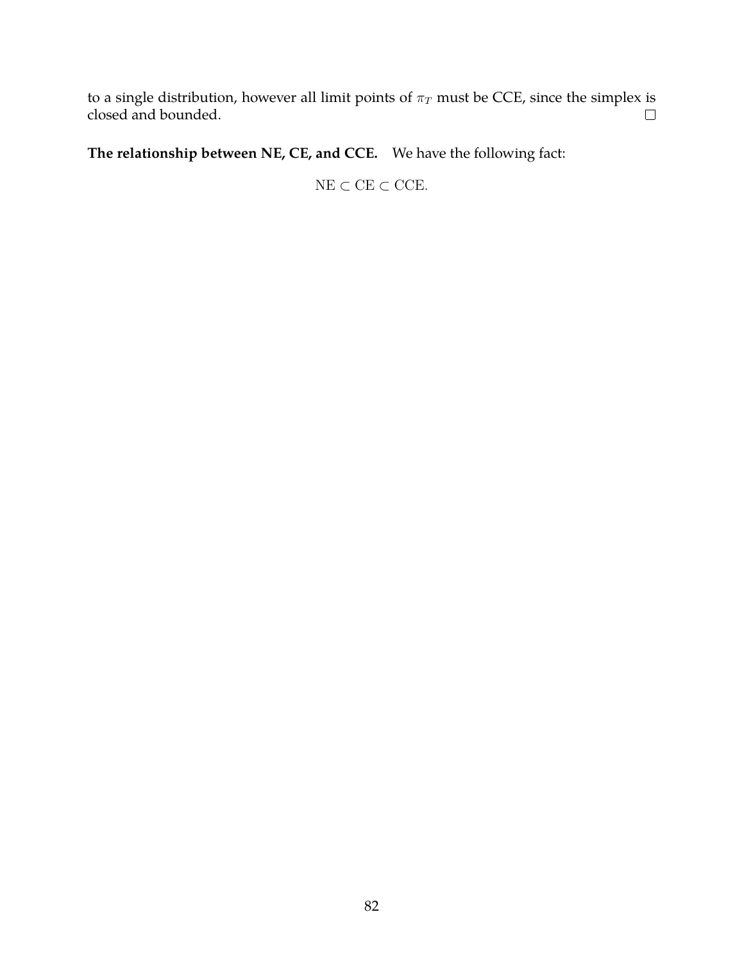to a single distribution, however all limit points of  $\pi_T$  must be CCE, since the simplex is closed and bounded. closed and bounded.

**The relationship between NE, CE, and CCE.** We have the following fact:

 $\mathrm{NE} \subset \mathrm{CE} \subset \mathrm{CCE}.$